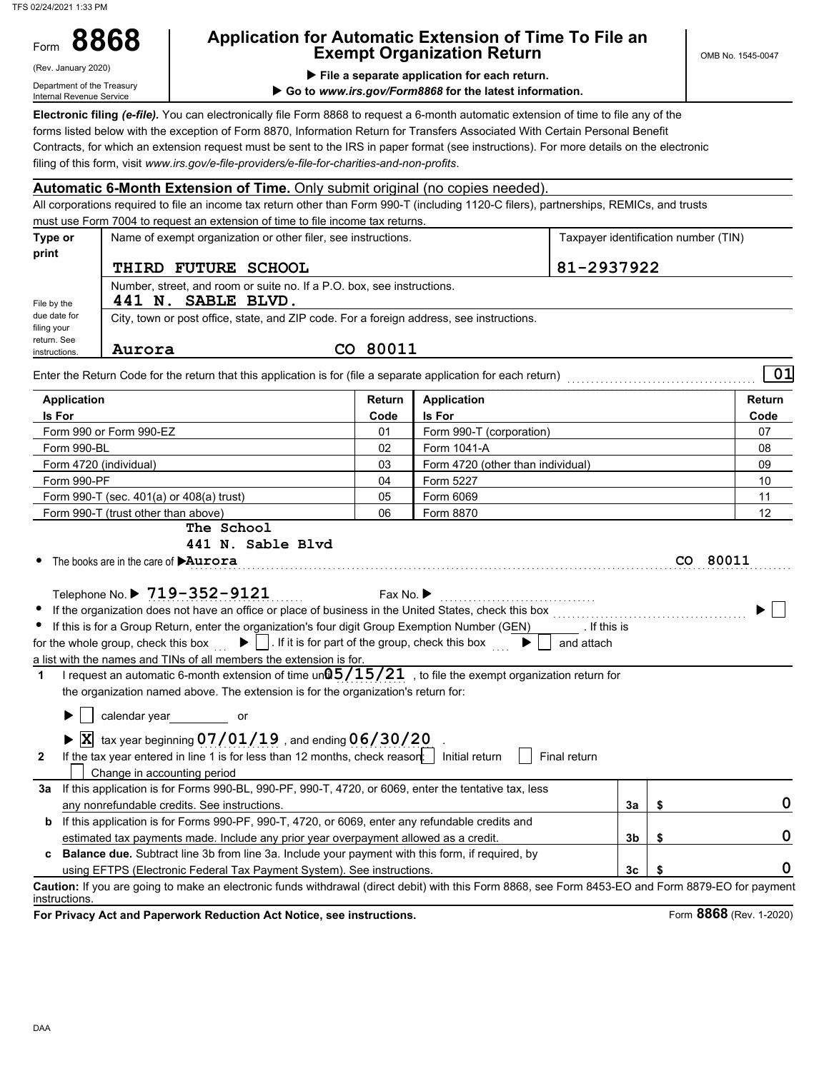TFS 02/24/2021 1:33 PM

Form

# **8868 Application for Automatic Extension of Time To File an Exempt Organization Return**

(Rev. January 2020)

Department of the Treasury Internal Revenue Service

 **File a separate application for each return.**

▶ Go to www.irs.gov/Form8868 for the latest information.

**Electronic filing** *(e-file).* You can electronically file Form 8868 to request a 6-month automatic extension of time to file any of the forms listed below with the exception of Form 8870, Information Return for Transfers Associated With Certain Personal Benefit Contracts, for which an extension request must be sent to the IRS in paper format (see instructions). For more details on the electronic filing of this form, visit *www.irs.gov/e-file-providers/e-file-for-charities-and-non-profits*.

### **Automatic 6-Month Extension of Time.** Only submit original (no copies needed).

All corporations required to file an income tax return other than Form 990-T (including 1120-C filers), partnerships, REMICs, and trusts must use Form 7004 to request an extension of time to file income tax returns.

| return. See<br>instructions. | Aurora              | CO 80011                                                                                 |                                      |
|------------------------------|---------------------|------------------------------------------------------------------------------------------|--------------------------------------|
| due date for<br>filing your  |                     | City, town or post office, state, and ZIP code. For a foreign address, see instructions. |                                      |
| File by the                  | 441 N. SABLE BLVD.  | Number, street, and room or suite no. If a P.O. box, see instructions.                   |                                      |
|                              | THIRD FUTURE SCHOOL |                                                                                          | 81-2937922                           |
| print                        |                     |                                                                                          |                                      |
| Type or                      |                     | Name of exempt organization or other filer, see instructions.                            | Taxpayer identification number (TIN) |

Enter the Return Code for the return that this application is for (file a separate application for each return) . . . . . . . . . . . . . . . . . . . . . . . . . . . . . . . . . . . . . . . . **01**

| <b>Application</b>                                                                                                                                                                                                                                                                                                                                                                                                                                                                                                                                                                                                                                                                                                                                                                                                                                                                                                                                                                                                                                                                                                                | Return                        | <b>Application</b>                                                         |                |          | <b>Return</b>                            |
|-----------------------------------------------------------------------------------------------------------------------------------------------------------------------------------------------------------------------------------------------------------------------------------------------------------------------------------------------------------------------------------------------------------------------------------------------------------------------------------------------------------------------------------------------------------------------------------------------------------------------------------------------------------------------------------------------------------------------------------------------------------------------------------------------------------------------------------------------------------------------------------------------------------------------------------------------------------------------------------------------------------------------------------------------------------------------------------------------------------------------------------|-------------------------------|----------------------------------------------------------------------------|----------------|----------|------------------------------------------|
| Is For                                                                                                                                                                                                                                                                                                                                                                                                                                                                                                                                                                                                                                                                                                                                                                                                                                                                                                                                                                                                                                                                                                                            | <b>Is For</b>                 |                                                                            |                | Code     |                                          |
| Form 990 or Form 990-EZ                                                                                                                                                                                                                                                                                                                                                                                                                                                                                                                                                                                                                                                                                                                                                                                                                                                                                                                                                                                                                                                                                                           | 01                            | Form 990-T (corporation)                                                   |                |          | 07                                       |
| Form 990-BL                                                                                                                                                                                                                                                                                                                                                                                                                                                                                                                                                                                                                                                                                                                                                                                                                                                                                                                                                                                                                                                                                                                       | 02                            | Form 1041-A                                                                |                |          | 08                                       |
| Form 4720 (individual)                                                                                                                                                                                                                                                                                                                                                                                                                                                                                                                                                                                                                                                                                                                                                                                                                                                                                                                                                                                                                                                                                                            | 03                            | Form 4720 (other than individual)                                          |                |          | 09                                       |
| Form 990-PF                                                                                                                                                                                                                                                                                                                                                                                                                                                                                                                                                                                                                                                                                                                                                                                                                                                                                                                                                                                                                                                                                                                       | 04                            | Form 5227                                                                  |                |          | 10                                       |
| Form 990-T (sec. 401(a) or 408(a) trust)                                                                                                                                                                                                                                                                                                                                                                                                                                                                                                                                                                                                                                                                                                                                                                                                                                                                                                                                                                                                                                                                                          | 05                            | Form 6069                                                                  |                |          | 11                                       |
| Form 990-T (trust other than above)                                                                                                                                                                                                                                                                                                                                                                                                                                                                                                                                                                                                                                                                                                                                                                                                                                                                                                                                                                                                                                                                                               | 06                            | Form 8870                                                                  |                |          | 12                                       |
| The School<br>441 N. Sable Blyd<br>The books are in the care of <b>DAurora</b>                                                                                                                                                                                                                                                                                                                                                                                                                                                                                                                                                                                                                                                                                                                                                                                                                                                                                                                                                                                                                                                    |                               |                                                                            |                | CO 80011 |                                          |
| Telephone No. ▶ 719-352-9121<br>If the organization does not have an office or place of business in the United States, check this box<br>If this is for a Group Return, enter the organization's four digit Group Exemption Number (GEN)<br>$\blacktriangleright$     If it is for part of the group, check this box<br>for the whole group, check this box<br>a list with the names and TINs of all members the extension is for.<br>I request an automatic 6-month extension of time un $@5/15/21$ , to file the exempt organization return for<br>1<br>the organization named above. The extension is for the organization's return for:<br>▶<br>calendar year solver solver youth and the calendar year solver youth and the calendar year solver youth and the calendar year solver youth and the calendar year solver youth and the calendar year solver and the calendar ye<br>$\blacktriangleright$ $\overline{\text{X}}$ tax year beginning 07/01/19, and ending 06/30/20<br>If the tax year entered in line 1 is for less than 12 months, check reason:   Initial return<br>$\mathbf{2}$<br>Change in accounting period | Fax No. $\blacktriangleright$ | If this is<br>$\blacktriangleright$ $\vdash$<br>and attach<br>Final return |                |          |                                          |
| If this application is for Forms 990-BL, 990-PF, 990-T, 4720, or 6069, enter the tentative tax, less<br>За                                                                                                                                                                                                                                                                                                                                                                                                                                                                                                                                                                                                                                                                                                                                                                                                                                                                                                                                                                                                                        |                               |                                                                            |                |          |                                          |
| any nonrefundable credits. See instructions.                                                                                                                                                                                                                                                                                                                                                                                                                                                                                                                                                                                                                                                                                                                                                                                                                                                                                                                                                                                                                                                                                      |                               |                                                                            | 3a             | \$       | 0                                        |
| If this application is for Forms 990-PF, 990-T, 4720, or 6069, enter any refundable credits and<br>b                                                                                                                                                                                                                                                                                                                                                                                                                                                                                                                                                                                                                                                                                                                                                                                                                                                                                                                                                                                                                              |                               |                                                                            |                |          |                                          |
| estimated tax payments made. Include any prior year overpayment allowed as a credit.                                                                                                                                                                                                                                                                                                                                                                                                                                                                                                                                                                                                                                                                                                                                                                                                                                                                                                                                                                                                                                              |                               |                                                                            | 3b             | \$       | 0                                        |
| <b>Balance due.</b> Subtract line 3b from line 3a. Include your payment with this form, if required, by                                                                                                                                                                                                                                                                                                                                                                                                                                                                                                                                                                                                                                                                                                                                                                                                                                                                                                                                                                                                                           |                               |                                                                            |                |          |                                          |
| using EFTPS (Electronic Federal Tax Payment System). See instructions.                                                                                                                                                                                                                                                                                                                                                                                                                                                                                                                                                                                                                                                                                                                                                                                                                                                                                                                                                                                                                                                            |                               |                                                                            | 3 <sub>c</sub> | \$       | O                                        |
| Caution: If you are going to make an electronic funds withdrawal (direct debit) with this Form 8868, see Form 8453-EO and Form 8879-EO for payment<br>instructions.                                                                                                                                                                                                                                                                                                                                                                                                                                                                                                                                                                                                                                                                                                                                                                                                                                                                                                                                                               |                               |                                                                            |                |          |                                          |
| ar Drivaau Aat and Danamuark Daduation Aat Nation aan ingtrustiona                                                                                                                                                                                                                                                                                                                                                                                                                                                                                                                                                                                                                                                                                                                                                                                                                                                                                                                                                                                                                                                                |                               |                                                                            |                |          | $T_{2}$ $\sim$ 9969 ( $D_{21}$ , 4.3030) |

**For Privacy Act and Paperwork Reduction Act Notice, see instructions.**

Form **8868** (Rev. 1-2020)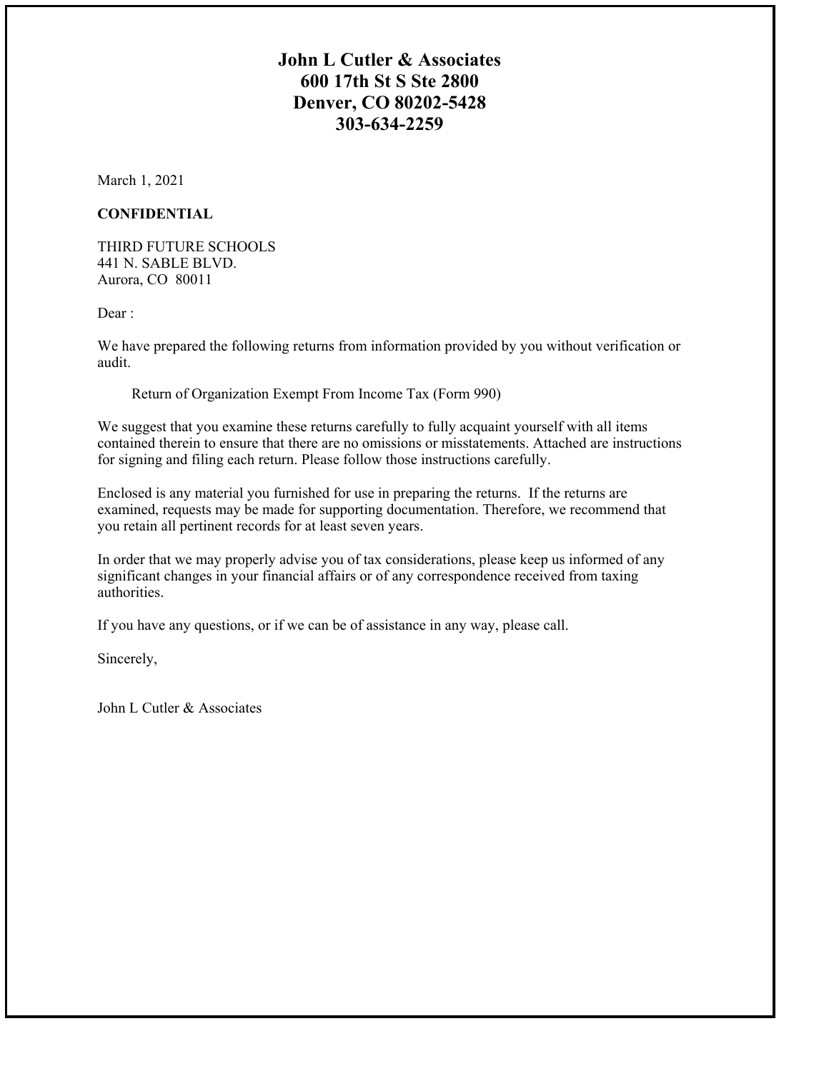# **John L Cutler & Associates 600 17th St S Ste 2800 Denver, CO 80202-5428 303-634-2259**

March 1, 2021

## **CONFIDENTIAL**

THIRD FUTURE SCHOOLS 441 N. SABLE BLVD. Aurora, CO 80011

Dear:

We have prepared the following returns from information provided by you without verification or audit.

Return of Organization Exempt From Income Tax (Form 990)

We suggest that you examine these returns carefully to fully acquaint yourself with all items contained therein to ensure that there are no omissions or misstatements. Attached are instructions for signing and filing each return. Please follow those instructions carefully.

Enclosed is any material you furnished for use in preparing the returns. If the returns are examined, requests may be made for supporting documentation. Therefore, we recommend that you retain all pertinent records for at least seven years.

In order that we may properly advise you of tax considerations, please keep us informed of any significant changes in your financial affairs or of any correspondence received from taxing authorities.

If you have any questions, or if we can be of assistance in any way, please call.

Sincerely,

John L Cutler & Associates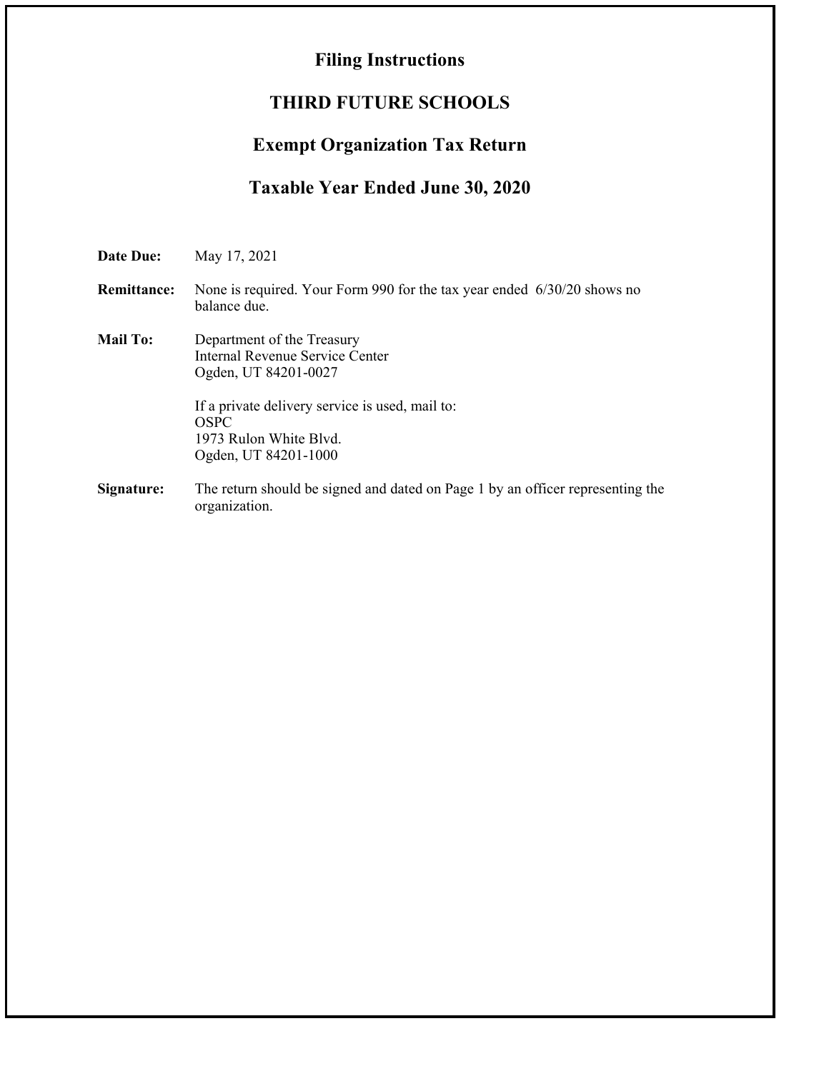# **Filing Instructions**

# **THIRD FUTURE SCHOOLS**

# **Exempt Organization Tax Return**

# **Taxable Year Ended June 30, 2020**

**Date Due:** May 17, 2021 **Remittance:** None is required. Your Form 990 for the tax year ended 6/30/20 shows no balance due. **Mail To:** Department of the Treasury Internal Revenue Service Center Ogden, UT 84201-0027 If a private delivery service is used, mail to: OSPC 1973 Rulon White Blvd. Ogden, UT 84201-1000 **Signature:** The return should be signed and dated on Page 1 by an officer representing the organization.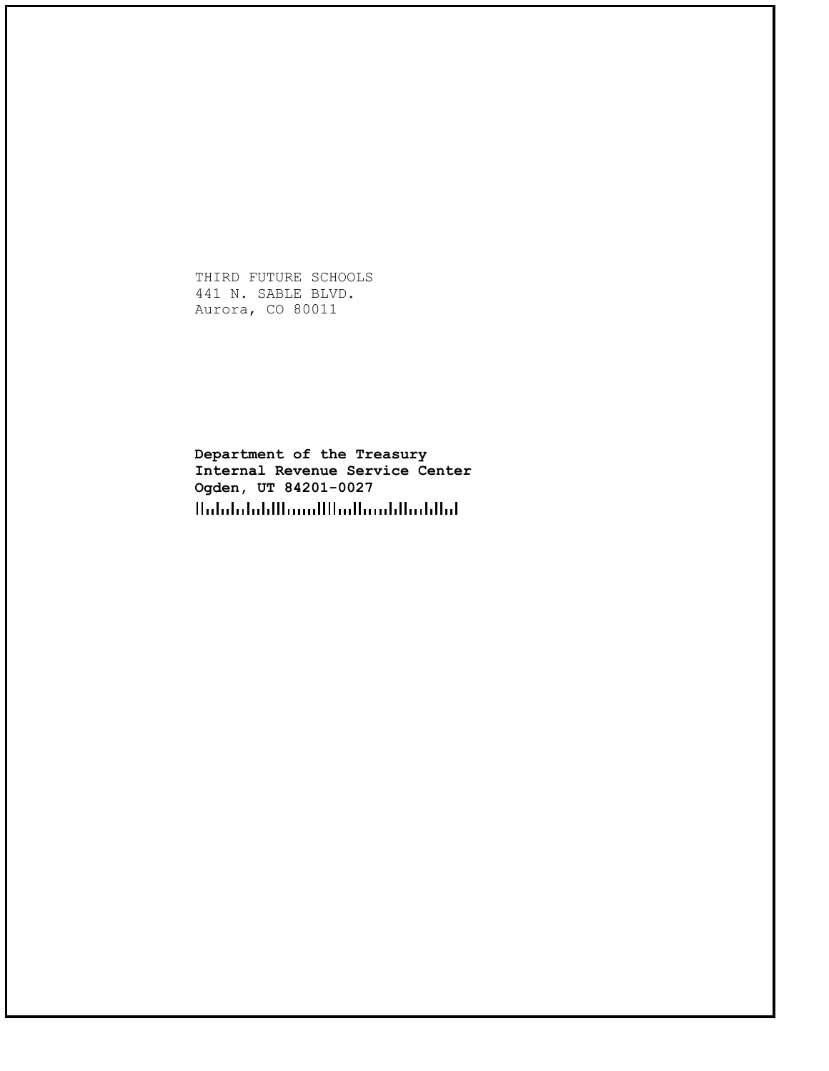THIRD FUTURE SCHOOLS 441 N. SABLE BLVD. Aurora, CO 80011

**Department of the Treasury Internal Revenue Service Center Ogden, UT 84201-0027**HalalalaldHamilHadhamldIaddlad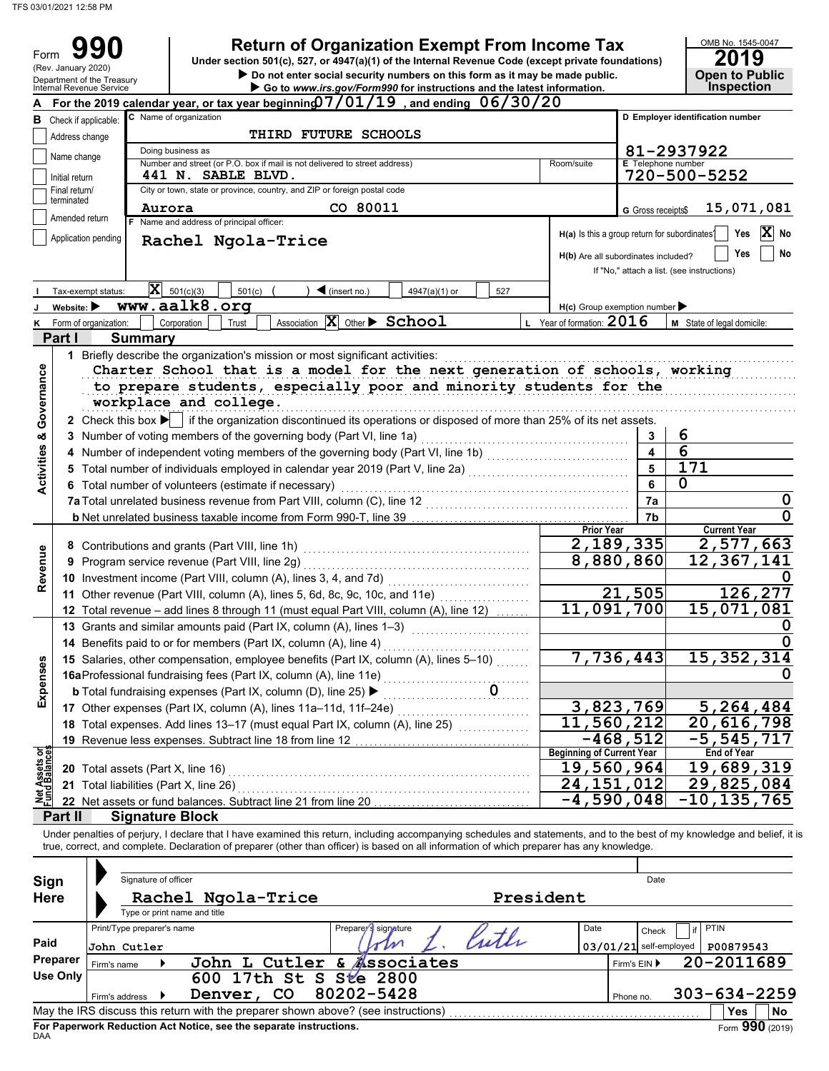Form

| 990         | <b>Return of Organization Exempt From Income Tax</b>                                               | OMB No. 1545-0 |
|-------------|----------------------------------------------------------------------------------------------------|----------------|
|             | Under section 501(c), 527, or 4947(a)(1) of the Internal Revenue Code (except private foundations) | 2019           |
| iary 2020). |                                                                                                    |                |

|                                | Under section 501(c), 527, or 4947(a)(1) of the internal Revenue Code (except private foundations)<br>(Rev. January 2020)<br>Do not enter social security numbers on this form as it may be made public.<br>Department of the Treasury |                       |                                                                                                                                                                                                                                                                                                                          |                                                           |                           |                                            |  |  |  |
|--------------------------------|----------------------------------------------------------------------------------------------------------------------------------------------------------------------------------------------------------------------------------------|-----------------------|--------------------------------------------------------------------------------------------------------------------------------------------------------------------------------------------------------------------------------------------------------------------------------------------------------------------------|-----------------------------------------------------------|---------------------------|--------------------------------------------|--|--|--|
|                                | Go to www.irs.gov/Form990 for instructions and the latest information.<br>Internal Revenue Service<br>A For the 2019 calendar year, or tax year beginnin $\mathfrak{g}7/01/19\,$ , and ending $\,06/30/20\,$                           |                       |                                                                                                                                                                                                                                                                                                                          |                                                           |                           |                                            |  |  |  |
|                                |                                                                                                                                                                                                                                        |                       |                                                                                                                                                                                                                                                                                                                          |                                                           |                           |                                            |  |  |  |
|                                | <b>B</b> Check if applicable:                                                                                                                                                                                                          |                       | C Name of organization                                                                                                                                                                                                                                                                                                   |                                                           |                           | D Employer identification number           |  |  |  |
|                                | Address change                                                                                                                                                                                                                         |                       | <b>THIRD FUTURE SCHOOLS</b>                                                                                                                                                                                                                                                                                              |                                                           |                           |                                            |  |  |  |
|                                | Name change                                                                                                                                                                                                                            |                       | Doing business as                                                                                                                                                                                                                                                                                                        |                                                           |                           | 81-2937922                                 |  |  |  |
|                                | Initial return                                                                                                                                                                                                                         |                       | Number and street (or P.O. box if mail is not delivered to street address)<br>Room/suite<br><b>441 N. SABLE BLVD.</b>                                                                                                                                                                                                    |                                                           | <b>E</b> Telephone number | 720-500-5252                               |  |  |  |
|                                | Final return/                                                                                                                                                                                                                          |                       | City or town, state or province, country, and ZIP or foreign postal code                                                                                                                                                                                                                                                 |                                                           |                           |                                            |  |  |  |
|                                | terminated                                                                                                                                                                                                                             |                       | CO 80011                                                                                                                                                                                                                                                                                                                 |                                                           |                           |                                            |  |  |  |
|                                | Amended return                                                                                                                                                                                                                         |                       | Aurora<br>F Name and address of principal officer:                                                                                                                                                                                                                                                                       |                                                           | G Gross receipts\$        | 15,071,081                                 |  |  |  |
|                                |                                                                                                                                                                                                                                        | Application pending   |                                                                                                                                                                                                                                                                                                                          | H(a) Is this a group return for subordinates <sup>1</sup> |                           | $ \mathbf{X} $ No<br>Yes                   |  |  |  |
|                                |                                                                                                                                                                                                                                        |                       | Rachel Ngola-Trice                                                                                                                                                                                                                                                                                                       |                                                           |                           | No<br>Yes                                  |  |  |  |
|                                |                                                                                                                                                                                                                                        |                       |                                                                                                                                                                                                                                                                                                                          | H(b) Are all subordinates included?                       |                           | If "No," attach a list. (see instructions) |  |  |  |
|                                |                                                                                                                                                                                                                                        |                       |                                                                                                                                                                                                                                                                                                                          |                                                           |                           |                                            |  |  |  |
|                                |                                                                                                                                                                                                                                        | Tax-exempt status:    | $ \mathbf{x} $<br>501(c)(3)<br>501(c)<br>$\triangleleft$ (insert no.)<br>4947(a)(1) or<br>527                                                                                                                                                                                                                            |                                                           |                           |                                            |  |  |  |
|                                | Website: $\blacktriangleright$                                                                                                                                                                                                         |                       | www.aalk8.org                                                                                                                                                                                                                                                                                                            | $H(c)$ Group exemption number                             |                           |                                            |  |  |  |
| κ                              |                                                                                                                                                                                                                                        | Form of organization: | Association $\boxed{\mathbf{X}}$ Other $\blacktriangleright$ School<br>Corporation<br>Trust                                                                                                                                                                                                                              | L Year of formation: $2016$                               |                           | M State of legal domicile:                 |  |  |  |
|                                | Part I                                                                                                                                                                                                                                 |                       | <b>Summary</b>                                                                                                                                                                                                                                                                                                           |                                                           |                           |                                            |  |  |  |
|                                |                                                                                                                                                                                                                                        |                       | 1 Briefly describe the organization's mission or most significant activities:                                                                                                                                                                                                                                            |                                                           |                           |                                            |  |  |  |
| Governance                     |                                                                                                                                                                                                                                        |                       | Charter School that is a model for the next generation of schools, working                                                                                                                                                                                                                                               |                                                           |                           |                                            |  |  |  |
|                                |                                                                                                                                                                                                                                        |                       | to prepare students, especially poor and minority students for the                                                                                                                                                                                                                                                       |                                                           |                           |                                            |  |  |  |
|                                |                                                                                                                                                                                                                                        |                       | workplace and college.                                                                                                                                                                                                                                                                                                   |                                                           |                           |                                            |  |  |  |
|                                |                                                                                                                                                                                                                                        |                       | 2 Check this box $\blacktriangleright$ if the organization discontinued its operations or disposed of more than 25% of its net assets.                                                                                                                                                                                   |                                                           |                           |                                            |  |  |  |
| ×                              |                                                                                                                                                                                                                                        |                       | 3 Number of voting members of the governing body (Part VI, line 1a)                                                                                                                                                                                                                                                      |                                                           | 3                         | 6                                          |  |  |  |
|                                |                                                                                                                                                                                                                                        |                       | 4 Number of independent voting members of the governing body (Part VI, line 1b) [11] [11] Number of independent voting                                                                                                                                                                                                   |                                                           | $\overline{\mathbf{4}}$   | $\overline{6}$                             |  |  |  |
| <b>Activities</b>              |                                                                                                                                                                                                                                        |                       | 5 Total number of individuals employed in calendar year 2019 (Part V, line 2a) [100] (100] [100] [100] [100] [100] [100] [100] [100] [100] [100] [100] [100] [100] [100] [100] [100] [100] [100] [100] [100] [100] [100] [100]                                                                                           |                                                           | 5                         | $\overline{171}$                           |  |  |  |
|                                |                                                                                                                                                                                                                                        |                       | 6 Total number of volunteers (estimate if necessary)                                                                                                                                                                                                                                                                     |                                                           | 6                         | 0                                          |  |  |  |
|                                |                                                                                                                                                                                                                                        |                       |                                                                                                                                                                                                                                                                                                                          |                                                           | 7a                        | 0                                          |  |  |  |
|                                |                                                                                                                                                                                                                                        |                       |                                                                                                                                                                                                                                                                                                                          |                                                           | 7b                        |                                            |  |  |  |
|                                |                                                                                                                                                                                                                                        |                       |                                                                                                                                                                                                                                                                                                                          | <b>Prior Year</b>                                         |                           | <b>Current Year</b>                        |  |  |  |
|                                |                                                                                                                                                                                                                                        |                       | 8 Contributions and grants (Part VIII, line 1h)                                                                                                                                                                                                                                                                          | 2,189,335                                                 |                           | 2,577,663                                  |  |  |  |
| Revenue                        |                                                                                                                                                                                                                                        |                       | 9 Program service revenue (Part VIII, line 2g)                                                                                                                                                                                                                                                                           | 8,880,860                                                 |                           | $\overline{1}$ 2,367,141                   |  |  |  |
|                                |                                                                                                                                                                                                                                        |                       | 10 Investment income (Part VIII, column (A), lines 3, 4, and 7d)<br><u> 1999 - Johann Stoff, amerikansk fotograf i s</u>                                                                                                                                                                                                 |                                                           |                           |                                            |  |  |  |
|                                |                                                                                                                                                                                                                                        |                       | 11 Other revenue (Part VIII, column (A), lines 5, 6d, 8c, 9c, 10c, and 11e)                                                                                                                                                                                                                                              |                                                           | 21,505                    | 126,277                                    |  |  |  |
|                                |                                                                                                                                                                                                                                        |                       | 12 Total revenue - add lines 8 through 11 (must equal Part VIII, column (A), line 12)                                                                                                                                                                                                                                    | 11,091,700                                                |                           | 15,071,081                                 |  |  |  |
|                                |                                                                                                                                                                                                                                        |                       | 13 Grants and similar amounts paid (Part IX, column (A), lines 1-3)                                                                                                                                                                                                                                                      |                                                           |                           |                                            |  |  |  |
|                                |                                                                                                                                                                                                                                        |                       | 14 Benefits paid to or for members (Part IX, column (A), line 4)                                                                                                                                                                                                                                                         |                                                           |                           |                                            |  |  |  |
|                                |                                                                                                                                                                                                                                        |                       | 15 Salaries, other compensation, employee benefits (Part IX, column (A), lines 5-10)                                                                                                                                                                                                                                     | 7,736,443                                                 |                           | 15, 352, 314                               |  |  |  |
|                                |                                                                                                                                                                                                                                        |                       | 16aProfessional fundraising fees (Part IX, column (A), line 11e)                                                                                                                                                                                                                                                         |                                                           |                           | 0                                          |  |  |  |
| Expenses                       |                                                                                                                                                                                                                                        |                       | .<br>0                                                                                                                                                                                                                                                                                                                   |                                                           |                           |                                            |  |  |  |
|                                |                                                                                                                                                                                                                                        |                       | <b>b</b> Total fundraising expenses (Part IX, column (D), line 25) ▶                                                                                                                                                                                                                                                     |                                                           |                           |                                            |  |  |  |
|                                |                                                                                                                                                                                                                                        |                       | 17 Other expenses (Part IX, column (A), lines 11a-11d, 11f-24e)                                                                                                                                                                                                                                                          | 3,823,769                                                 |                           | 5,264,484                                  |  |  |  |
|                                |                                                                                                                                                                                                                                        |                       | 18 Total expenses. Add lines 13-17 (must equal Part IX, column (A), line 25)                                                                                                                                                                                                                                             | 11,560,212                                                |                           | 20,616,798                                 |  |  |  |
|                                |                                                                                                                                                                                                                                        |                       | 19 Revenue less expenses. Subtract line 18 from line 12                                                                                                                                                                                                                                                                  | $-468,512$<br><b>Beginning of Current Year</b>            |                           | $-5, 545, 717$<br><b>End of Year</b>       |  |  |  |
| Net Assets or<br>Fund Balances |                                                                                                                                                                                                                                        |                       | 20 Total assets (Part X, line 16)                                                                                                                                                                                                                                                                                        | 19,560,964                                                |                           | 19,689,319                                 |  |  |  |
|                                |                                                                                                                                                                                                                                        |                       |                                                                                                                                                                                                                                                                                                                          | 24,151,012                                                |                           | 29,825,084                                 |  |  |  |
|                                |                                                                                                                                                                                                                                        |                       | 21 Total liabilities (Part X, line 26)<br>22 Net assets or fund balances. Subtract line 21 from line 20                                                                                                                                                                                                                  | -4,590,048                                                |                           | -10,135,765                                |  |  |  |
|                                |                                                                                                                                                                                                                                        |                       | <b>Signature Block</b>                                                                                                                                                                                                                                                                                                   |                                                           |                           |                                            |  |  |  |
|                                | Part II                                                                                                                                                                                                                                |                       |                                                                                                                                                                                                                                                                                                                          |                                                           |                           |                                            |  |  |  |
|                                |                                                                                                                                                                                                                                        |                       | Under penalties of perjury, I declare that I have examined this return, including accompanying schedules and statements, and to the best of my knowledge and belief, it is<br>true, correct, and complete. Declaration of preparer (other than officer) is based on all information of which preparer has any knowledge. |                                                           |                           |                                            |  |  |  |
|                                |                                                                                                                                                                                                                                        |                       |                                                                                                                                                                                                                                                                                                                          |                                                           |                           |                                            |  |  |  |
|                                |                                                                                                                                                                                                                                        |                       | Signature of officer                                                                                                                                                                                                                                                                                                     |                                                           | Date                      |                                            |  |  |  |
| Sign                           |                                                                                                                                                                                                                                        |                       |                                                                                                                                                                                                                                                                                                                          |                                                           |                           |                                            |  |  |  |
| <b>Here</b>                    |                                                                                                                                                                                                                                        |                       | President<br>Rachel Ngola-Trice                                                                                                                                                                                                                                                                                          |                                                           |                           |                                            |  |  |  |
|                                |                                                                                                                                                                                                                                        |                       | Type or print name and title                                                                                                                                                                                                                                                                                             |                                                           |                           |                                            |  |  |  |
|                                |                                                                                                                                                                                                                                        |                       | Print/Type preparer's name<br>Prepare signature<br>Kuth                                                                                                                                                                                                                                                                  | Date                                                      | Check                     | PTIN                                       |  |  |  |
| Paid                           |                                                                                                                                                                                                                                        | John Cutler           | om                                                                                                                                                                                                                                                                                                                       | $03/01/21$ self-employed                                  |                           | P00879543                                  |  |  |  |
|                                | <b>Preparer</b>                                                                                                                                                                                                                        | Firm's name           | John L Cutler & <b>Associates</b>                                                                                                                                                                                                                                                                                        |                                                           | Firm's EIN ▶              | 20-2011689                                 |  |  |  |
|                                | <b>Use Only</b>                                                                                                                                                                                                                        |                       | 600 17th St S Ste 2800                                                                                                                                                                                                                                                                                                   |                                                           |                           |                                            |  |  |  |
|                                |                                                                                                                                                                                                                                        | Firm's address        | 80202-5428<br>Denver,<br>CO                                                                                                                                                                                                                                                                                              |                                                           | Phone no.                 | $303 - 634 - 2259$                         |  |  |  |
|                                |                                                                                                                                                                                                                                        |                       | May the IRS discuss this return with the preparer shown above? (see instructions)                                                                                                                                                                                                                                        |                                                           |                           | Yes<br>No                                  |  |  |  |

| Sign<br><b>Here</b> |                                                          | Signature of officer<br>Type or print name and title | Rachel Ngola-Trice                                                                                                                                      |                      | President |      |           | Date                                                    |                                        |                              |
|---------------------|----------------------------------------------------------|------------------------------------------------------|---------------------------------------------------------------------------------------------------------------------------------------------------------|----------------------|-----------|------|-----------|---------------------------------------------------------|----------------------------------------|------------------------------|
| Paid<br>Preparer    | Print/Type preparer's name<br>John Cutler<br>Firm's name |                                                      | John L Cutler & Associates                                                                                                                              | Preparer's signature | Cuth      | Date |           | if<br>Check<br>$03/01/21$ self-employed<br>Firm's $EIN$ | <b>PTIN</b><br>P00879543<br>20-2011689 |                              |
| <b>Use Only</b>     | Firm's address                                           |                                                      | 600 17th St S Ste 2800<br>CO.<br>Denver,                                                                                                                | 80202-5428           |           |      | Phone no. |                                                         | $303 - 634 - 2259$                     |                              |
| <b>DAA</b>          |                                                          |                                                      | May the IRS discuss this return with the preparer shown above? (see instructions)<br>For Paperwork Reduction Act Notice, see the separate instructions. |                      |           |      |           |                                                         | <b>Yes</b>                             | <b>No</b><br>Form 990 (2019) |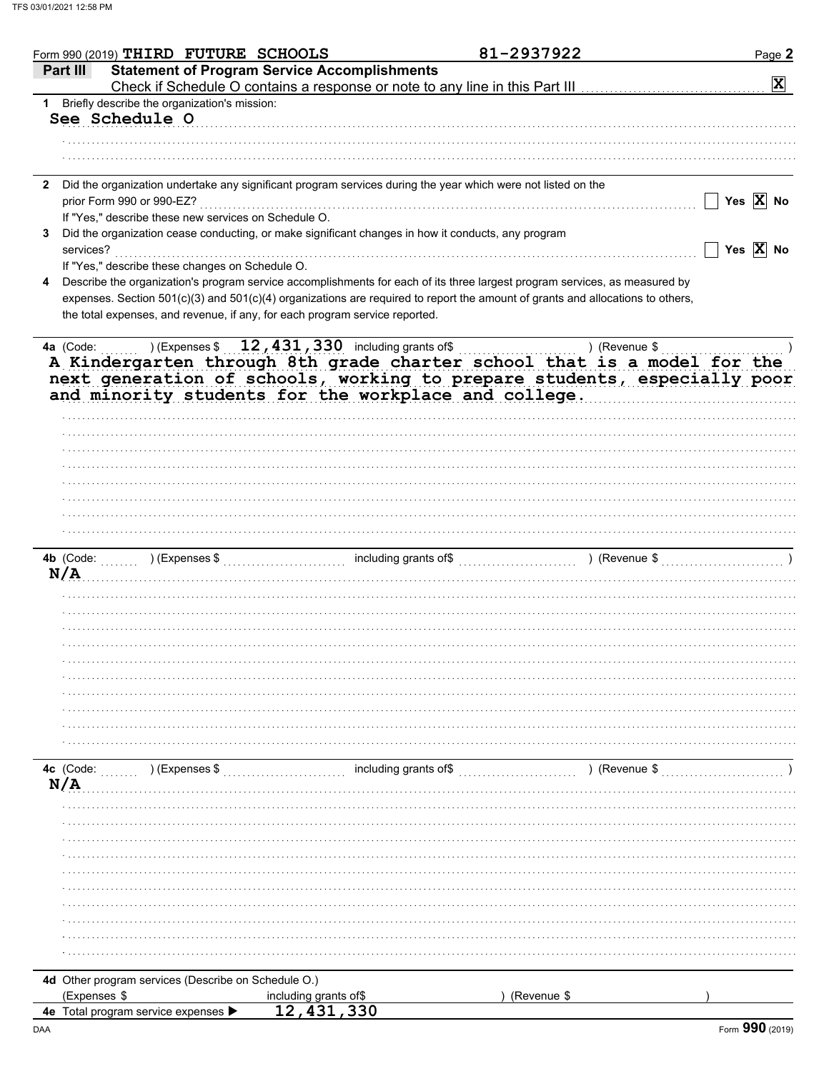| <b>Statement of Program Service Accomplishments</b><br>Part III<br>$\mathbf{x}$<br>Check if Schedule O contains a response or note to any line in this Part III<br>Briefly describe the organization's mission:<br>1<br>See Schedule O<br>Did the organization undertake any significant program services during the year which were not listed on the<br>$\mathbf{2}$<br>$\overline{\phantom{a}}$ Yes $\overline{\mathbf{X}}$ No<br>prior Form 990 or 990-EZ?<br>If "Yes," describe these new services on Schedule O.<br>Did the organization cease conducting, or make significant changes in how it conducts, any program<br>3<br>$\overline{\phantom{a}}$ Yes $\overline{\mathbf{X}}$ No<br>services?<br>If "Yes," describe these changes on Schedule O.<br>Describe the organization's program service accomplishments for each of its three largest program services, as measured by<br>4<br>expenses. Section 501(c)(3) and 501(c)(4) organizations are required to report the amount of grants and allocations to others,<br>the total expenses, and revenue, if any, for each program service reported.<br>$(12, 431, 330)$ including grants of \$<br>4a (Code:<br>) (Revenue $\frac{1}{2}$<br>A Kindergarten through 8th grade charter school that is a model for the<br>next generation of schools, working to prepare students, especially poor<br>and minority students for the workplace and college.<br>N/A<br>$($ Revenue \$<br>4c (Code:<br>) (Expenses \$<br>N/A<br>4d Other program services (Describe on Schedule O.)<br>(Expenses \$<br>including grants of\$<br>(Revenue \$<br>12,431,330<br>4e Total program service expenses ▶ | Form 990 (2019) THIRD FUTURE SCHOOLS |  | 81-2937922 | Page 2 |
|--------------------------------------------------------------------------------------------------------------------------------------------------------------------------------------------------------------------------------------------------------------------------------------------------------------------------------------------------------------------------------------------------------------------------------------------------------------------------------------------------------------------------------------------------------------------------------------------------------------------------------------------------------------------------------------------------------------------------------------------------------------------------------------------------------------------------------------------------------------------------------------------------------------------------------------------------------------------------------------------------------------------------------------------------------------------------------------------------------------------------------------------------------------------------------------------------------------------------------------------------------------------------------------------------------------------------------------------------------------------------------------------------------------------------------------------------------------------------------------------------------------------------------------------------------------------------------------------------------------------------------------------------------|--------------------------------------|--|------------|--------|
|                                                                                                                                                                                                                                                                                                                                                                                                                                                                                                                                                                                                                                                                                                                                                                                                                                                                                                                                                                                                                                                                                                                                                                                                                                                                                                                                                                                                                                                                                                                                                                                                                                                        |                                      |  |            |        |
|                                                                                                                                                                                                                                                                                                                                                                                                                                                                                                                                                                                                                                                                                                                                                                                                                                                                                                                                                                                                                                                                                                                                                                                                                                                                                                                                                                                                                                                                                                                                                                                                                                                        |                                      |  |            |        |
|                                                                                                                                                                                                                                                                                                                                                                                                                                                                                                                                                                                                                                                                                                                                                                                                                                                                                                                                                                                                                                                                                                                                                                                                                                                                                                                                                                                                                                                                                                                                                                                                                                                        |                                      |  |            |        |
|                                                                                                                                                                                                                                                                                                                                                                                                                                                                                                                                                                                                                                                                                                                                                                                                                                                                                                                                                                                                                                                                                                                                                                                                                                                                                                                                                                                                                                                                                                                                                                                                                                                        |                                      |  |            |        |
|                                                                                                                                                                                                                                                                                                                                                                                                                                                                                                                                                                                                                                                                                                                                                                                                                                                                                                                                                                                                                                                                                                                                                                                                                                                                                                                                                                                                                                                                                                                                                                                                                                                        |                                      |  |            |        |
|                                                                                                                                                                                                                                                                                                                                                                                                                                                                                                                                                                                                                                                                                                                                                                                                                                                                                                                                                                                                                                                                                                                                                                                                                                                                                                                                                                                                                                                                                                                                                                                                                                                        |                                      |  |            |        |
|                                                                                                                                                                                                                                                                                                                                                                                                                                                                                                                                                                                                                                                                                                                                                                                                                                                                                                                                                                                                                                                                                                                                                                                                                                                                                                                                                                                                                                                                                                                                                                                                                                                        |                                      |  |            |        |
|                                                                                                                                                                                                                                                                                                                                                                                                                                                                                                                                                                                                                                                                                                                                                                                                                                                                                                                                                                                                                                                                                                                                                                                                                                                                                                                                                                                                                                                                                                                                                                                                                                                        |                                      |  |            |        |
|                                                                                                                                                                                                                                                                                                                                                                                                                                                                                                                                                                                                                                                                                                                                                                                                                                                                                                                                                                                                                                                                                                                                                                                                                                                                                                                                                                                                                                                                                                                                                                                                                                                        |                                      |  |            |        |
|                                                                                                                                                                                                                                                                                                                                                                                                                                                                                                                                                                                                                                                                                                                                                                                                                                                                                                                                                                                                                                                                                                                                                                                                                                                                                                                                                                                                                                                                                                                                                                                                                                                        |                                      |  |            |        |
|                                                                                                                                                                                                                                                                                                                                                                                                                                                                                                                                                                                                                                                                                                                                                                                                                                                                                                                                                                                                                                                                                                                                                                                                                                                                                                                                                                                                                                                                                                                                                                                                                                                        |                                      |  |            |        |
|                                                                                                                                                                                                                                                                                                                                                                                                                                                                                                                                                                                                                                                                                                                                                                                                                                                                                                                                                                                                                                                                                                                                                                                                                                                                                                                                                                                                                                                                                                                                                                                                                                                        |                                      |  |            |        |
|                                                                                                                                                                                                                                                                                                                                                                                                                                                                                                                                                                                                                                                                                                                                                                                                                                                                                                                                                                                                                                                                                                                                                                                                                                                                                                                                                                                                                                                                                                                                                                                                                                                        |                                      |  |            |        |
|                                                                                                                                                                                                                                                                                                                                                                                                                                                                                                                                                                                                                                                                                                                                                                                                                                                                                                                                                                                                                                                                                                                                                                                                                                                                                                                                                                                                                                                                                                                                                                                                                                                        |                                      |  |            |        |
|                                                                                                                                                                                                                                                                                                                                                                                                                                                                                                                                                                                                                                                                                                                                                                                                                                                                                                                                                                                                                                                                                                                                                                                                                                                                                                                                                                                                                                                                                                                                                                                                                                                        |                                      |  |            |        |
|                                                                                                                                                                                                                                                                                                                                                                                                                                                                                                                                                                                                                                                                                                                                                                                                                                                                                                                                                                                                                                                                                                                                                                                                                                                                                                                                                                                                                                                                                                                                                                                                                                                        |                                      |  |            |        |
|                                                                                                                                                                                                                                                                                                                                                                                                                                                                                                                                                                                                                                                                                                                                                                                                                                                                                                                                                                                                                                                                                                                                                                                                                                                                                                                                                                                                                                                                                                                                                                                                                                                        |                                      |  |            |        |
|                                                                                                                                                                                                                                                                                                                                                                                                                                                                                                                                                                                                                                                                                                                                                                                                                                                                                                                                                                                                                                                                                                                                                                                                                                                                                                                                                                                                                                                                                                                                                                                                                                                        |                                      |  |            |        |
|                                                                                                                                                                                                                                                                                                                                                                                                                                                                                                                                                                                                                                                                                                                                                                                                                                                                                                                                                                                                                                                                                                                                                                                                                                                                                                                                                                                                                                                                                                                                                                                                                                                        |                                      |  |            |        |
|                                                                                                                                                                                                                                                                                                                                                                                                                                                                                                                                                                                                                                                                                                                                                                                                                                                                                                                                                                                                                                                                                                                                                                                                                                                                                                                                                                                                                                                                                                                                                                                                                                                        |                                      |  |            |        |
|                                                                                                                                                                                                                                                                                                                                                                                                                                                                                                                                                                                                                                                                                                                                                                                                                                                                                                                                                                                                                                                                                                                                                                                                                                                                                                                                                                                                                                                                                                                                                                                                                                                        |                                      |  |            |        |
|                                                                                                                                                                                                                                                                                                                                                                                                                                                                                                                                                                                                                                                                                                                                                                                                                                                                                                                                                                                                                                                                                                                                                                                                                                                                                                                                                                                                                                                                                                                                                                                                                                                        |                                      |  |            |        |
|                                                                                                                                                                                                                                                                                                                                                                                                                                                                                                                                                                                                                                                                                                                                                                                                                                                                                                                                                                                                                                                                                                                                                                                                                                                                                                                                                                                                                                                                                                                                                                                                                                                        |                                      |  |            |        |
|                                                                                                                                                                                                                                                                                                                                                                                                                                                                                                                                                                                                                                                                                                                                                                                                                                                                                                                                                                                                                                                                                                                                                                                                                                                                                                                                                                                                                                                                                                                                                                                                                                                        |                                      |  |            |        |
|                                                                                                                                                                                                                                                                                                                                                                                                                                                                                                                                                                                                                                                                                                                                                                                                                                                                                                                                                                                                                                                                                                                                                                                                                                                                                                                                                                                                                                                                                                                                                                                                                                                        |                                      |  |            |        |
|                                                                                                                                                                                                                                                                                                                                                                                                                                                                                                                                                                                                                                                                                                                                                                                                                                                                                                                                                                                                                                                                                                                                                                                                                                                                                                                                                                                                                                                                                                                                                                                                                                                        |                                      |  |            |        |
|                                                                                                                                                                                                                                                                                                                                                                                                                                                                                                                                                                                                                                                                                                                                                                                                                                                                                                                                                                                                                                                                                                                                                                                                                                                                                                                                                                                                                                                                                                                                                                                                                                                        |                                      |  |            |        |
|                                                                                                                                                                                                                                                                                                                                                                                                                                                                                                                                                                                                                                                                                                                                                                                                                                                                                                                                                                                                                                                                                                                                                                                                                                                                                                                                                                                                                                                                                                                                                                                                                                                        |                                      |  |            |        |
|                                                                                                                                                                                                                                                                                                                                                                                                                                                                                                                                                                                                                                                                                                                                                                                                                                                                                                                                                                                                                                                                                                                                                                                                                                                                                                                                                                                                                                                                                                                                                                                                                                                        |                                      |  |            |        |
|                                                                                                                                                                                                                                                                                                                                                                                                                                                                                                                                                                                                                                                                                                                                                                                                                                                                                                                                                                                                                                                                                                                                                                                                                                                                                                                                                                                                                                                                                                                                                                                                                                                        |                                      |  |            |        |
|                                                                                                                                                                                                                                                                                                                                                                                                                                                                                                                                                                                                                                                                                                                                                                                                                                                                                                                                                                                                                                                                                                                                                                                                                                                                                                                                                                                                                                                                                                                                                                                                                                                        |                                      |  |            |        |
|                                                                                                                                                                                                                                                                                                                                                                                                                                                                                                                                                                                                                                                                                                                                                                                                                                                                                                                                                                                                                                                                                                                                                                                                                                                                                                                                                                                                                                                                                                                                                                                                                                                        |                                      |  |            |        |
|                                                                                                                                                                                                                                                                                                                                                                                                                                                                                                                                                                                                                                                                                                                                                                                                                                                                                                                                                                                                                                                                                                                                                                                                                                                                                                                                                                                                                                                                                                                                                                                                                                                        |                                      |  |            |        |
|                                                                                                                                                                                                                                                                                                                                                                                                                                                                                                                                                                                                                                                                                                                                                                                                                                                                                                                                                                                                                                                                                                                                                                                                                                                                                                                                                                                                                                                                                                                                                                                                                                                        |                                      |  |            |        |
|                                                                                                                                                                                                                                                                                                                                                                                                                                                                                                                                                                                                                                                                                                                                                                                                                                                                                                                                                                                                                                                                                                                                                                                                                                                                                                                                                                                                                                                                                                                                                                                                                                                        |                                      |  |            |        |
|                                                                                                                                                                                                                                                                                                                                                                                                                                                                                                                                                                                                                                                                                                                                                                                                                                                                                                                                                                                                                                                                                                                                                                                                                                                                                                                                                                                                                                                                                                                                                                                                                                                        |                                      |  |            |        |
|                                                                                                                                                                                                                                                                                                                                                                                                                                                                                                                                                                                                                                                                                                                                                                                                                                                                                                                                                                                                                                                                                                                                                                                                                                                                                                                                                                                                                                                                                                                                                                                                                                                        |                                      |  |            |        |
|                                                                                                                                                                                                                                                                                                                                                                                                                                                                                                                                                                                                                                                                                                                                                                                                                                                                                                                                                                                                                                                                                                                                                                                                                                                                                                                                                                                                                                                                                                                                                                                                                                                        |                                      |  |            |        |
|                                                                                                                                                                                                                                                                                                                                                                                                                                                                                                                                                                                                                                                                                                                                                                                                                                                                                                                                                                                                                                                                                                                                                                                                                                                                                                                                                                                                                                                                                                                                                                                                                                                        |                                      |  |            |        |
|                                                                                                                                                                                                                                                                                                                                                                                                                                                                                                                                                                                                                                                                                                                                                                                                                                                                                                                                                                                                                                                                                                                                                                                                                                                                                                                                                                                                                                                                                                                                                                                                                                                        |                                      |  |            |        |
|                                                                                                                                                                                                                                                                                                                                                                                                                                                                                                                                                                                                                                                                                                                                                                                                                                                                                                                                                                                                                                                                                                                                                                                                                                                                                                                                                                                                                                                                                                                                                                                                                                                        |                                      |  |            |        |
|                                                                                                                                                                                                                                                                                                                                                                                                                                                                                                                                                                                                                                                                                                                                                                                                                                                                                                                                                                                                                                                                                                                                                                                                                                                                                                                                                                                                                                                                                                                                                                                                                                                        |                                      |  |            |        |
|                                                                                                                                                                                                                                                                                                                                                                                                                                                                                                                                                                                                                                                                                                                                                                                                                                                                                                                                                                                                                                                                                                                                                                                                                                                                                                                                                                                                                                                                                                                                                                                                                                                        |                                      |  |            |        |
|                                                                                                                                                                                                                                                                                                                                                                                                                                                                                                                                                                                                                                                                                                                                                                                                                                                                                                                                                                                                                                                                                                                                                                                                                                                                                                                                                                                                                                                                                                                                                                                                                                                        |                                      |  |            |        |
|                                                                                                                                                                                                                                                                                                                                                                                                                                                                                                                                                                                                                                                                                                                                                                                                                                                                                                                                                                                                                                                                                                                                                                                                                                                                                                                                                                                                                                                                                                                                                                                                                                                        |                                      |  |            |        |
|                                                                                                                                                                                                                                                                                                                                                                                                                                                                                                                                                                                                                                                                                                                                                                                                                                                                                                                                                                                                                                                                                                                                                                                                                                                                                                                                                                                                                                                                                                                                                                                                                                                        |                                      |  |            |        |
|                                                                                                                                                                                                                                                                                                                                                                                                                                                                                                                                                                                                                                                                                                                                                                                                                                                                                                                                                                                                                                                                                                                                                                                                                                                                                                                                                                                                                                                                                                                                                                                                                                                        |                                      |  |            |        |
|                                                                                                                                                                                                                                                                                                                                                                                                                                                                                                                                                                                                                                                                                                                                                                                                                                                                                                                                                                                                                                                                                                                                                                                                                                                                                                                                                                                                                                                                                                                                                                                                                                                        |                                      |  |            |        |
|                                                                                                                                                                                                                                                                                                                                                                                                                                                                                                                                                                                                                                                                                                                                                                                                                                                                                                                                                                                                                                                                                                                                                                                                                                                                                                                                                                                                                                                                                                                                                                                                                                                        |                                      |  |            |        |
|                                                                                                                                                                                                                                                                                                                                                                                                                                                                                                                                                                                                                                                                                                                                                                                                                                                                                                                                                                                                                                                                                                                                                                                                                                                                                                                                                                                                                                                                                                                                                                                                                                                        |                                      |  |            |        |
|                                                                                                                                                                                                                                                                                                                                                                                                                                                                                                                                                                                                                                                                                                                                                                                                                                                                                                                                                                                                                                                                                                                                                                                                                                                                                                                                                                                                                                                                                                                                                                                                                                                        |                                      |  |            |        |
|                                                                                                                                                                                                                                                                                                                                                                                                                                                                                                                                                                                                                                                                                                                                                                                                                                                                                                                                                                                                                                                                                                                                                                                                                                                                                                                                                                                                                                                                                                                                                                                                                                                        |                                      |  |            |        |
|                                                                                                                                                                                                                                                                                                                                                                                                                                                                                                                                                                                                                                                                                                                                                                                                                                                                                                                                                                                                                                                                                                                                                                                                                                                                                                                                                                                                                                                                                                                                                                                                                                                        |                                      |  |            |        |
|                                                                                                                                                                                                                                                                                                                                                                                                                                                                                                                                                                                                                                                                                                                                                                                                                                                                                                                                                                                                                                                                                                                                                                                                                                                                                                                                                                                                                                                                                                                                                                                                                                                        |                                      |  |            |        |
|                                                                                                                                                                                                                                                                                                                                                                                                                                                                                                                                                                                                                                                                                                                                                                                                                                                                                                                                                                                                                                                                                                                                                                                                                                                                                                                                                                                                                                                                                                                                                                                                                                                        |                                      |  |            |        |
|                                                                                                                                                                                                                                                                                                                                                                                                                                                                                                                                                                                                                                                                                                                                                                                                                                                                                                                                                                                                                                                                                                                                                                                                                                                                                                                                                                                                                                                                                                                                                                                                                                                        |                                      |  |            |        |
|                                                                                                                                                                                                                                                                                                                                                                                                                                                                                                                                                                                                                                                                                                                                                                                                                                                                                                                                                                                                                                                                                                                                                                                                                                                                                                                                                                                                                                                                                                                                                                                                                                                        |                                      |  |            |        |
|                                                                                                                                                                                                                                                                                                                                                                                                                                                                                                                                                                                                                                                                                                                                                                                                                                                                                                                                                                                                                                                                                                                                                                                                                                                                                                                                                                                                                                                                                                                                                                                                                                                        |                                      |  |            |        |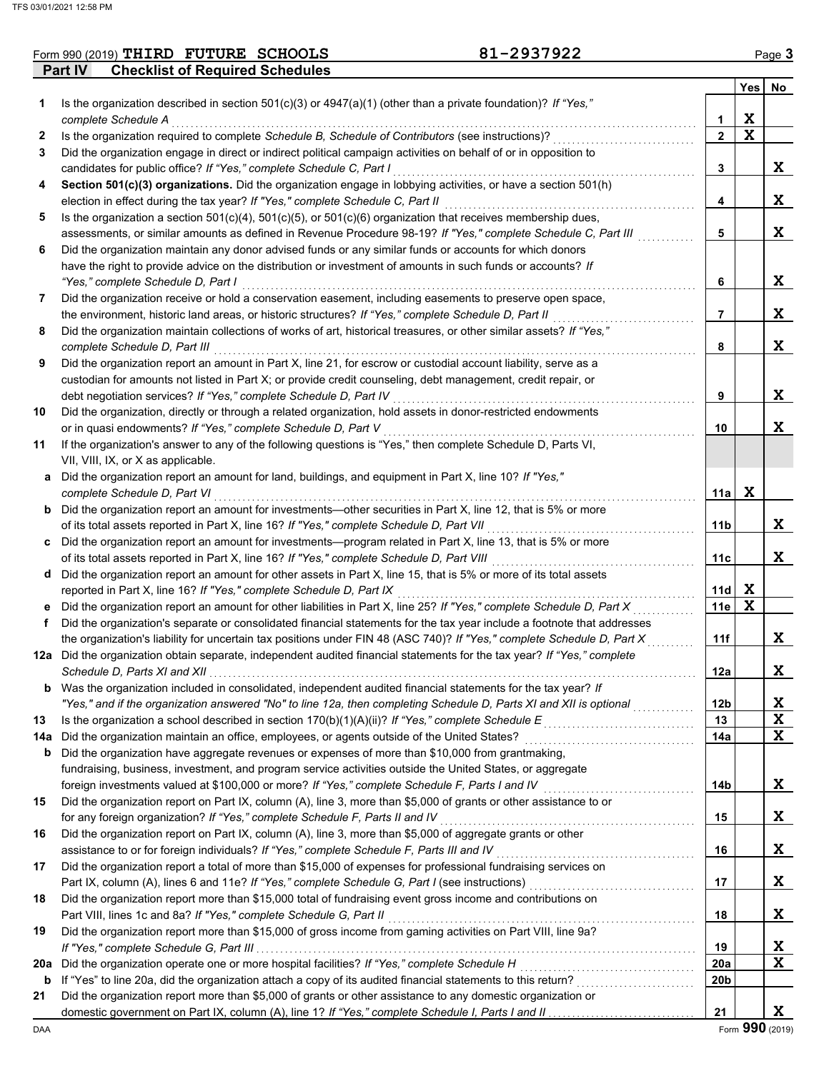|                | Form 990 (2019) $THIRD$ $FUTURE$ $SCHOOLS$ | 81-2937922 | Page $3$ |
|----------------|--------------------------------------------|------------|----------|
| <b>Part IV</b> | <b>Checklist of Required Schedules</b>     |            |          |

|     |                                                                                                                                                                                                                                 |                 | <b>Yes</b>  | No |
|-----|---------------------------------------------------------------------------------------------------------------------------------------------------------------------------------------------------------------------------------|-----------------|-------------|----|
| 1   | Is the organization described in section $501(c)(3)$ or $4947(a)(1)$ (other than a private foundation)? If "Yes,"                                                                                                               |                 |             |    |
|     | complete Schedule A                                                                                                                                                                                                             | 1               | X           |    |
| 2   | Is the organization required to complete Schedule B, Schedule of Contributors (see instructions)?                                                                                                                               | $\overline{2}$  | $\mathbf X$ |    |
| 3   | Did the organization engage in direct or indirect political campaign activities on behalf of or in opposition to                                                                                                                |                 |             |    |
|     | candidates for public office? If "Yes," complete Schedule C, Part I                                                                                                                                                             | 3               |             | X  |
| 4   | Section 501(c)(3) organizations. Did the organization engage in lobbying activities, or have a section 501(h)                                                                                                                   |                 |             |    |
|     | election in effect during the tax year? If "Yes," complete Schedule C, Part II                                                                                                                                                  | 4               |             | X  |
| 5   | Is the organization a section $501(c)(4)$ , $501(c)(5)$ , or $501(c)(6)$ organization that receives membership dues,                                                                                                            |                 |             |    |
|     | assessments, or similar amounts as defined in Revenue Procedure 98-19? If "Yes," complete Schedule C, Part III                                                                                                                  | 5               |             | X  |
| 6   | Did the organization maintain any donor advised funds or any similar funds or accounts for which donors                                                                                                                         |                 |             |    |
|     | have the right to provide advice on the distribution or investment of amounts in such funds or accounts? If                                                                                                                     |                 |             |    |
|     | "Yes," complete Schedule D, Part I                                                                                                                                                                                              | 6               |             | X  |
| 7   | Did the organization receive or hold a conservation easement, including easements to preserve open space,                                                                                                                       |                 |             |    |
|     | the environment, historic land areas, or historic structures? If "Yes," complete Schedule D, Part II                                                                                                                            | 7               |             | X  |
| 8   | Did the organization maintain collections of works of art, historical treasures, or other similar assets? If "Yes,"                                                                                                             |                 |             | X  |
|     | complete Schedule D, Part III                                                                                                                                                                                                   | 8               |             |    |
| 9   | Did the organization report an amount in Part X, line 21, for escrow or custodial account liability, serve as a<br>custodian for amounts not listed in Part X; or provide credit counseling, debt management, credit repair, or |                 |             |    |
|     | debt negotiation services? If "Yes," complete Schedule D, Part IV                                                                                                                                                               | 9               |             | X  |
| 10  | Did the organization, directly or through a related organization, hold assets in donor-restricted endowments                                                                                                                    |                 |             |    |
|     | or in quasi endowments? If "Yes," complete Schedule D, Part V                                                                                                                                                                   | 10              |             | X  |
| 11  | If the organization's answer to any of the following questions is "Yes," then complete Schedule D, Parts VI,                                                                                                                    |                 |             |    |
|     | VII, VIII, IX, or X as applicable.                                                                                                                                                                                              |                 |             |    |
|     | a Did the organization report an amount for land, buildings, and equipment in Part X, line 10? If "Yes,"                                                                                                                        |                 |             |    |
|     | complete Schedule D, Part VI                                                                                                                                                                                                    | 11a             | X           |    |
|     | <b>b</b> Did the organization report an amount for investments-other securities in Part X, line 12, that is 5% or more                                                                                                          |                 |             |    |
|     | of its total assets reported in Part X, line 16? If "Yes," complete Schedule D, Part VII                                                                                                                                        | 11b             |             | X  |
|     | c Did the organization report an amount for investments—program related in Part X, line 13, that is 5% or more                                                                                                                  |                 |             |    |
|     | of its total assets reported in Part X, line 16? If "Yes," complete Schedule D, Part VIII                                                                                                                                       | 11c             |             | X  |
|     | d Did the organization report an amount for other assets in Part X, line 15, that is 5% or more of its total assets                                                                                                             |                 |             |    |
|     | reported in Part X, line 16? If "Yes," complete Schedule D, Part IX                                                                                                                                                             | 11d             | X           |    |
|     | e Did the organization report an amount for other liabilities in Part X, line 25? If "Yes," complete Schedule D, Part X                                                                                                         | 11e             | $\mathbf x$ |    |
| f   | Did the organization's separate or consolidated financial statements for the tax year include a footnote that addresses                                                                                                         |                 |             |    |
|     | the organization's liability for uncertain tax positions under FIN 48 (ASC 740)? If "Yes," complete Schedule D, Part X                                                                                                          | 11f             |             | X  |
|     | 12a Did the organization obtain separate, independent audited financial statements for the tax year? If "Yes," complete                                                                                                         |                 |             |    |
|     |                                                                                                                                                                                                                                 | 12a             |             | X  |
|     | <b>b</b> Was the organization included in consolidated, independent audited financial statements for the tax year? If                                                                                                           |                 |             |    |
|     | "Yes," and if the organization answered "No" to line 12a, then completing Schedule D, Parts XI and XII is optional                                                                                                              | 12 <sub>b</sub> |             | X  |
| 13  |                                                                                                                                                                                                                                 | 13              |             | X  |
| 14a | Did the organization maintain an office, employees, or agents outside of the United States?                                                                                                                                     | 14a             |             | X  |
| b   | Did the organization have aggregate revenues or expenses of more than \$10,000 from grantmaking,                                                                                                                                |                 |             |    |
|     | fundraising, business, investment, and program service activities outside the United States, or aggregate                                                                                                                       |                 |             |    |
|     | foreign investments valued at \$100,000 or more? If "Yes," complete Schedule F, Parts I and IV                                                                                                                                  | 14b             |             | X  |
| 15  | Did the organization report on Part IX, column (A), line 3, more than \$5,000 of grants or other assistance to or                                                                                                               |                 |             |    |
|     | for any foreign organization? If "Yes," complete Schedule F, Parts II and IV                                                                                                                                                    | 15              |             | Χ  |
| 16  | Did the organization report on Part IX, column (A), line 3, more than \$5,000 of aggregate grants or other                                                                                                                      |                 |             |    |
|     | assistance to or for foreign individuals? If "Yes," complete Schedule F, Parts III and IV                                                                                                                                       | 16              |             | Χ  |
| 17  | Did the organization report a total of more than \$15,000 of expenses for professional fundraising services on                                                                                                                  |                 |             |    |
|     |                                                                                                                                                                                                                                 | 17              |             | Χ  |
| 18  | Did the organization report more than \$15,000 total of fundraising event gross income and contributions on<br>Part VIII, lines 1c and 8a? If "Yes," complete Schedule G, Part II                                               | 18              |             | Χ  |
| 19  |                                                                                                                                                                                                                                 |                 |             |    |
|     | Did the organization report more than \$15,000 of gross income from gaming activities on Part VIII, line 9a?                                                                                                                    | 19              |             | X  |
| 20a | Did the organization operate one or more hospital facilities? If "Yes," complete Schedule H                                                                                                                                     | 20a             |             | X  |
| b   |                                                                                                                                                                                                                                 | 20b             |             |    |
| 21  | Did the organization report more than \$5,000 of grants or other assistance to any domestic organization or                                                                                                                     |                 |             |    |
|     |                                                                                                                                                                                                                                 | 21              |             | X  |
|     |                                                                                                                                                                                                                                 |                 |             |    |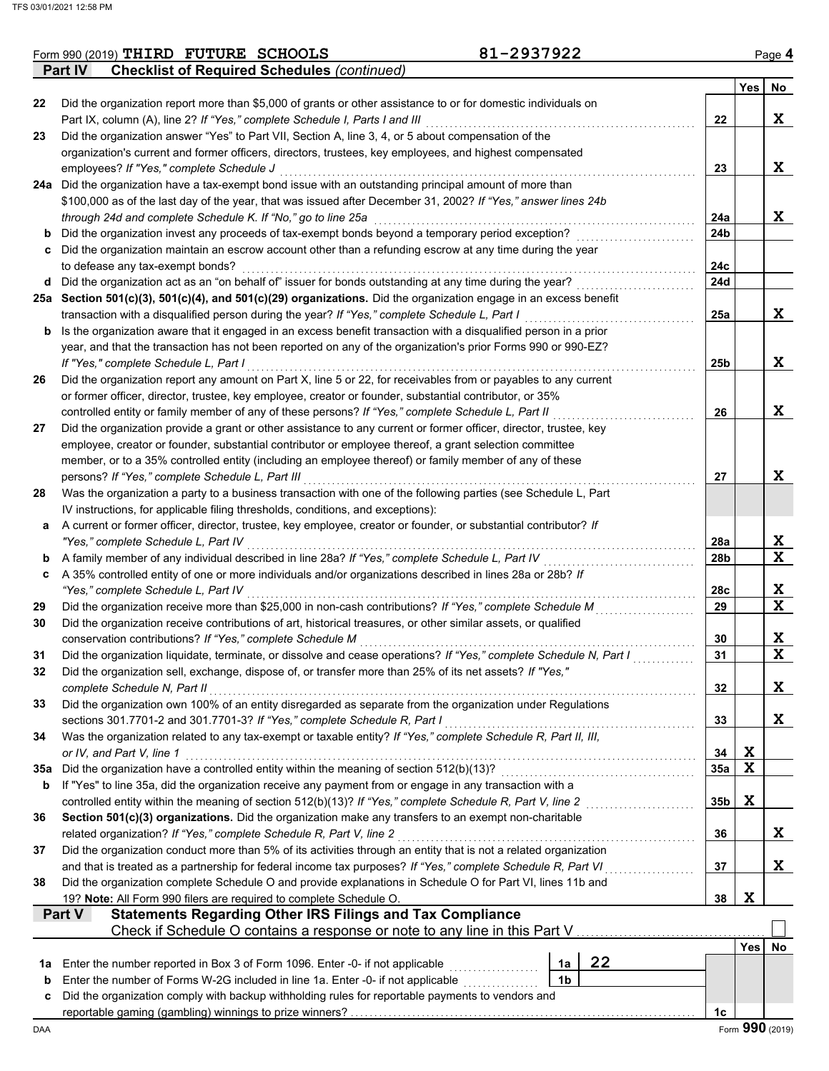|     | 81-2937922<br>Form 990 (2019) THIRD FUTURE SCHOOLS                                                                                                                                 |                 |             | Page 4                  |
|-----|------------------------------------------------------------------------------------------------------------------------------------------------------------------------------------|-----------------|-------------|-------------------------|
|     | <b>Checklist of Required Schedules (continued)</b><br><b>Part IV</b>                                                                                                               |                 |             |                         |
|     |                                                                                                                                                                                    |                 | Yes         | No                      |
| 22  | Did the organization report more than \$5,000 of grants or other assistance to or for domestic individuals on                                                                      | 22              |             | X                       |
| 23  | Part IX, column (A), line 2? If "Yes," complete Schedule I, Parts I and III<br>Did the organization answer "Yes" to Part VII, Section A, line 3, 4, or 5 about compensation of the |                 |             |                         |
|     | organization's current and former officers, directors, trustees, key employees, and highest compensated                                                                            |                 |             |                         |
|     | employees? If "Yes," complete Schedule J                                                                                                                                           | 23              |             | X                       |
|     | 24a Did the organization have a tax-exempt bond issue with an outstanding principal amount of more than                                                                            |                 |             |                         |
|     | \$100,000 as of the last day of the year, that was issued after December 31, 2002? If "Yes," answer lines 24b                                                                      |                 |             |                         |
|     | through 24d and complete Schedule K. If "No," go to line 25a                                                                                                                       | 24a             |             | X                       |
| b   | Did the organization invest any proceeds of tax-exempt bonds beyond a temporary period exception?                                                                                  | 24 <sub>b</sub> |             |                         |
|     | c Did the organization maintain an escrow account other than a refunding escrow at any time during the year                                                                        |                 |             |                         |
|     | to defease any tax-exempt bonds?                                                                                                                                                   | 24c             |             |                         |
|     | d Did the organization act as an "on behalf of" issuer for bonds outstanding at any time during the year?                                                                          | 24d             |             |                         |
|     | 25a Section 501(c)(3), 501(c)(4), and 501(c)(29) organizations. Did the organization engage in an excess benefit                                                                   |                 |             |                         |
|     | transaction with a disqualified person during the year? If "Yes," complete Schedule L, Part I                                                                                      | 25a             |             | X                       |
| b   | Is the organization aware that it engaged in an excess benefit transaction with a disqualified person in a prior                                                                   |                 |             |                         |
|     | year, and that the transaction has not been reported on any of the organization's prior Forms 990 or 990-EZ?                                                                       |                 |             |                         |
|     | If "Yes," complete Schedule L, Part I                                                                                                                                              | 25 <sub>b</sub> |             | X                       |
| 26  | Did the organization report any amount on Part X, line 5 or 22, for receivables from or payables to any current                                                                    |                 |             |                         |
|     | or former officer, director, trustee, key employee, creator or founder, substantial contributor, or 35%                                                                            |                 |             |                         |
|     | controlled entity or family member of any of these persons? If "Yes," complete Schedule L, Part II                                                                                 | 26              |             | X                       |
| 27  | Did the organization provide a grant or other assistance to any current or former officer, director, trustee, key                                                                  |                 |             |                         |
|     | employee, creator or founder, substantial contributor or employee thereof, a grant selection committee                                                                             |                 |             |                         |
|     | member, or to a 35% controlled entity (including an employee thereof) or family member of any of these                                                                             |                 |             |                         |
|     | persons? If "Yes," complete Schedule L, Part III                                                                                                                                   | 27              |             | X                       |
| 28  | Was the organization a party to a business transaction with one of the following parties (see Schedule L, Part                                                                     |                 |             |                         |
|     | IV instructions, for applicable filing thresholds, conditions, and exceptions):                                                                                                    |                 |             |                         |
| а   | A current or former officer, director, trustee, key employee, creator or founder, or substantial contributor? If                                                                   |                 |             |                         |
|     | "Yes," complete Schedule L, Part IV                                                                                                                                                | 28a             |             | X<br>$\mathbf x$        |
| b   | A family member of any individual described in line 28a? If "Yes," complete Schedule L, Part IV                                                                                    | 28 <sub>b</sub> |             |                         |
| c   | A 35% controlled entity of one or more individuals and/or organizations described in lines 28a or 28b? If<br>"Yes," complete Schedule L, Part IV                                   | 28c             |             | X                       |
| 29  | Did the organization receive more than \$25,000 in non-cash contributions? If "Yes," complete Schedule M                                                                           | 29              |             | $\mathbf{x}$            |
| 30  | Did the organization receive contributions of art, historical treasures, or other similar assets, or qualified                                                                     |                 |             |                         |
|     | conservation contributions? If "Yes," complete Schedule M                                                                                                                          | 30              |             | X                       |
| 31  | Did the organization liquidate, terminate, or dissolve and cease operations? If "Yes," complete Schedule N, Part I                                                                 | 31              |             | $\overline{\mathbf{x}}$ |
| 32  | Did the organization sell, exchange, dispose of, or transfer more than 25% of its net assets? If "Yes,"                                                                            |                 |             |                         |
|     | complete Schedule N, Part II                                                                                                                                                       | 32              |             | X                       |
| 33  | Did the organization own 100% of an entity disregarded as separate from the organization under Regulations                                                                         |                 |             |                         |
|     | sections 301.7701-2 and 301.7701-3? If "Yes," complete Schedule R, Part I                                                                                                          | 33              |             | X                       |
| 34  | Was the organization related to any tax-exempt or taxable entity? If "Yes," complete Schedule R, Part II, III,                                                                     |                 |             |                         |
|     | or IV, and Part V, line 1                                                                                                                                                          | 34              | X           |                         |
| 35а | Did the organization have a controlled entity within the meaning of section 512(b)(13)?                                                                                            | 35a             | $\mathbf x$ |                         |
| b   | If "Yes" to line 35a, did the organization receive any payment from or engage in any transaction with a                                                                            |                 |             |                         |
|     | controlled entity within the meaning of section 512(b)(13)? If "Yes," complete Schedule R, Part V, line 2                                                                          | 35b             | X           |                         |
| 36  | Section 501(c)(3) organizations. Did the organization make any transfers to an exempt non-charitable                                                                               |                 |             |                         |
|     | related organization? If "Yes," complete Schedule R, Part V, line 2                                                                                                                | 36              |             | X                       |
| 37  | Did the organization conduct more than 5% of its activities through an entity that is not a related organization                                                                   |                 |             |                         |
|     | and that is treated as a partnership for federal income tax purposes? If "Yes," complete Schedule R, Part VI                                                                       | 37              |             | X                       |
| 38  | Did the organization complete Schedule O and provide explanations in Schedule O for Part VI, lines 11b and                                                                         |                 |             |                         |
|     | 19? Note: All Form 990 filers are required to complete Schedule O.                                                                                                                 | 38              | X           |                         |
|     | <b>Statements Regarding Other IRS Filings and Tax Compliance</b><br>Part V                                                                                                         |                 |             |                         |
|     | Check if Schedule O contains a response or note to any line in this Part V                                                                                                         |                 |             |                         |
|     |                                                                                                                                                                                    |                 | Yes         | No                      |
| 1a  | 22<br>Enter the number reported in Box 3 of Form 1096. Enter -0- if not applicable<br>1a                                                                                           |                 |             |                         |
| b   | 1 <sub>b</sub><br>Enter the number of Forms W-2G included in line 1a. Enter -0- if not applicable                                                                                  |                 |             |                         |
| c   | Did the organization comply with backup withholding rules for reportable payments to vendors and                                                                                   |                 |             |                         |
|     |                                                                                                                                                                                    | 1c              |             | Form 990 (2019)         |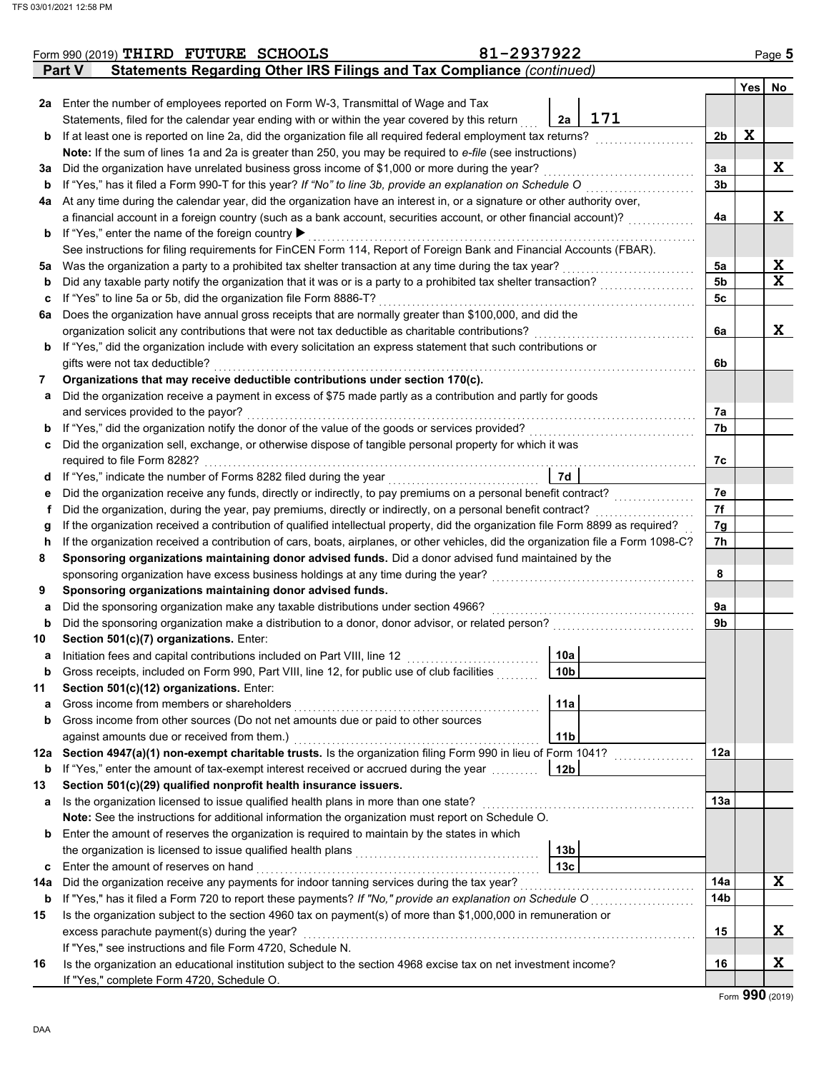|     | Form 990 (2019) THIRD FUTURE SCHOOLS                                                                                               | 81-2937922      |                 |             | Page 5       |
|-----|------------------------------------------------------------------------------------------------------------------------------------|-----------------|-----------------|-------------|--------------|
|     | <b>Statements Regarding Other IRS Filings and Tax Compliance (continued)</b><br>Part V                                             |                 |                 |             |              |
|     |                                                                                                                                    |                 |                 | Yes No      |              |
| 2a  | Enter the number of employees reported on Form W-3, Transmittal of Wage and Tax                                                    |                 |                 |             |              |
|     | Statements, filed for the calendar year ending with or within the year covered by this return                                      | 171<br>2a       |                 |             |              |
| b   | If at least one is reported on line 2a, did the organization file all required federal employment tax returns?                     |                 | 2 <sub>b</sub>  | $\mathbf x$ |              |
|     | Note: If the sum of lines 1a and 2a is greater than 250, you may be required to e-file (see instructions)                          |                 |                 |             |              |
| За  | Did the organization have unrelated business gross income of \$1,000 or more during the year?                                      |                 | За              |             | X            |
| b   | If "Yes," has it filed a Form 990-T for this year? If "No" to line 3b, provide an explanation on Schedule O                        |                 | 3 <sub>b</sub>  |             |              |
| 4a  | At any time during the calendar year, did the organization have an interest in, or a signature or other authority over,            |                 |                 |             |              |
|     | a financial account in a foreign country (such as a bank account, securities account, or other financial account)?                 |                 | 4a              |             | X            |
| b   | If "Yes," enter the name of the foreign country ▶                                                                                  |                 |                 |             |              |
|     | See instructions for filing requirements for FinCEN Form 114, Report of Foreign Bank and Financial Accounts (FBAR).                |                 |                 |             |              |
| 5a  | Was the organization a party to a prohibited tax shelter transaction at any time during the tax year?                              |                 | 5a              |             | <u>x</u>     |
| b   | Did any taxable party notify the organization that it was or is a party to a prohibited tax shelter transaction?                   |                 | 5 <sub>b</sub>  |             | $\mathbf{x}$ |
| с   | If "Yes" to line 5a or 5b, did the organization file Form 8886-T?                                                                  |                 | 5c              |             |              |
| 6a  | Does the organization have annual gross receipts that are normally greater than \$100,000, and did the                             |                 |                 |             |              |
|     | organization solicit any contributions that were not tax deductible as charitable contributions?                                   |                 | 6a              |             | X            |
| b   | If "Yes," did the organization include with every solicitation an express statement that such contributions or                     |                 |                 |             |              |
|     | gifts were not tax deductible?                                                                                                     |                 | 6b              |             |              |
| 7   | Organizations that may receive deductible contributions under section 170(c).                                                      |                 |                 |             |              |
| а   | Did the organization receive a payment in excess of \$75 made partly as a contribution and partly for goods                        |                 |                 |             |              |
|     | and services provided to the payor?                                                                                                |                 | 7а              |             |              |
| b   | If "Yes," did the organization notify the donor of the value of the goods or services provided?                                    |                 | 7b              |             |              |
| c   | Did the organization sell, exchange, or otherwise dispose of tangible personal property for which it was                           |                 |                 |             |              |
|     | required to file Form 8282?                                                                                                        |                 | 7c              |             |              |
| d   | If "Yes," indicate the number of Forms 8282 filed during the year                                                                  | 7d              |                 |             |              |
| е   | Did the organization receive any funds, directly or indirectly, to pay premiums on a personal benefit contract?                    |                 | 7e              |             |              |
| f   | Did the organization, during the year, pay premiums, directly or indirectly, on a personal benefit contract?                       |                 | 7f              |             |              |
| g   | If the organization received a contribution of qualified intellectual property, did the organization file Form 8899 as required?   |                 | 7g              |             |              |
| h   | If the organization received a contribution of cars, boats, airplanes, or other vehicles, did the organization file a Form 1098-C? |                 | 7h              |             |              |
| 8   | Sponsoring organizations maintaining donor advised funds. Did a donor advised fund maintained by the                               |                 |                 |             |              |
|     | sponsoring organization have excess business holdings at any time during the year?                                                 |                 | 8               |             |              |
| 9   | Sponsoring organizations maintaining donor advised funds.                                                                          |                 |                 |             |              |
| а   | Did the sponsoring organization make any taxable distributions under section 4966?                                                 |                 | 9а              |             |              |
| b   | Did the sponsoring organization make a distribution to a donor, donor advisor, or related person?                                  |                 | 9b              |             |              |
| 10  | Section 501(c)(7) organizations. Enter:                                                                                            |                 |                 |             |              |
|     | Initiation fees and capital contributions included on Part VIII, line 12                                                           | 10a             |                 |             |              |
| b   | Gross receipts, included on Form 990, Part VIII, line 12, for public use of club facilities                                        | 10 <sub>b</sub> |                 |             |              |
| 11  | Section 501(c)(12) organizations. Enter:                                                                                           |                 |                 |             |              |
| a   | Gross income from members or shareholders                                                                                          | 11a             |                 |             |              |
| b   | Gross income from other sources (Do not net amounts due or paid to other sources                                                   |                 |                 |             |              |
|     | against amounts due or received from them.)                                                                                        | 11 <sub>b</sub> |                 |             |              |
| 12a | Section 4947(a)(1) non-exempt charitable trusts. Is the organization filing Form 990 in lieu of Form 1041?                         |                 | 12a             |             |              |
| b   | If "Yes," enter the amount of tax-exempt interest received or accrued during the year                                              | 12 <sub>b</sub> |                 |             |              |
| 13  | Section 501(c)(29) qualified nonprofit health insurance issuers.                                                                   |                 |                 |             |              |
| а   | Is the organization licensed to issue qualified health plans in more than one state?                                               |                 | 13a             |             |              |
|     | Note: See the instructions for additional information the organization must report on Schedule O.                                  |                 |                 |             |              |
| b   | Enter the amount of reserves the organization is required to maintain by the states in which                                       |                 |                 |             |              |
|     | the organization is licensed to issue qualified health plans                                                                       | 13 <sub>b</sub> |                 |             |              |
| c   | Enter the amount of reserves on hand                                                                                               | 13 <sub>c</sub> |                 |             |              |
| 14a | Did the organization receive any payments for indoor tanning services during the tax year?                                         |                 | 14a             |             | X            |
| b   | If "Yes," has it filed a Form 720 to report these payments? If "No," provide an explanation on Schedule O                          |                 | 14 <sub>b</sub> |             |              |
| 15  | Is the organization subject to the section 4960 tax on payment(s) of more than \$1,000,000 in remuneration or                      |                 |                 |             |              |
|     | excess parachute payment(s) during the year?                                                                                       |                 | 15              |             | X            |
|     | If "Yes," see instructions and file Form 4720, Schedule N.                                                                         |                 |                 |             |              |
| 16  | Is the organization an educational institution subject to the section 4968 excise tax on net investment income?                    |                 | 16              |             | X            |
|     | If "Yes," complete Form 4720, Schedule O.                                                                                          |                 |                 |             |              |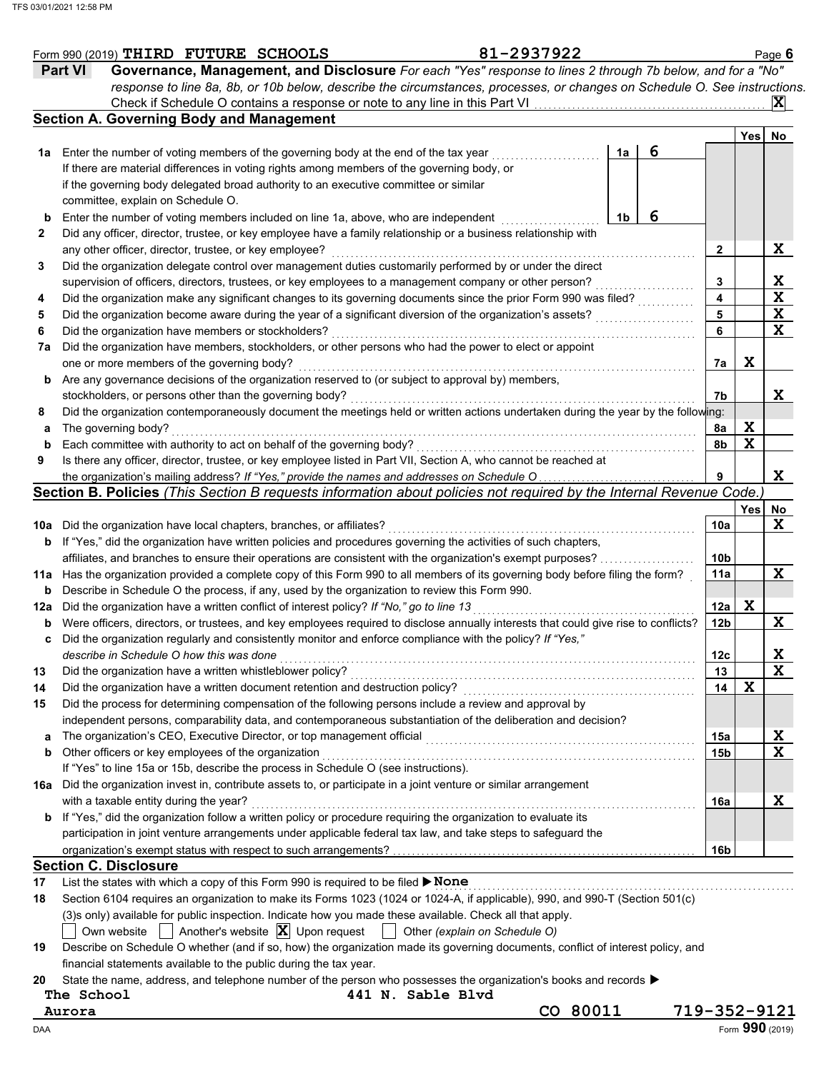|          | 81-2937922<br>Form 990 (2019) THIRD FUTURE SCHOOLS                                                                                                                                                                |              |                         |             | Page 6      |
|----------|-------------------------------------------------------------------------------------------------------------------------------------------------------------------------------------------------------------------|--------------|-------------------------|-------------|-------------|
|          | Governance, Management, and Disclosure For each "Yes" response to lines 2 through 7b below, and for a "No"<br><b>Part VI</b>                                                                                      |              |                         |             |             |
|          | response to line 8a, 8b, or 10b below, describe the circumstances, processes, or changes on Schedule O. See instructions.                                                                                         |              |                         |             |             |
|          | Check if Schedule O contains a response or note to any line in this Part VI                                                                                                                                       |              |                         |             | X           |
|          | <b>Section A. Governing Body and Management</b>                                                                                                                                                                   |              |                         |             |             |
|          |                                                                                                                                                                                                                   |              |                         | Yes         | No          |
|          | 1a Enter the number of voting members of the governing body at the end of the tax year<br>1a                                                                                                                      | 6            |                         |             |             |
|          | If there are material differences in voting rights among members of the governing body, or                                                                                                                        |              |                         |             |             |
|          | if the governing body delegated broad authority to an executive committee or similar                                                                                                                              |              |                         |             |             |
|          | committee, explain on Schedule O.                                                                                                                                                                                 |              |                         |             |             |
| b        | 1 <sub>b</sub><br>Enter the number of voting members included on line 1a, above, who are independent                                                                                                              | 6            |                         |             |             |
| 2        | Did any officer, director, trustee, or key employee have a family relationship or a business relationship with                                                                                                    |              |                         |             |             |
|          | any other officer, director, trustee, or key employee?                                                                                                                                                            |              | 2                       |             | X           |
| 3        | Did the organization delegate control over management duties customarily performed by or under the direct                                                                                                         |              |                         |             |             |
|          | supervision of officers, directors, trustees, or key employees to a management company or other person?                                                                                                           |              | 3                       |             | X           |
| 4        | Did the organization make any significant changes to its governing documents since the prior Form 990 was filed?                                                                                                  |              | $\overline{\mathbf{4}}$ |             | X           |
| 5        | Did the organization become aware during the year of a significant diversion of the organization's assets?                                                                                                        |              | 5                       |             | X           |
| 6        | Did the organization have members or stockholders?                                                                                                                                                                |              | 6                       |             | X           |
| 7a       | Did the organization have members, stockholders, or other persons who had the power to elect or appoint                                                                                                           |              |                         |             |             |
|          | one or more members of the governing body?                                                                                                                                                                        |              | 7a                      | X           |             |
|          | Are any governance decisions of the organization reserved to (or subject to approval by) members,                                                                                                                 |              |                         |             |             |
| b        | stockholders, or persons other than the governing body?                                                                                                                                                           |              | 7b                      |             | X           |
|          |                                                                                                                                                                                                                   |              |                         |             |             |
| 8        | Did the organization contemporaneously document the meetings held or written actions undertaken during the year by the following:                                                                                 |              |                         |             |             |
| а        | The governing body?                                                                                                                                                                                               |              | 8a                      | X<br>X      |             |
| b        | Each committee with authority to act on behalf of the governing body?                                                                                                                                             |              | 8b                      |             |             |
| 9        | Is there any officer, director, trustee, or key employee listed in Part VII, Section A, who cannot be reached at                                                                                                  |              |                         |             |             |
|          | the organization's mailing address? If "Yes," provide the names and addresses on Schedule O                                                                                                                       |              | 9                       |             | X           |
|          | Section B. Policies (This Section B requests information about policies not required by the Internal Revenue Code.                                                                                                |              |                         |             |             |
|          |                                                                                                                                                                                                                   |              |                         | Yes         | No          |
|          | 10a Did the organization have local chapters, branches, or affiliates?                                                                                                                                            |              | 10a                     |             | X           |
|          | <b>b</b> If "Yes," did the organization have written policies and procedures governing the activities of such chapters,                                                                                           |              |                         |             |             |
|          | affiliates, and branches to ensure their operations are consistent with the organization's exempt purposes?                                                                                                       |              | 10 <sub>b</sub>         |             |             |
|          | 11a Has the organization provided a complete copy of this Form 990 to all members of its governing body before filing the form?                                                                                   |              | 11a                     |             | X           |
| b        | Describe in Schedule O the process, if any, used by the organization to review this Form 990.                                                                                                                     |              |                         |             |             |
| 12a      | Did the organization have a written conflict of interest policy? If "No," go to line 13                                                                                                                           |              | 12a                     | X           |             |
| b        | Were officers, directors, or trustees, and key employees required to disclose annually interests that could give rise to conflicts?                                                                               |              | 12 <sub>b</sub>         |             | X           |
| c        | Did the organization regularly and consistently monitor and enforce compliance with the policy? If "Yes,"                                                                                                         |              |                         |             |             |
|          | describe in Schedule O how this was done                                                                                                                                                                          |              | 12c                     |             | 4           |
| 13       | Did the organization have a written whistleblower policy?                                                                                                                                                         |              | 13                      |             | $\mathbf x$ |
| 14       | Did the organization have a written document retention and destruction policy?                                                                                                                                    |              | 14                      | $\mathbf x$ |             |
| 15       | Did the process for determining compensation of the following persons include a review and approval by                                                                                                            |              |                         |             |             |
|          | independent persons, comparability data, and contemporaneous substantiation of the deliberation and decision?                                                                                                     |              |                         |             |             |
| a        | The organization's CEO, Executive Director, or top management official                                                                                                                                            |              | 15a                     |             | <u>x</u>    |
| b        | Other officers or key employees of the organization                                                                                                                                                               |              | 15 <sub>b</sub>         |             | $\mathbf x$ |
|          | If "Yes" to line 15a or 15b, describe the process in Schedule O (see instructions).                                                                                                                               |              |                         |             |             |
|          | 16a Did the organization invest in, contribute assets to, or participate in a joint venture or similar arrangement                                                                                                |              |                         |             |             |
|          | with a taxable entity during the year?                                                                                                                                                                            |              | 16a                     |             | X           |
|          | <b>b</b> If "Yes," did the organization follow a written policy or procedure requiring the organization to evaluate its                                                                                           |              |                         |             |             |
|          | participation in joint venture arrangements under applicable federal tax law, and take steps to safeguard the                                                                                                     |              |                         |             |             |
|          |                                                                                                                                                                                                                   |              | 16b                     |             |             |
|          | <b>Section C. Disclosure</b>                                                                                                                                                                                      |              |                         |             |             |
|          |                                                                                                                                                                                                                   |              |                         |             |             |
| 17<br>18 | List the states with which a copy of this Form 990 is required to be filed ▶ None<br>Section 6104 requires an organization to make its Forms 1023 (1024 or 1024-A, if applicable), 990, and 990-T (Section 501(c) |              |                         |             |             |
|          |                                                                                                                                                                                                                   |              |                         |             |             |
|          | (3)s only) available for public inspection. Indicate how you made these available. Check all that apply.                                                                                                          |              |                         |             |             |
|          | Another's website $ \mathbf{X} $ Upon request<br>Own website<br>Other (explain on Schedule O)                                                                                                                     |              |                         |             |             |
| 19       | Describe on Schedule O whether (and if so, how) the organization made its governing documents, conflict of interest policy, and                                                                                   |              |                         |             |             |
|          | financial statements available to the public during the tax year.                                                                                                                                                 |              |                         |             |             |
| 20       | State the name, address, and telephone number of the person who possesses the organization's books and records $\blacktriangleright$                                                                              |              |                         |             |             |
|          | 441 N. Sable Blvd<br>The School                                                                                                                                                                                   |              |                         |             |             |
|          | CO 80011<br>Aurora                                                                                                                                                                                                | 719-352-9121 |                         |             |             |

 $\blacksquare$   $\blacksquare$   $\blacksquare$   $\blacksquare$   $\blacksquare$   $\blacksquare$   $\blacksquare$   $\blacksquare$   $\blacksquare$   $\blacksquare$   $\blacksquare$   $\blacksquare$   $\blacksquare$   $\blacksquare$   $\blacksquare$   $\blacksquare$   $\blacksquare$   $\blacksquare$   $\blacksquare$   $\blacksquare$   $\blacksquare$   $\blacksquare$   $\blacksquare$   $\blacksquare$   $\blacksquare$   $\blacksquare$   $\blacksquare$   $\blacksquare$   $\blacksquare$   $\blacksquare$   $\blacksquare$   $\blacks$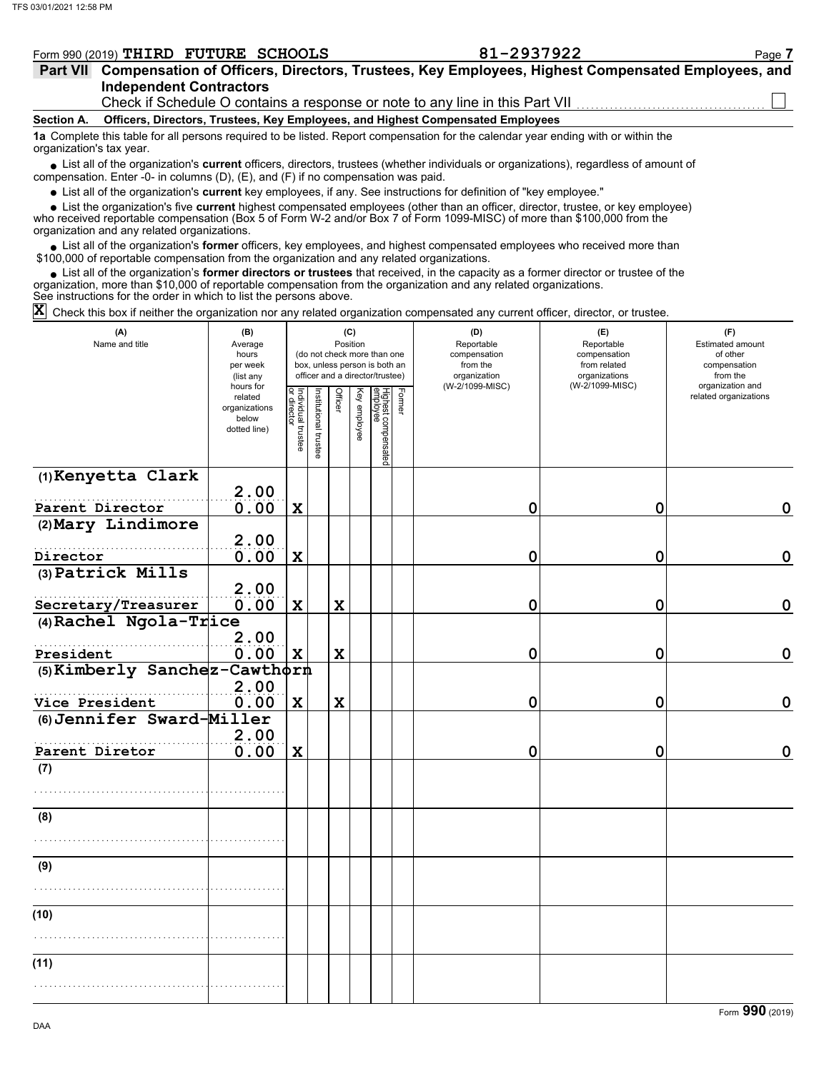| Form 990 (2019) | <b>THIRD</b> | <b>FUTURE</b> | <b>SCHOOLS</b> | <b>. .</b><br>JLL | Page |
|-----------------|--------------|---------------|----------------|-------------------|------|
|                 |              |               |                |                   |      |

| Part VII Compensation of Officers, Directors, Trustees, Key Employees, Highest Compensated Employees, and |
|-----------------------------------------------------------------------------------------------------------|
| <b>Independent Contractors</b>                                                                            |
| Check if Schedule O contains a response or note to any line in this Part VII                              |

**Section A. Officers, Directors, Trustees, Key Employees, and Highest Compensated Employees**

**1a** Complete this table for all persons required to be listed. Report compensation for the calendar year ending with or within the organization's tax year.

■ List all of the organization's **current** officers, directors, trustees (whether individuals or organizations), regardless of amount of compensation. Enter -0- in columns (D), (E), and (F) if no compensation was paid.

List all of the organization's **current** key employees, if any. See instructions for definition of "key employee."

■ List all of the organization's **current** key employees, if any. See instructions for definition of "key employee."<br>■ List the organization's five **current** highest compensated employees (other than an officer, director,

who received reportable compensation (Box 5 of Form W-2 and/or Box 7 of Form 1099-MISC) of more than \$100,000 from the organization and any related organizations.

• List all of the organization's **former** officers, key employees, and highest compensated employees who received more than<br>00,000 of reportable compensation from the organization and any related erganizations. \$100,000 of reportable compensation from the organization and any related organizations.

• List all of the organization's **former directors or trustees** that received, in the capacity as a former director or trustee of the anization more than \$10,000 of reportable compensation from the organization and any rel organization, more than \$10,000 of reportable compensation from the organization and any related organizations. See instructions for the order in which to list the persons above.

Check this box if neither the organization nor any related organization compensated any current officer, director, or trustee. **X**

| (A)<br>Name and title         | (B)<br>Average<br>hours<br>per week<br>(list any               | (C)<br>Position<br>(do not check more than one<br>box, unless person is both an<br>officer and a director/trustee) |                      |             |              |                                 |        | (D)<br>Reportable<br>compensation<br>from the<br>organization | (E)<br>Reportable<br>compensation<br>from related<br>organizations | (F)<br>Estimated amount<br>of other<br>compensation<br>from the |  |
|-------------------------------|----------------------------------------------------------------|--------------------------------------------------------------------------------------------------------------------|----------------------|-------------|--------------|---------------------------------|--------|---------------------------------------------------------------|--------------------------------------------------------------------|-----------------------------------------------------------------|--|
|                               | hours for<br>related<br>organizations<br>below<br>dotted line) | Individual trustee<br>or director                                                                                  | nstitutional trustee | Officer     | Key employee | Highest compensated<br>employee | Former | (W-2/1099-MISC)                                               | (W-2/1099-MISC)                                                    | organization and<br>related organizations                       |  |
| (1) Kenyetta Clark            |                                                                |                                                                                                                    |                      |             |              |                                 |        |                                                               |                                                                    |                                                                 |  |
| Parent Director               | 2.00<br>0.00                                                   | $\mathbf x$                                                                                                        |                      |             |              |                                 |        | 0                                                             | 0                                                                  | 0                                                               |  |
| (2) Mary Lindimore            |                                                                |                                                                                                                    |                      |             |              |                                 |        |                                                               |                                                                    |                                                                 |  |
| Director                      | 2.00<br>0.00                                                   | $\mathbf x$                                                                                                        |                      |             |              |                                 |        | 0                                                             | 0                                                                  | $\mathbf 0$                                                     |  |
| (3) Patrick Mills             |                                                                |                                                                                                                    |                      |             |              |                                 |        |                                                               |                                                                    |                                                                 |  |
| Secretary/Treasurer           | 2.00<br>0.00                                                   | $\mathbf x$                                                                                                        |                      | X           |              |                                 |        | 0                                                             | 0                                                                  | $\mathbf 0$                                                     |  |
| $(4)$ Rachel Ngola-Trice      |                                                                |                                                                                                                    |                      |             |              |                                 |        |                                                               |                                                                    |                                                                 |  |
| President                     | 2.00<br>0.00                                                   | $\mathbf x$                                                                                                        |                      | $\mathbf x$ |              |                                 |        | 0                                                             | 0                                                                  | $\mathbf 0$                                                     |  |
| (5) Kimberly Sanchez-Cawthorn |                                                                |                                                                                                                    |                      |             |              |                                 |        |                                                               |                                                                    |                                                                 |  |
| Vice President                | 2.00<br>0.00                                                   | $\mathbf x$                                                                                                        |                      | $\mathbf x$ |              |                                 |        | 0                                                             | $\mathbf 0$                                                        | $\mathbf 0$                                                     |  |
| (6) Jennifer Sward-Miller     |                                                                |                                                                                                                    |                      |             |              |                                 |        |                                                               |                                                                    |                                                                 |  |
| Parent Diretor                | 2.00<br>0.00                                                   | $\mathbf x$                                                                                                        |                      |             |              |                                 |        | 0                                                             | 0                                                                  | $\mathbf 0$                                                     |  |
| (7)                           |                                                                |                                                                                                                    |                      |             |              |                                 |        |                                                               |                                                                    |                                                                 |  |
|                               |                                                                |                                                                                                                    |                      |             |              |                                 |        |                                                               |                                                                    |                                                                 |  |
| (8)                           |                                                                |                                                                                                                    |                      |             |              |                                 |        |                                                               |                                                                    |                                                                 |  |
|                               |                                                                |                                                                                                                    |                      |             |              |                                 |        |                                                               |                                                                    |                                                                 |  |
| (9)                           |                                                                |                                                                                                                    |                      |             |              |                                 |        |                                                               |                                                                    |                                                                 |  |
|                               |                                                                |                                                                                                                    |                      |             |              |                                 |        |                                                               |                                                                    |                                                                 |  |
| (10)                          |                                                                |                                                                                                                    |                      |             |              |                                 |        |                                                               |                                                                    |                                                                 |  |
|                               |                                                                |                                                                                                                    |                      |             |              |                                 |        |                                                               |                                                                    |                                                                 |  |
| (11)                          |                                                                |                                                                                                                    |                      |             |              |                                 |        |                                                               |                                                                    |                                                                 |  |
|                               |                                                                |                                                                                                                    |                      |             |              |                                 |        |                                                               |                                                                    |                                                                 |  |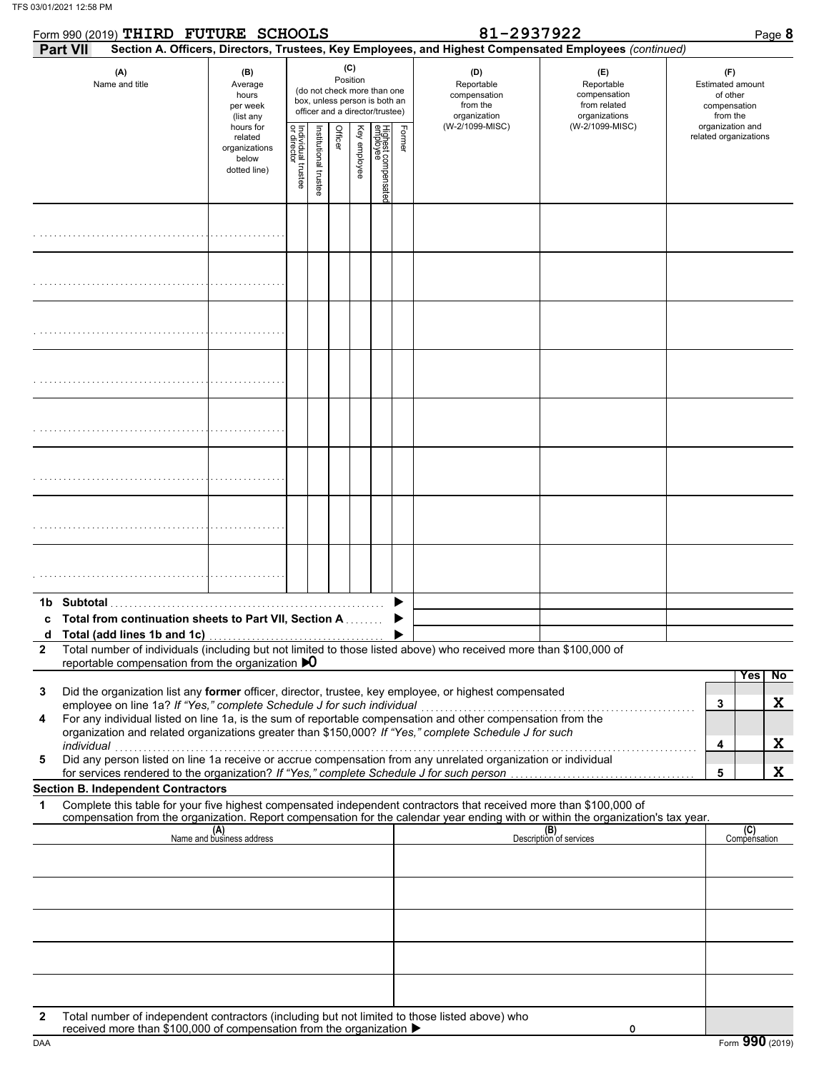|              | Form 990 (2019) THIRD FUTURE SCHOOLS                                                                                                                                                                                                                                                                                                                                                                                          |                                                                |                                   |                       |         |                 |                                                                                                 |        | 81-2937922                                                    | Page 8                                                                                                 |                                                                 |
|--------------|-------------------------------------------------------------------------------------------------------------------------------------------------------------------------------------------------------------------------------------------------------------------------------------------------------------------------------------------------------------------------------------------------------------------------------|----------------------------------------------------------------|-----------------------------------|-----------------------|---------|-----------------|-------------------------------------------------------------------------------------------------|--------|---------------------------------------------------------------|--------------------------------------------------------------------------------------------------------|-----------------------------------------------------------------|
|              | Part VII                                                                                                                                                                                                                                                                                                                                                                                                                      |                                                                |                                   |                       |         |                 |                                                                                                 |        |                                                               | Section A. Officers, Directors, Trustees, Key Employees, and Highest Compensated Employees (continued) |                                                                 |
|              | (A)<br>Name and title                                                                                                                                                                                                                                                                                                                                                                                                         | (B)<br>Average<br>hours<br>per week<br>(list any               |                                   |                       |         | (C)<br>Position | (do not check more than one<br>box, unless person is both an<br>officer and a director/trustee) |        | (D)<br>Reportable<br>compensation<br>from the<br>organization | (E)<br>Reportable<br>compensation<br>from related<br>organizations                                     | (F)<br>Estimated amount<br>of other<br>compensation<br>from the |
|              |                                                                                                                                                                                                                                                                                                                                                                                                                               | hours for<br>related<br>organizations<br>below<br>dotted line) | Individual trustee<br>or director | Institutional trustee | Officer | Key employee    | Highest compensatec<br>employee                                                                 | Former | (W-2/1099-MISC)                                               | (W-2/1099-MISC)                                                                                        | organization and<br>related organizations                       |
|              |                                                                                                                                                                                                                                                                                                                                                                                                                               |                                                                |                                   |                       |         |                 |                                                                                                 |        |                                                               |                                                                                                        |                                                                 |
|              |                                                                                                                                                                                                                                                                                                                                                                                                                               |                                                                |                                   |                       |         |                 |                                                                                                 |        |                                                               |                                                                                                        |                                                                 |
|              |                                                                                                                                                                                                                                                                                                                                                                                                                               |                                                                |                                   |                       |         |                 |                                                                                                 |        |                                                               |                                                                                                        |                                                                 |
|              |                                                                                                                                                                                                                                                                                                                                                                                                                               |                                                                |                                   |                       |         |                 |                                                                                                 |        |                                                               |                                                                                                        |                                                                 |
|              |                                                                                                                                                                                                                                                                                                                                                                                                                               |                                                                |                                   |                       |         |                 |                                                                                                 |        |                                                               |                                                                                                        |                                                                 |
|              |                                                                                                                                                                                                                                                                                                                                                                                                                               |                                                                |                                   |                       |         |                 |                                                                                                 |        |                                                               |                                                                                                        |                                                                 |
|              |                                                                                                                                                                                                                                                                                                                                                                                                                               |                                                                |                                   |                       |         |                 |                                                                                                 |        |                                                               |                                                                                                        |                                                                 |
|              |                                                                                                                                                                                                                                                                                                                                                                                                                               |                                                                |                                   |                       |         |                 |                                                                                                 |        |                                                               |                                                                                                        |                                                                 |
|              |                                                                                                                                                                                                                                                                                                                                                                                                                               |                                                                |                                   |                       |         |                 |                                                                                                 |        |                                                               |                                                                                                        |                                                                 |
|              | Total from continuation sheets to Part VII, Section A                                                                                                                                                                                                                                                                                                                                                                         |                                                                |                                   |                       |         |                 |                                                                                                 |        |                                                               |                                                                                                        |                                                                 |
| $\mathbf{2}$ | Total number of individuals (including but not limited to those listed above) who received more than \$100,000 of<br>reportable compensation from the organization $\mathbf{D}$                                                                                                                                                                                                                                               |                                                                |                                   |                       |         |                 |                                                                                                 |        |                                                               |                                                                                                        | N <sub>o</sub><br><b>Yes</b>                                    |
| 3            | Did the organization list any former officer, director, trustee, key employee, or highest compensated                                                                                                                                                                                                                                                                                                                         |                                                                |                                   |                       |         |                 |                                                                                                 |        |                                                               |                                                                                                        | X                                                               |
| 4<br>5       | employee on line 1a? If "Yes," complete Schedule J for such individual<br>For any individual listed on line 1a, is the sum of reportable compensation and other compensation from the<br>organization and related organizations greater than \$150,000? If "Yes," complete Schedule J for such<br>individual<br>Did any person listed on line 1a receive or accrue compensation from any unrelated organization or individual |                                                                |                                   |                       |         |                 |                                                                                                 |        |                                                               |                                                                                                        | 3<br>X<br>4                                                     |
|              | for services rendered to the organization? If "Yes," complete Schedule J for such person                                                                                                                                                                                                                                                                                                                                      |                                                                |                                   |                       |         |                 |                                                                                                 |        |                                                               |                                                                                                        | X<br>5                                                          |
| 1            | <b>Section B. Independent Contractors</b><br>Complete this table for your five highest compensated independent contractors that received more than \$100,000 of                                                                                                                                                                                                                                                               |                                                                |                                   |                       |         |                 |                                                                                                 |        |                                                               |                                                                                                        |                                                                 |
|              | compensation from the organization. Report compensation for the calendar year ending with or within the organization's tax year.                                                                                                                                                                                                                                                                                              | (A)<br>Name and business address                               |                                   |                       |         |                 |                                                                                                 |        |                                                               | (B)<br>Description of services                                                                         | (C)<br>Compensation                                             |
|              |                                                                                                                                                                                                                                                                                                                                                                                                                               |                                                                |                                   |                       |         |                 |                                                                                                 |        |                                                               |                                                                                                        |                                                                 |
|              |                                                                                                                                                                                                                                                                                                                                                                                                                               |                                                                |                                   |                       |         |                 |                                                                                                 |        |                                                               |                                                                                                        |                                                                 |
|              |                                                                                                                                                                                                                                                                                                                                                                                                                               |                                                                |                                   |                       |         |                 |                                                                                                 |        |                                                               |                                                                                                        |                                                                 |
|              |                                                                                                                                                                                                                                                                                                                                                                                                                               |                                                                |                                   |                       |         |                 |                                                                                                 |        |                                                               |                                                                                                        |                                                                 |
| $\mathbf{2}$ | Total number of independent contractors (including but not limited to those listed above) who                                                                                                                                                                                                                                                                                                                                 |                                                                |                                   |                       |         |                 |                                                                                                 |        |                                                               |                                                                                                        |                                                                 |
| <b>DAA</b>   | received more than \$100,000 of compensation from the organization ▶                                                                                                                                                                                                                                                                                                                                                          |                                                                |                                   |                       |         |                 |                                                                                                 |        |                                                               | 0                                                                                                      | Form 990 (2019)                                                 |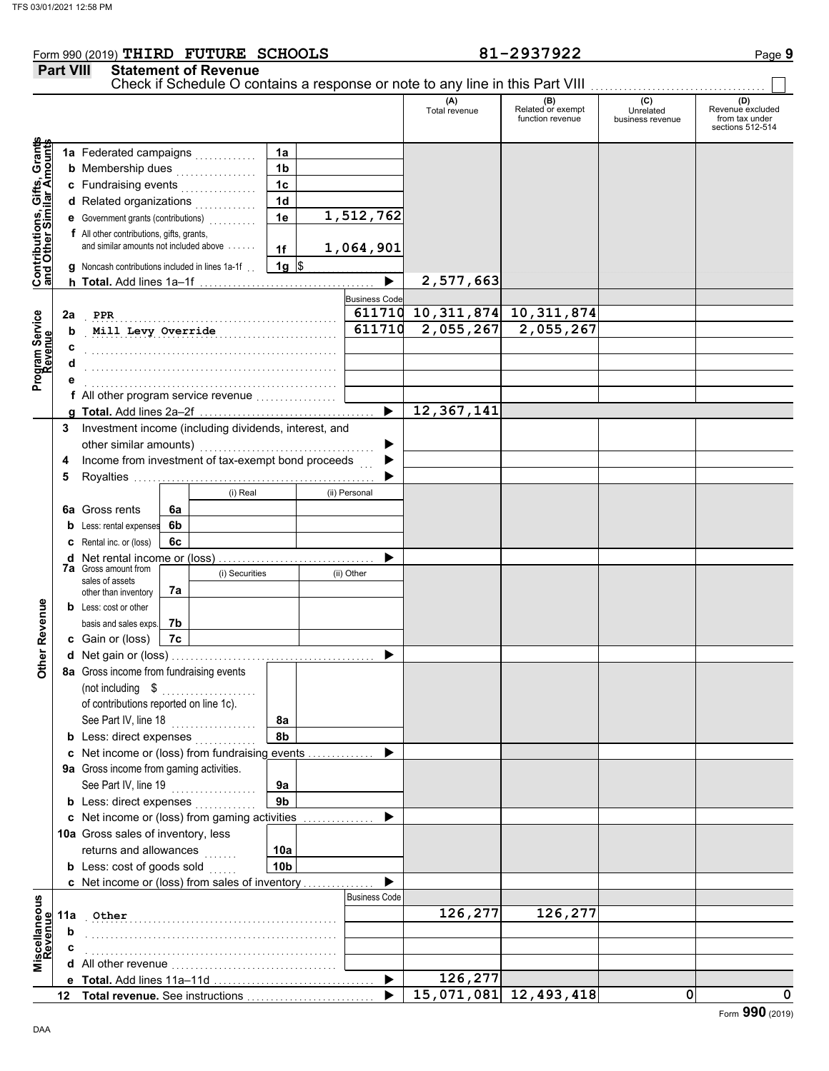### Form 990 (2019) Page **9 THIRD FUTURE SCHOOLS 81-2937922 Part VIII Statement of Revenue** Check if Schedule O contains a response or note to any line in this Part VIII. (A) (B) (C) (C) (D)<br>Total revenue Related or exempt Unrelated Revenue e: Total revenue Related or exempt Unrelated Revenue excluded function revenue business revenue from tax under sections 512-514 **Contributions, Gifts, Grants and Other Similar Amounts** Grant **1a 1a** Federated campaigns . . . . . . . . . . . , Gifts, Gra<br>illar Amou **1b b** Membership dues  $\ldots$  . . . . . . . . . . . . **1c c** Fundraising events . . . . . . . . . . . . . . . . **1d d** Related organizations <sub>.</sub> . . . . . . . . . . **Contributions,<br>and Other Sim 1e 1,512,762 e** Government grants (contributions) . . . . . . . . . . **f** All other contributions, gifts, grants, and similar amounts not included above  $\dots$ . **1,064,901 1f 1g g** Noncash contributions included in lines 1a-1f . .  $\frac{1}{2}$ **2,577,663**  $\blacktriangleright$ **h Total.** Add lines 1a–1f . . . . . . . . . . . . . . . . . . . . . . . . . . . . . . . . . . . . . **Business Code** Program Service<br>Revenue **611710 10,311,874 10,311,874 2a Program Service** . . . . . . . . . . . . . . . . . . . . . . . . . . . . . . . . . . . . . . . . . . . . . . . . . . . . . . . . . . . . . . . . . . . . . . . . . . . . . . . . . . . . . . . . . . . . . . . . . . . . . . . . . . **Mill Levy Override 611710 2,055,267 2,055,267 b c** . . . . . . . . . . . . . . . . . . . . . . . . . . . . . . . . . . . . . . . . . . . . . . . . . . . . . **d** . . . . . . . . . . . . . . . . . . . . . . . . . . . . . . . . . . . . . . . . . . . . . . . . . . . . . **e** . . . . . . . . . . . . . . . . . . . . . . . . . . . . . . . . . . . . . . . . . . . . . . . . . . . . . **f** All other program service revenue . . . . . . . . . . . . . . . . . **12,367,141 g Total.** Add lines 2a–2f . . . . . . . . . . . . . . . . . . . . . . . . . . . . . . . . . . . . . **3** Investment income (including dividends, interest, and other similar amounts) .......... ь Income from investment of tax-exempt bond proceeds **4** b **5** Royalties .... ▶ (i) Real (ii) Personal **6a** Gross rents **6a 6b b** Less: rental expenses **c** Rental inc. or (loss) **6c** ь **d** Net rental income or (loss) . . . . . . . . . . . . . . . . . . . . . . . . . . . . . . . . . **7a** Gross amount from (i) Securities (ii) Other sales of assets **7a** other than inventory **Other Revenue Other Revenue b** Less: cost or other **7b** basis and sales exps. **7c c** Gain or (loss) **d** Net gain or (loss) . . . . . . . . . . . . . . . . . . . . . . . . . . . . . . . . . . . . . . . . . . . **8a** Gross income from fundraising events (not including . . . . . . . . . . . . . . . . of contributions reported on line 1c). See Part IV, line 18 . . . . . . . . . . . . . . . . . . **8a 8b b** Less: direct expenses <sub>.</sub> . . . . . . . . . . **c** Net income or (loss) from fundraising events . . . . . . . . . . . . . . ▶ **9a** Gross income from gaming activities. See Part IV, line 19 . . . . . . . . . . . . . . . . . . **9a 9b b** Less: direct expenses  $\ldots$ ь Net income or (loss) from gaming activities . . . . . . . . . . . . . . . **c** 10a Gross sales of inventory, less returns and allowances **10a**

**10b b** Less:  $\cosh$  of goods  $\sinh$  $\blacktriangleright$ Net income or (loss) from sales of inventory . . . . . . . . . . . . . . . **c** cellaneous<br>Revenue Business Code **Miscellaneous** . . . . . . . . . . . . . . . . . . . . . . . . . . . . . . . . . . . . . . . . . . . . . . . . . . . . . **Other 126,277 126,277 11a Revenue b** . . . . . . . . . . . . . . . . . . . . . . . . . . . . . . . . . . . . . . . . . . . . . . . . . . . . . **c** . . . . . . . . . . . . . . . . . . . . . . . . . . . . . . . . . . . . . . . . . . . . . . . . . . . . . isα<br>Σ **d** All other revenue . . . . . . . . . . . . . . . . . . . . . . . . . . . . . . . . . . . ь **126,277 Total.** Add lines 11a-11d **e 15,071,081 12,493,418 0 0 Total revenue.** See instructions  $\blacktriangleright$ **12**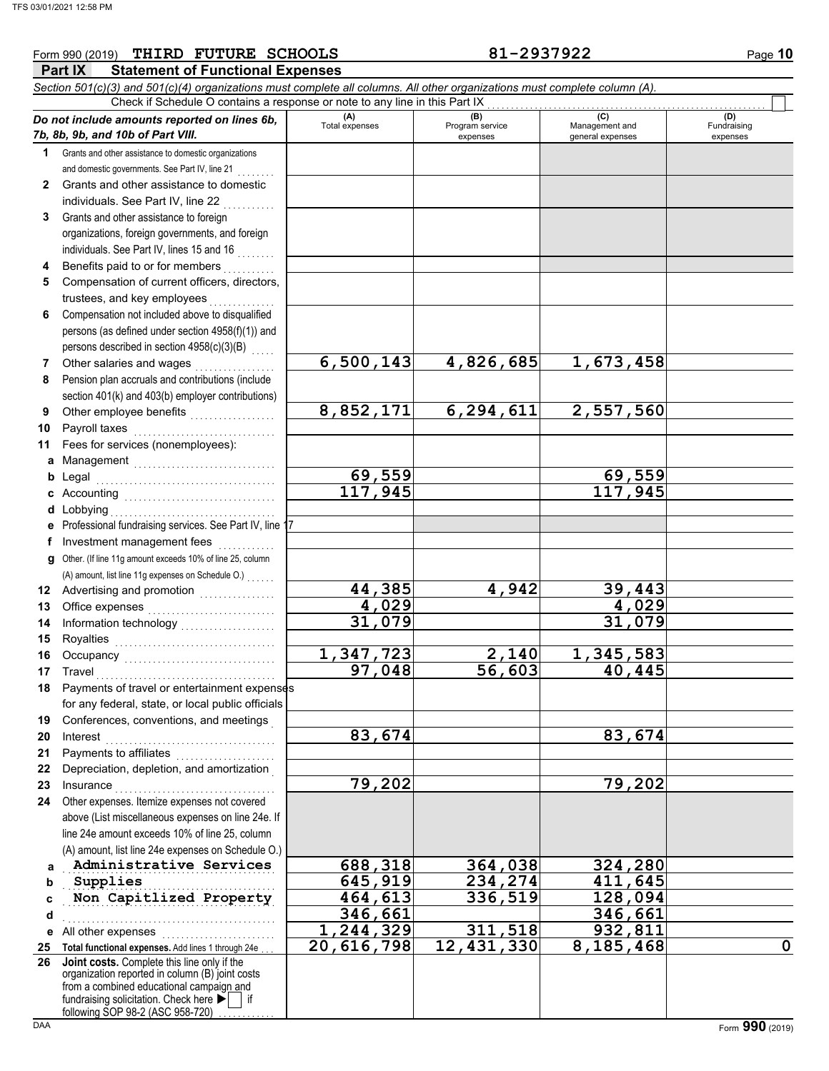### **Part IX Statement of Functional Expenses** Form 990 (2019) Page **10 THIRD FUTURE SCHOOLS 81-2937922** *Section 501(c)(3) and 501(c)(4) organizations must complete all columns. All other organizations must complete column (A). Do not include amounts reported on lines 6b, 7b, 8b, 9b, and 10b of Part VIII.* **1 2 3 4 5 6 7 8 9 10 11 a** Management .............................. **b** Legal **c** Accounting . . . . . . . . . . . . . . . . . . . . . . . . . . . . . . . . **d** Lobbying . . . . . . . . . . . . . . . . . . . . . . . . . . . . . . . . . . . **e** Professional fundraising services. See Part IV, line 17 **f g** Other. (If line 11g amount exceeds 10% of line 25, column **12** Advertising and promotion **. . . . . . . . . . . .** . . **13 14 15 16 17 18 19 20 21 22 23 24 a** Grants and other assistance to domestic organizations and domestic governments. See Part IV, line 21 Grants and other assistance to domestic individuals. See Part IV, line 22 Grants and other assistance to foreign organizations, foreign governments, and foreign individuals. See Part IV, lines 15 and 16 Benefits paid to or for members . . . . . . . . . . Compensation of current officers, directors, trustees, and key employees . . . . . . . Compensation not included above to disqualified persons (as defined under section 4958(f)(1)) and persons described in section 4958(c)(3)(B) Other salaries and wages .................. Pension plan accruals and contributions (include section 401(k) and 403(b) employer contributions) Other employee benefits . . . . . . . . . . . . . . . . . . Payroll taxes Fees for services (nonemployees): Legal . . . . . . . . . . . . . . . . . . . . . . . . . . . . . . . . . . . . . . Investment management fees ............. Office expenses ............................ Information technology . . . . . . . . . . . . . . . . . . . . Royalties . . . . . . . . . . . . . . . . . . . . . . . . . . . . . . . . . . Occupancy . . . . . . . . . . . . . . . . . . . . . . . . . . . . . . . . Travel . . . . . . . . . . . . . . . . . . . . . . . . . . . . . . . . . . . . . . Payments of travel or entertainment expenses for any federal, state, or local public officials Conferences, conventions, and meetings . Interest . . . . . . . . . . . . . . . . . . . . . . . . . . . . . . . . . . . . Payments to affiliates . . . . . . . . . . . . . . . . . . . . . Depreciation, depletion, and amortization . Insurance . . . . . . . . . . . . . . . . . . . . . . . . . . . . . . . . . . Other expenses. Itemize expenses not covered above (List miscellaneous expenses on line 24e. If line 24e amount exceeds 10% of line 25, column (A) amount, list line 24e expenses on Schedule O.) **(A) (B) (B)** (C) (C) (D)<br>Total expenses Program service Management and Fundrai expenses and general expenses (D)<br>Fundraising expenses Administrative Services **688,318** 364,038 324,280 Check if Schedule O contains a response or note to any line in this Part IX (A) amount, list line 11g expenses on Schedule O.) . . . . . . . **6,500,143 4,826,685 1,673,458 8,852,171 6,294,611 2,557,560 69,559 69,559 117,945 117,945 44,385 4,942 39,443 4,029 4,029 31,079 31,079 1,347,723 2,140 1,345,583 97,048 83,674 83,674 79,202 79,202**

**346,661 346,661 1,244,329 311,518 932,811**

**20,616,798 12,431,330 8,185,468 0**

**b c d e** All other expenses . . . . . . . . . . . . . . . . . . . . . . . . **25 Total functional expenses.** Add lines 1 through 24e . . . **26** organization reported in column (B) joint costs Supplies **Non Capitlized Property 164,613 336,519 128,094** . . . . . . . . . . . . . . . . . . . . . . . . . . . . . . . . . . . . . . . . . . . . . **Joint costs.** Complete this line only if the **Supplies 645,919 234,274 411,645**

fundraising solicitation. Check here  $\blacktriangleright$  | if from a combined educational campaign and following SOP 98-2 (ASC 958-720)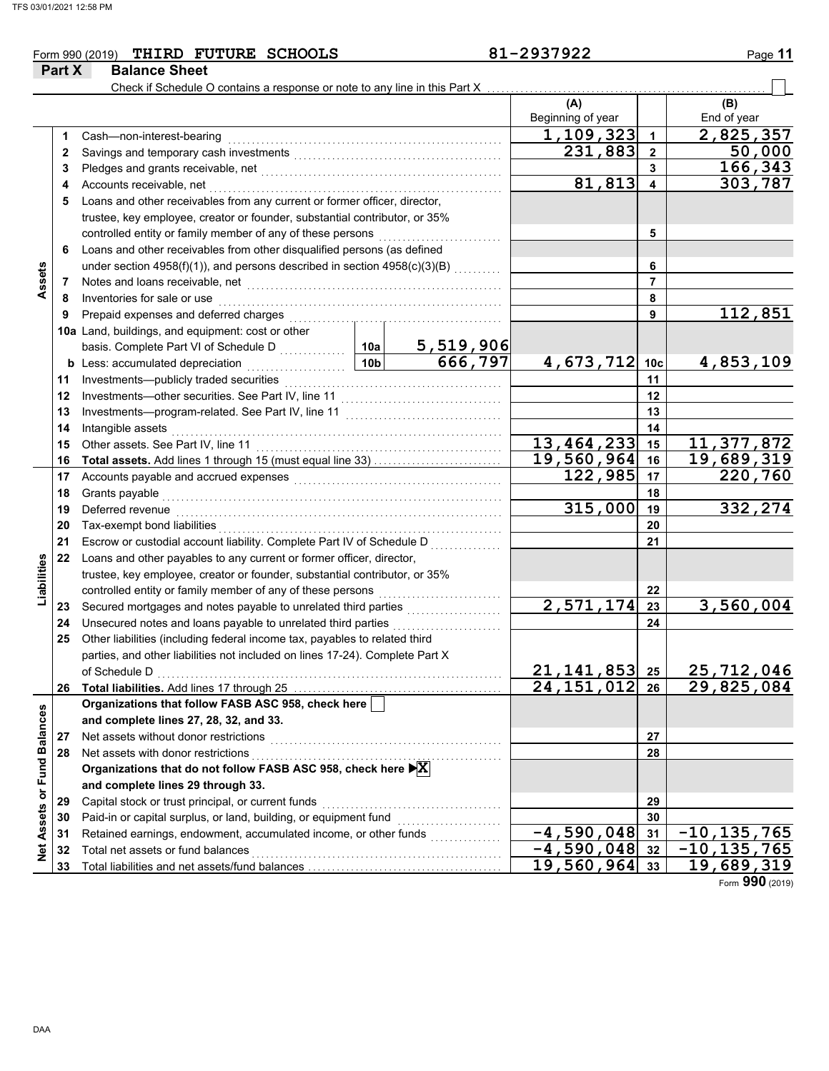**9**

**11**

**23 24**

**Liabilities**

Liabilities

**26**

**27**

**Net Assets or Fund Balances**

Net Assets or Fund Balances

**14** Intangible assets

of Schedule D

|       |        | THIRD FUTURE SCHOOLS<br>Form 990 (2019)                                                                                                                                                                               | 81-2937922               |           | Page 11            |
|-------|--------|-----------------------------------------------------------------------------------------------------------------------------------------------------------------------------------------------------------------------|--------------------------|-----------|--------------------|
|       | Part X | <b>Balance Sheet</b><br>Check if Schedule O contains a response or note to any line in this Part X                                                                                                                    |                          |           |                    |
|       |        |                                                                                                                                                                                                                       | (A)<br>Beginning of year |           | (B)<br>End of year |
|       |        | Cash-non-interest-bearing                                                                                                                                                                                             | 1,109,323                |           | 2,825,357          |
|       |        | Savings and temporary cash investments                                                                                                                                                                                | 231,883                  | 2         | 50,000             |
|       | 3      | Pledges and grants receivable, net                                                                                                                                                                                    |                          | 3         | 166,343            |
|       | 4      | Accounts receivable, net                                                                                                                                                                                              | 81,813                   |           | 303,787            |
|       | 5      | Loans and other receivables from any current or former officer, director,<br>trustee, key employee, creator or founder, substantial contributor, or 35%<br>controlled entity or family member of any of these persons |                          | 5         |                    |
|       | 6      | Loans and other receivables from other disqualified persons (as defined<br>under section $4958(f)(1)$ , and persons described in section $4958(c)(3)(B)$                                                              |                          | 6         |                    |
| ssets |        | Notes and loans receivable, net                                                                                                                                                                                       |                          |           |                    |
|       |        | Inventorios for solo er uso                                                                                                                                                                                           |                          | $\bullet$ |                    |

**10a 10b** **5,519,906**

**8** Inventories for sale or use . . . . . . . . . . . . . . . . . . . . . . . . . . . . . . . . . . . . . . . . . . . . . . . . . . . . . . . . . . . .

**12** Investments—other securities. See Part IV, line 11 . . . . . . . . . . . . . . . . . . . . . . . . . . . . . . . . . . **13** Investments—program-related. See Part IV, line 11 . . . . . . . . . . . . . . . . . . . . . . . . . . . . . . . . .

Investments—publicly traded securities . . . . . . . . . . . . . . . . . . . . . . . . . . . . . . . . . . . . . . . . . . . . . .

Intangible assets . . . . . . . . . . . . . . . . . . . . . . . . . . . . . . . . . . . . . . . . . . . . . . . . . . . . . . . . . . . . . . . . . . . . . . Other assets. See Part IV, line 11  $\hskip10mm\ldots\hskip10mm\ldots\hskip10mm\ldots\hskip10mm\ldots\hskip10mm\ldots\hskip10mm\ldots\hskip10mm\ldots\hskip10mm\ldots\hskip10mm\ldots\hskip10mm\ldots\hskip10mm\ldots\hskip10mm\ldots\hskip10mm\ldots\hskip10mm\ldots\hskip10mm\ldots\hskip10mm\ldots\hskip10mm\ldots\hskip10mm\ldots\hskip10mm\ldots\hskip10mm\ldots\hskip10$ **Total assets.** Add lines 1 through 15 (must equal line 33) . . . . . . . . . . . . . . . . . . . . . . . . . . . Accounts payable and accrued expenses . . . . . . . . . . . . . . . . . . . . . . . . . . . . . . . . . . . . . . . . . . . .

Grants payable . . . . . . . . . . . . . . . . . . . . . . . . . . . . . . . . . . . . . . . . . . . . . . . . . . . . . . . . . . . . . . . . . . . . . . . .

**20** Tax-exempt bond liabilities . . . . . . . . . . . . . . . . . . . . . . . . . . . . . . . . . . . . . . . . . . . . . . . . . . . . . . . . . . . . **21** Escrow or custodial account liability. Complete Part IV of Schedule D<sub>.</sub> . . . . . . . . . . . .

trustee, key employee, creator or founder, substantial contributor, or 35%

parties, and other liabilities not included on lines 17-24). Complete Part X

Deferred revenue . . . . . . . . . . . . . . . . . . . . . . . . . . . . . . . . . . . . . . . . . . . . . . . . . . . . . . . . . . . . . . . . . . . . .

controlled entity or family member of any of these persons . . . . . . . . . . . . . . . . . . . . . . . . . . Secured mortgages and notes payable to unrelated third parties ...................

**28** Net assets with donor restrictions <sub>……………………………………<u>……</u>……………</sub>

Capital stock or trust principal, or current funds . . . . . . . . . . . . . . . . . . . . . . . . . . . . . . . . . . . . . . Paid-in or capital surplus, or land, building, or equipment fund ....................... Retained earnings, endowment, accumulated income, or other funds . . . . . . . . . . . . . . .

Total net assets or fund balances . . . . . . . . . . . . . . . . . . . . . . . . . . . . . . . . . . . . . . . . . . . . . . . . . . . . .

Net assets without donor restrictions . . . . . . . . . . . . . . . . . . . . . . . . . . . . . . . . . . . . . . . . . . . . . . . . .

**Organizations that do not follow FASB ASC 958, check here X**

**22** Loans and other payables to any current or former officer, director,

**25** Other liabilities (including federal income tax, payables to related third

**Organizations that follow FASB ASC 958, check here** 

**Total liabilities.** Add lines 17 through 25

**and complete lines 27, 28, 32, and 33.**

**and complete lines 29 through 33.**

Total liabilities and net assets/fund balances ...

Unsecured notes and loans payable to unrelated third parties

**10a** Land, buildings, and equipment: cost or other

**b** Less: accumulated depreciation . . . . . . . . . . . . . . . . . .

basis. Complete Part VI of Schedule D . . . . . . . . . . . .

Prepaid expenses and deferred charges . . . . . . . . . . . . . . . . . . . . . . . . . . . . . . . . . . . . . . . . . . . . .

Form **990** (2019)

19,689,319

**24,151,012 29,825,084**

**22**

**24 23**

**2,571,174 3,560,004**

**29**

<u>-4,590,048 31 -10,135,765</u><br>-4,590,048 32 -10,135,765 <u>-4,590,048 32 -10,135,765</u><br>19,560,964 33 19,689,319

**28 27**

**26 25**

**21,141,853 25,712,046**

**9 8**

**666,797 4,673,712 4,853,109**

**13,464,233 11,377,872 19,560,964 19,689,319**

**315,000 332,274**

**112,851**

**122,985 220,760**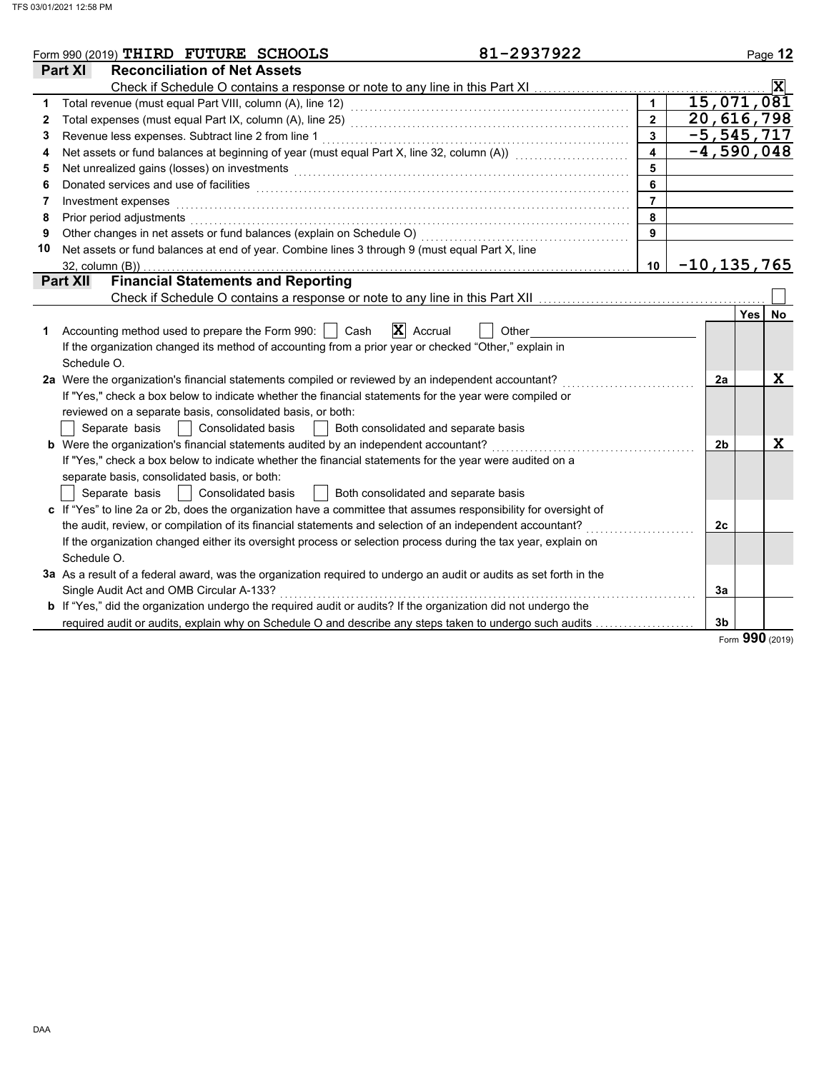|              | 81-2937922<br>Form 990 (2019) THIRD FUTURE SCHOOLS                                                                 |                         |                 |                | Page 12                    |                         |
|--------------|--------------------------------------------------------------------------------------------------------------------|-------------------------|-----------------|----------------|----------------------------|-------------------------|
|              | <b>Part XI</b><br><b>Reconciliation of Net Assets</b>                                                              |                         |                 |                |                            |                         |
|              | Check if Schedule O contains a response or note to any line in this Part XI                                        |                         |                 |                |                            | $\overline{\mathbf{x}}$ |
| 1            |                                                                                                                    |                         |                 |                | 15,071,081                 |                         |
| $\mathbf{2}$ |                                                                                                                    | $\overline{2}$          |                 |                | 20,616,798                 |                         |
| 3            | Revenue less expenses. Subtract line 2 from line 1                                                                 | $\mathbf{3}$            |                 |                | $-5, 545, 717$             |                         |
| 4            | Net assets or fund balances at beginning of year (must equal Part X, line 32, column (A))                          | $\overline{\mathbf{4}}$ |                 |                | $\overline{-4}$ , 590, 048 |                         |
| 5            | Net unrealized gains (losses) on investments                                                                       | 5                       |                 |                |                            |                         |
| 6            | Donated services and use of facilities                                                                             | 6                       |                 |                |                            |                         |
| 7            | Investment expenses                                                                                                | $\overline{7}$          |                 |                |                            |                         |
| 8            | Prior period adjustments                                                                                           | 8                       |                 |                |                            |                         |
| 9            | Other changes in net assets or fund balances (explain on Schedule O)                                               | 9                       |                 |                |                            |                         |
| 10           | Net assets or fund balances at end of year. Combine lines 3 through 9 (must equal Part X, line                     |                         |                 |                |                            |                         |
|              | $32$ , column $(B)$ )                                                                                              | 10                      | $-10, 135, 765$ |                |                            |                         |
|              | <b>Financial Statements and Reporting</b><br><b>Part XII</b>                                                       |                         |                 |                |                            |                         |
|              | Check if Schedule O contains a response or note to any line in this Part XII                                       |                         |                 |                |                            |                         |
|              |                                                                                                                    |                         |                 |                | <b>Yes</b>                 | <b>No</b>               |
| 1            | $\mathbf{X}$ Accrual<br>Accounting method used to prepare the Form 990:     Cash<br>Other                          |                         |                 |                |                            |                         |
|              | If the organization changed its method of accounting from a prior year or checked "Other," explain in              |                         |                 |                |                            |                         |
|              | Schedule O.                                                                                                        |                         |                 |                |                            |                         |
|              | 2a Were the organization's financial statements compiled or reviewed by an independent accountant?                 |                         |                 | 2a             |                            | X                       |
|              | If "Yes," check a box below to indicate whether the financial statements for the year were compiled or             |                         |                 |                |                            |                         |
|              | reviewed on a separate basis, consolidated basis, or both:                                                         |                         |                 |                |                            |                         |
|              | <b>Consolidated basis</b><br>Both consolidated and separate basis<br>Separate basis                                |                         |                 |                |                            |                         |
|              | b Were the organization's financial statements audited by an independent accountant?                               |                         |                 | 2 <sub>b</sub> |                            | X                       |
|              | If "Yes," check a box below to indicate whether the financial statements for the year were audited on a            |                         |                 |                |                            |                         |
|              | separate basis, consolidated basis, or both:                                                                       |                         |                 |                |                            |                         |
|              | Consolidated basis<br>Both consolidated and separate basis<br>Separate basis                                       |                         |                 |                |                            |                         |
|              | c If "Yes" to line 2a or 2b, does the organization have a committee that assumes responsibility for oversight of   |                         |                 |                |                            |                         |
|              | the audit, review, or compilation of its financial statements and selection of an independent accountant?          |                         |                 | 2c             |                            |                         |
|              | If the organization changed either its oversight process or selection process during the tax year, explain on      |                         |                 |                |                            |                         |
|              | Schedule O.                                                                                                        |                         |                 |                |                            |                         |
|              | 3a As a result of a federal award, was the organization required to undergo an audit or audits as set forth in the |                         |                 |                |                            |                         |
|              | Single Audit Act and OMB Circular A-133?                                                                           |                         |                 | 3a             |                            |                         |
|              | b If "Yes," did the organization undergo the required audit or audits? If the organization did not undergo the     |                         |                 |                |                            |                         |
|              | required audit or audits, explain why on Schedule O and describe any steps taken to undergo such audits            |                         |                 | 3 <sub>b</sub> |                            |                         |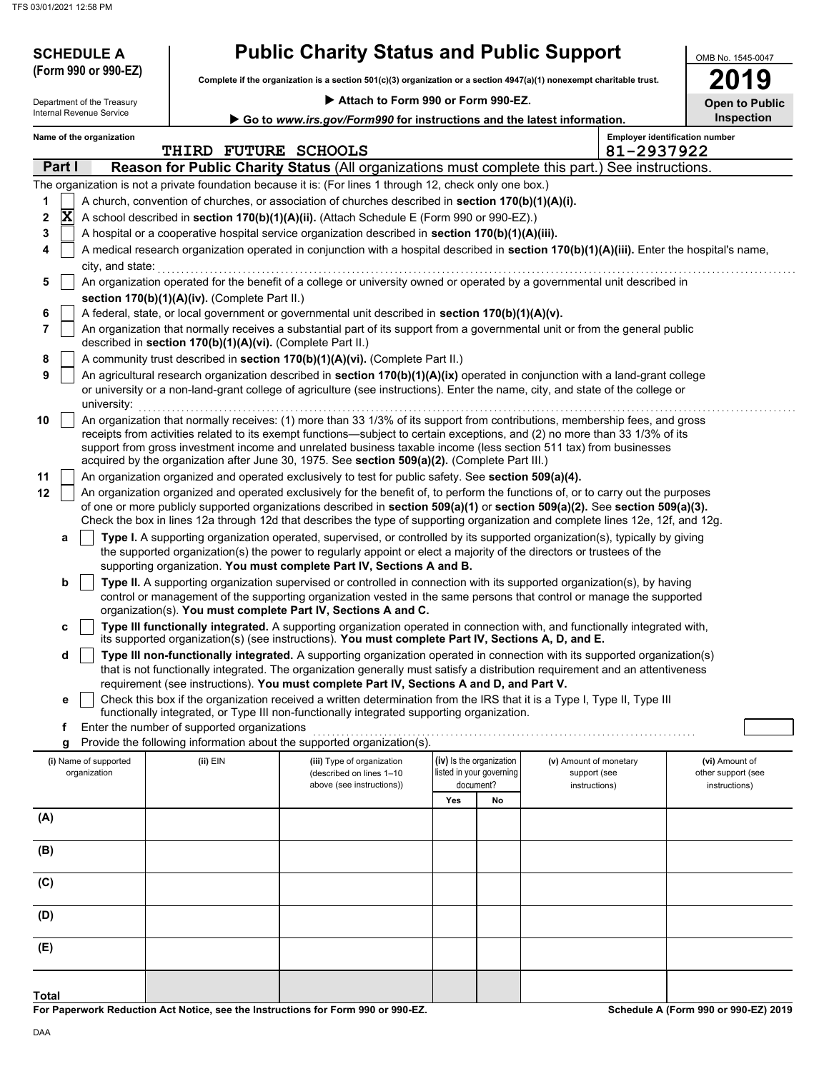| Attach to Form 990 or Form 990-EZ.<br>Go to www.irs.gov/Form990 for instructions and the latest information.<br><b>Employer identification number</b><br>Name of the organization<br>81-2937922<br>THIRD FUTURE SCHOOLS<br>Part I<br>Reason for Public Charity Status (All organizations must complete this part.)<br>See instructions.<br>The organization is not a private foundation because it is: (For lines 1 through 12, check only one box.)<br>A church, convention of churches, or association of churches described in section 170(b)(1)(A)(i).<br>1<br>X<br>2<br>A school described in section 170(b)(1)(A)(ii). (Attach Schedule E (Form 990 or 990-EZ).)<br>3<br>A hospital or a cooperative hospital service organization described in section 170(b)(1)(A)(iii).<br>A medical research organization operated in conjunction with a hospital described in section 170(b)(1)(A)(iii). Enter the hospital's name,<br>4<br>city, and state:<br>An organization operated for the benefit of a college or university owned or operated by a governmental unit described in<br>5<br>section 170(b)(1)(A)(iv). (Complete Part II.)<br>A federal, state, or local government or governmental unit described in section 170(b)(1)(A)(v).<br>6<br>7<br>An organization that normally receives a substantial part of its support from a governmental unit or from the general public<br>described in section 170(b)(1)(A)(vi). (Complete Part II.)<br>A community trust described in section 170(b)(1)(A)(vi). (Complete Part II.)<br>8<br>9<br>An agricultural research organization described in section 170(b)(1)(A)(ix) operated in conjunction with a land-grant college<br>or university or a non-land-grant college of agriculture (see instructions). Enter the name, city, and state of the college or<br>university:<br>An organization that normally receives: (1) more than 33 1/3% of its support from contributions, membership fees, and gross<br>10<br>receipts from activities related to its exempt functions—subject to certain exceptions, and (2) no more than 33 1/3% of its<br>support from gross investment income and unrelated business taxable income (less section 511 tax) from businesses<br>acquired by the organization after June 30, 1975. See section 509(a)(2). (Complete Part III.)<br>11<br>An organization organized and operated exclusively to test for public safety. See section 509(a)(4).<br>An organization organized and operated exclusively for the benefit of, to perform the functions of, or to carry out the purposes<br>of one or more publicly supported organizations described in section 509(a)(1) or section 509(a)(2). See section 509(a)(3).<br>Check the box in lines 12a through 12d that describes the type of supporting organization and complete lines 12e, 12f, and 12g.<br>Type I. A supporting organization operated, supervised, or controlled by its supported organization(s), typically by giving<br>a<br>the supported organization(s) the power to regularly appoint or elect a majority of the directors or trustees of the<br>supporting organization. You must complete Part IV, Sections A and B.<br>Type II. A supporting organization supervised or controlled in connection with its supported organization(s), by having<br>b<br>control or management of the supporting organization vested in the same persons that control or manage the supported<br>organization(s). You must complete Part IV, Sections A and C.<br>Type III functionally integrated. A supporting organization operated in connection with, and functionally integrated with,<br>c<br>its supported organization(s) (see instructions). You must complete Part IV, Sections A, D, and E.<br>Type III non-functionally integrated. A supporting organization operated in connection with its supported organization(s)<br>d<br>that is not functionally integrated. The organization generally must satisfy a distribution requirement and an attentiveness<br>requirement (see instructions). You must complete Part IV, Sections A and D, and Part V.<br>Check this box if the organization received a written determination from the IRS that it is a Type I, Type II, Type III<br>е<br>functionally integrated, or Type III non-functionally integrated supporting organization.<br>Enter the number of supported organizations<br>f<br>Provide the following information about the supported organization(s).<br>g<br>(iv) Is the organization<br>(ii) EIN<br>(i) Name of supported<br>(iii) Type of organization<br>(v) Amount of monetary<br>(vi) Amount of<br>listed in your governing<br>organization<br>other support (see<br>(described on lines 1-10<br>support (see<br>document?<br>above (see instructions))<br>instructions)<br>instructions)<br>Yes<br>No<br>(A)<br>(B)<br>(C) | <b>SCHEDULE A</b><br>(Form 990 or 990-EZ) | <b>Public Charity Status and Public Support</b><br>Complete if the organization is a section 501(c)(3) organization or a section 4947(a)(1) nonexempt charitable trust. |  | OMB No. 1545-0047<br>19 |
|--------------------------------------------------------------------------------------------------------------------------------------------------------------------------------------------------------------------------------------------------------------------------------------------------------------------------------------------------------------------------------------------------------------------------------------------------------------------------------------------------------------------------------------------------------------------------------------------------------------------------------------------------------------------------------------------------------------------------------------------------------------------------------------------------------------------------------------------------------------------------------------------------------------------------------------------------------------------------------------------------------------------------------------------------------------------------------------------------------------------------------------------------------------------------------------------------------------------------------------------------------------------------------------------------------------------------------------------------------------------------------------------------------------------------------------------------------------------------------------------------------------------------------------------------------------------------------------------------------------------------------------------------------------------------------------------------------------------------------------------------------------------------------------------------------------------------------------------------------------------------------------------------------------------------------------------------------------------------------------------------------------------------------------------------------------------------------------------------------------------------------------------------------------------------------------------------------------------------------------------------------------------------------------------------------------------------------------------------------------------------------------------------------------------------------------------------------------------------------------------------------------------------------------------------------------------------------------------------------------------------------------------------------------------------------------------------------------------------------------------------------------------------------------------------------------------------------------------------------------------------------------------------------------------------------------------------------------------------------------------------------------------------------------------------------------------------------------------------------------------------------------------------------------------------------------------------------------------------------------------------------------------------------------------------------------------------------------------------------------------------------------------------------------------------------------------------------------------------------------------------------------------------------------------------------------------------------------------------------------------------------------------------------------------------------------------------------------------------------------------------------------------------------------------------------------------------------------------------------------------------------------------------------------------------------------------------------------------------------------------------------------------------------------------------------------------------------------------------------------------------------------------------------------------------------------------------------------------------------------------------------------------------------------------------------------------------------------------------------------------------------------------------------------------------------------------------------------------------------------------------------------------------------------------------------------------------------------------------------------------------------------------------------------------------------------------------------------------------------------------------------------------------------------------------------------------------------------------------------------|-------------------------------------------|-------------------------------------------------------------------------------------------------------------------------------------------------------------------------|--|-------------------------|
|                                                                                                                                                                                                                                                                                                                                                                                                                                                                                                                                                                                                                                                                                                                                                                                                                                                                                                                                                                                                                                                                                                                                                                                                                                                                                                                                                                                                                                                                                                                                                                                                                                                                                                                                                                                                                                                                                                                                                                                                                                                                                                                                                                                                                                                                                                                                                                                                                                                                                                                                                                                                                                                                                                                                                                                                                                                                                                                                                                                                                                                                                                                                                                                                                                                                                                                                                                                                                                                                                                                                                                                                                                                                                                                                                                                                                                                                                                                                                                                                                                                                                                                                                                                                                                                                                                                                                                                                                                                                                                                                                                                                                                                                                                                                                                                                                                                              | Department of the Treasury                |                                                                                                                                                                         |  | <b>Open to Public</b>   |
|                                                                                                                                                                                                                                                                                                                                                                                                                                                                                                                                                                                                                                                                                                                                                                                                                                                                                                                                                                                                                                                                                                                                                                                                                                                                                                                                                                                                                                                                                                                                                                                                                                                                                                                                                                                                                                                                                                                                                                                                                                                                                                                                                                                                                                                                                                                                                                                                                                                                                                                                                                                                                                                                                                                                                                                                                                                                                                                                                                                                                                                                                                                                                                                                                                                                                                                                                                                                                                                                                                                                                                                                                                                                                                                                                                                                                                                                                                                                                                                                                                                                                                                                                                                                                                                                                                                                                                                                                                                                                                                                                                                                                                                                                                                                                                                                                                                              | Internal Revenue Service                  |                                                                                                                                                                         |  | Inspection              |
|                                                                                                                                                                                                                                                                                                                                                                                                                                                                                                                                                                                                                                                                                                                                                                                                                                                                                                                                                                                                                                                                                                                                                                                                                                                                                                                                                                                                                                                                                                                                                                                                                                                                                                                                                                                                                                                                                                                                                                                                                                                                                                                                                                                                                                                                                                                                                                                                                                                                                                                                                                                                                                                                                                                                                                                                                                                                                                                                                                                                                                                                                                                                                                                                                                                                                                                                                                                                                                                                                                                                                                                                                                                                                                                                                                                                                                                                                                                                                                                                                                                                                                                                                                                                                                                                                                                                                                                                                                                                                                                                                                                                                                                                                                                                                                                                                                                              |                                           |                                                                                                                                                                         |  |                         |
|                                                                                                                                                                                                                                                                                                                                                                                                                                                                                                                                                                                                                                                                                                                                                                                                                                                                                                                                                                                                                                                                                                                                                                                                                                                                                                                                                                                                                                                                                                                                                                                                                                                                                                                                                                                                                                                                                                                                                                                                                                                                                                                                                                                                                                                                                                                                                                                                                                                                                                                                                                                                                                                                                                                                                                                                                                                                                                                                                                                                                                                                                                                                                                                                                                                                                                                                                                                                                                                                                                                                                                                                                                                                                                                                                                                                                                                                                                                                                                                                                                                                                                                                                                                                                                                                                                                                                                                                                                                                                                                                                                                                                                                                                                                                                                                                                                                              |                                           |                                                                                                                                                                         |  |                         |
|                                                                                                                                                                                                                                                                                                                                                                                                                                                                                                                                                                                                                                                                                                                                                                                                                                                                                                                                                                                                                                                                                                                                                                                                                                                                                                                                                                                                                                                                                                                                                                                                                                                                                                                                                                                                                                                                                                                                                                                                                                                                                                                                                                                                                                                                                                                                                                                                                                                                                                                                                                                                                                                                                                                                                                                                                                                                                                                                                                                                                                                                                                                                                                                                                                                                                                                                                                                                                                                                                                                                                                                                                                                                                                                                                                                                                                                                                                                                                                                                                                                                                                                                                                                                                                                                                                                                                                                                                                                                                                                                                                                                                                                                                                                                                                                                                                                              |                                           |                                                                                                                                                                         |  |                         |
|                                                                                                                                                                                                                                                                                                                                                                                                                                                                                                                                                                                                                                                                                                                                                                                                                                                                                                                                                                                                                                                                                                                                                                                                                                                                                                                                                                                                                                                                                                                                                                                                                                                                                                                                                                                                                                                                                                                                                                                                                                                                                                                                                                                                                                                                                                                                                                                                                                                                                                                                                                                                                                                                                                                                                                                                                                                                                                                                                                                                                                                                                                                                                                                                                                                                                                                                                                                                                                                                                                                                                                                                                                                                                                                                                                                                                                                                                                                                                                                                                                                                                                                                                                                                                                                                                                                                                                                                                                                                                                                                                                                                                                                                                                                                                                                                                                                              |                                           |                                                                                                                                                                         |  |                         |
|                                                                                                                                                                                                                                                                                                                                                                                                                                                                                                                                                                                                                                                                                                                                                                                                                                                                                                                                                                                                                                                                                                                                                                                                                                                                                                                                                                                                                                                                                                                                                                                                                                                                                                                                                                                                                                                                                                                                                                                                                                                                                                                                                                                                                                                                                                                                                                                                                                                                                                                                                                                                                                                                                                                                                                                                                                                                                                                                                                                                                                                                                                                                                                                                                                                                                                                                                                                                                                                                                                                                                                                                                                                                                                                                                                                                                                                                                                                                                                                                                                                                                                                                                                                                                                                                                                                                                                                                                                                                                                                                                                                                                                                                                                                                                                                                                                                              |                                           |                                                                                                                                                                         |  |                         |
|                                                                                                                                                                                                                                                                                                                                                                                                                                                                                                                                                                                                                                                                                                                                                                                                                                                                                                                                                                                                                                                                                                                                                                                                                                                                                                                                                                                                                                                                                                                                                                                                                                                                                                                                                                                                                                                                                                                                                                                                                                                                                                                                                                                                                                                                                                                                                                                                                                                                                                                                                                                                                                                                                                                                                                                                                                                                                                                                                                                                                                                                                                                                                                                                                                                                                                                                                                                                                                                                                                                                                                                                                                                                                                                                                                                                                                                                                                                                                                                                                                                                                                                                                                                                                                                                                                                                                                                                                                                                                                                                                                                                                                                                                                                                                                                                                                                              |                                           |                                                                                                                                                                         |  |                         |
|                                                                                                                                                                                                                                                                                                                                                                                                                                                                                                                                                                                                                                                                                                                                                                                                                                                                                                                                                                                                                                                                                                                                                                                                                                                                                                                                                                                                                                                                                                                                                                                                                                                                                                                                                                                                                                                                                                                                                                                                                                                                                                                                                                                                                                                                                                                                                                                                                                                                                                                                                                                                                                                                                                                                                                                                                                                                                                                                                                                                                                                                                                                                                                                                                                                                                                                                                                                                                                                                                                                                                                                                                                                                                                                                                                                                                                                                                                                                                                                                                                                                                                                                                                                                                                                                                                                                                                                                                                                                                                                                                                                                                                                                                                                                                                                                                                                              |                                           |                                                                                                                                                                         |  |                         |
|                                                                                                                                                                                                                                                                                                                                                                                                                                                                                                                                                                                                                                                                                                                                                                                                                                                                                                                                                                                                                                                                                                                                                                                                                                                                                                                                                                                                                                                                                                                                                                                                                                                                                                                                                                                                                                                                                                                                                                                                                                                                                                                                                                                                                                                                                                                                                                                                                                                                                                                                                                                                                                                                                                                                                                                                                                                                                                                                                                                                                                                                                                                                                                                                                                                                                                                                                                                                                                                                                                                                                                                                                                                                                                                                                                                                                                                                                                                                                                                                                                                                                                                                                                                                                                                                                                                                                                                                                                                                                                                                                                                                                                                                                                                                                                                                                                                              |                                           |                                                                                                                                                                         |  |                         |
|                                                                                                                                                                                                                                                                                                                                                                                                                                                                                                                                                                                                                                                                                                                                                                                                                                                                                                                                                                                                                                                                                                                                                                                                                                                                                                                                                                                                                                                                                                                                                                                                                                                                                                                                                                                                                                                                                                                                                                                                                                                                                                                                                                                                                                                                                                                                                                                                                                                                                                                                                                                                                                                                                                                                                                                                                                                                                                                                                                                                                                                                                                                                                                                                                                                                                                                                                                                                                                                                                                                                                                                                                                                                                                                                                                                                                                                                                                                                                                                                                                                                                                                                                                                                                                                                                                                                                                                                                                                                                                                                                                                                                                                                                                                                                                                                                                                              |                                           |                                                                                                                                                                         |  |                         |
|                                                                                                                                                                                                                                                                                                                                                                                                                                                                                                                                                                                                                                                                                                                                                                                                                                                                                                                                                                                                                                                                                                                                                                                                                                                                                                                                                                                                                                                                                                                                                                                                                                                                                                                                                                                                                                                                                                                                                                                                                                                                                                                                                                                                                                                                                                                                                                                                                                                                                                                                                                                                                                                                                                                                                                                                                                                                                                                                                                                                                                                                                                                                                                                                                                                                                                                                                                                                                                                                                                                                                                                                                                                                                                                                                                                                                                                                                                                                                                                                                                                                                                                                                                                                                                                                                                                                                                                                                                                                                                                                                                                                                                                                                                                                                                                                                                                              |                                           |                                                                                                                                                                         |  |                         |
|                                                                                                                                                                                                                                                                                                                                                                                                                                                                                                                                                                                                                                                                                                                                                                                                                                                                                                                                                                                                                                                                                                                                                                                                                                                                                                                                                                                                                                                                                                                                                                                                                                                                                                                                                                                                                                                                                                                                                                                                                                                                                                                                                                                                                                                                                                                                                                                                                                                                                                                                                                                                                                                                                                                                                                                                                                                                                                                                                                                                                                                                                                                                                                                                                                                                                                                                                                                                                                                                                                                                                                                                                                                                                                                                                                                                                                                                                                                                                                                                                                                                                                                                                                                                                                                                                                                                                                                                                                                                                                                                                                                                                                                                                                                                                                                                                                                              |                                           |                                                                                                                                                                         |  |                         |
|                                                                                                                                                                                                                                                                                                                                                                                                                                                                                                                                                                                                                                                                                                                                                                                                                                                                                                                                                                                                                                                                                                                                                                                                                                                                                                                                                                                                                                                                                                                                                                                                                                                                                                                                                                                                                                                                                                                                                                                                                                                                                                                                                                                                                                                                                                                                                                                                                                                                                                                                                                                                                                                                                                                                                                                                                                                                                                                                                                                                                                                                                                                                                                                                                                                                                                                                                                                                                                                                                                                                                                                                                                                                                                                                                                                                                                                                                                                                                                                                                                                                                                                                                                                                                                                                                                                                                                                                                                                                                                                                                                                                                                                                                                                                                                                                                                                              |                                           |                                                                                                                                                                         |  |                         |
|                                                                                                                                                                                                                                                                                                                                                                                                                                                                                                                                                                                                                                                                                                                                                                                                                                                                                                                                                                                                                                                                                                                                                                                                                                                                                                                                                                                                                                                                                                                                                                                                                                                                                                                                                                                                                                                                                                                                                                                                                                                                                                                                                                                                                                                                                                                                                                                                                                                                                                                                                                                                                                                                                                                                                                                                                                                                                                                                                                                                                                                                                                                                                                                                                                                                                                                                                                                                                                                                                                                                                                                                                                                                                                                                                                                                                                                                                                                                                                                                                                                                                                                                                                                                                                                                                                                                                                                                                                                                                                                                                                                                                                                                                                                                                                                                                                                              |                                           |                                                                                                                                                                         |  |                         |
|                                                                                                                                                                                                                                                                                                                                                                                                                                                                                                                                                                                                                                                                                                                                                                                                                                                                                                                                                                                                                                                                                                                                                                                                                                                                                                                                                                                                                                                                                                                                                                                                                                                                                                                                                                                                                                                                                                                                                                                                                                                                                                                                                                                                                                                                                                                                                                                                                                                                                                                                                                                                                                                                                                                                                                                                                                                                                                                                                                                                                                                                                                                                                                                                                                                                                                                                                                                                                                                                                                                                                                                                                                                                                                                                                                                                                                                                                                                                                                                                                                                                                                                                                                                                                                                                                                                                                                                                                                                                                                                                                                                                                                                                                                                                                                                                                                                              |                                           |                                                                                                                                                                         |  |                         |
|                                                                                                                                                                                                                                                                                                                                                                                                                                                                                                                                                                                                                                                                                                                                                                                                                                                                                                                                                                                                                                                                                                                                                                                                                                                                                                                                                                                                                                                                                                                                                                                                                                                                                                                                                                                                                                                                                                                                                                                                                                                                                                                                                                                                                                                                                                                                                                                                                                                                                                                                                                                                                                                                                                                                                                                                                                                                                                                                                                                                                                                                                                                                                                                                                                                                                                                                                                                                                                                                                                                                                                                                                                                                                                                                                                                                                                                                                                                                                                                                                                                                                                                                                                                                                                                                                                                                                                                                                                                                                                                                                                                                                                                                                                                                                                                                                                                              | 12                                        |                                                                                                                                                                         |  |                         |
|                                                                                                                                                                                                                                                                                                                                                                                                                                                                                                                                                                                                                                                                                                                                                                                                                                                                                                                                                                                                                                                                                                                                                                                                                                                                                                                                                                                                                                                                                                                                                                                                                                                                                                                                                                                                                                                                                                                                                                                                                                                                                                                                                                                                                                                                                                                                                                                                                                                                                                                                                                                                                                                                                                                                                                                                                                                                                                                                                                                                                                                                                                                                                                                                                                                                                                                                                                                                                                                                                                                                                                                                                                                                                                                                                                                                                                                                                                                                                                                                                                                                                                                                                                                                                                                                                                                                                                                                                                                                                                                                                                                                                                                                                                                                                                                                                                                              |                                           |                                                                                                                                                                         |  |                         |
|                                                                                                                                                                                                                                                                                                                                                                                                                                                                                                                                                                                                                                                                                                                                                                                                                                                                                                                                                                                                                                                                                                                                                                                                                                                                                                                                                                                                                                                                                                                                                                                                                                                                                                                                                                                                                                                                                                                                                                                                                                                                                                                                                                                                                                                                                                                                                                                                                                                                                                                                                                                                                                                                                                                                                                                                                                                                                                                                                                                                                                                                                                                                                                                                                                                                                                                                                                                                                                                                                                                                                                                                                                                                                                                                                                                                                                                                                                                                                                                                                                                                                                                                                                                                                                                                                                                                                                                                                                                                                                                                                                                                                                                                                                                                                                                                                                                              |                                           |                                                                                                                                                                         |  |                         |
|                                                                                                                                                                                                                                                                                                                                                                                                                                                                                                                                                                                                                                                                                                                                                                                                                                                                                                                                                                                                                                                                                                                                                                                                                                                                                                                                                                                                                                                                                                                                                                                                                                                                                                                                                                                                                                                                                                                                                                                                                                                                                                                                                                                                                                                                                                                                                                                                                                                                                                                                                                                                                                                                                                                                                                                                                                                                                                                                                                                                                                                                                                                                                                                                                                                                                                                                                                                                                                                                                                                                                                                                                                                                                                                                                                                                                                                                                                                                                                                                                                                                                                                                                                                                                                                                                                                                                                                                                                                                                                                                                                                                                                                                                                                                                                                                                                                              |                                           |                                                                                                                                                                         |  |                         |
|                                                                                                                                                                                                                                                                                                                                                                                                                                                                                                                                                                                                                                                                                                                                                                                                                                                                                                                                                                                                                                                                                                                                                                                                                                                                                                                                                                                                                                                                                                                                                                                                                                                                                                                                                                                                                                                                                                                                                                                                                                                                                                                                                                                                                                                                                                                                                                                                                                                                                                                                                                                                                                                                                                                                                                                                                                                                                                                                                                                                                                                                                                                                                                                                                                                                                                                                                                                                                                                                                                                                                                                                                                                                                                                                                                                                                                                                                                                                                                                                                                                                                                                                                                                                                                                                                                                                                                                                                                                                                                                                                                                                                                                                                                                                                                                                                                                              |                                           |                                                                                                                                                                         |  |                         |
|                                                                                                                                                                                                                                                                                                                                                                                                                                                                                                                                                                                                                                                                                                                                                                                                                                                                                                                                                                                                                                                                                                                                                                                                                                                                                                                                                                                                                                                                                                                                                                                                                                                                                                                                                                                                                                                                                                                                                                                                                                                                                                                                                                                                                                                                                                                                                                                                                                                                                                                                                                                                                                                                                                                                                                                                                                                                                                                                                                                                                                                                                                                                                                                                                                                                                                                                                                                                                                                                                                                                                                                                                                                                                                                                                                                                                                                                                                                                                                                                                                                                                                                                                                                                                                                                                                                                                                                                                                                                                                                                                                                                                                                                                                                                                                                                                                                              |                                           |                                                                                                                                                                         |  |                         |
|                                                                                                                                                                                                                                                                                                                                                                                                                                                                                                                                                                                                                                                                                                                                                                                                                                                                                                                                                                                                                                                                                                                                                                                                                                                                                                                                                                                                                                                                                                                                                                                                                                                                                                                                                                                                                                                                                                                                                                                                                                                                                                                                                                                                                                                                                                                                                                                                                                                                                                                                                                                                                                                                                                                                                                                                                                                                                                                                                                                                                                                                                                                                                                                                                                                                                                                                                                                                                                                                                                                                                                                                                                                                                                                                                                                                                                                                                                                                                                                                                                                                                                                                                                                                                                                                                                                                                                                                                                                                                                                                                                                                                                                                                                                                                                                                                                                              |                                           |                                                                                                                                                                         |  |                         |
|                                                                                                                                                                                                                                                                                                                                                                                                                                                                                                                                                                                                                                                                                                                                                                                                                                                                                                                                                                                                                                                                                                                                                                                                                                                                                                                                                                                                                                                                                                                                                                                                                                                                                                                                                                                                                                                                                                                                                                                                                                                                                                                                                                                                                                                                                                                                                                                                                                                                                                                                                                                                                                                                                                                                                                                                                                                                                                                                                                                                                                                                                                                                                                                                                                                                                                                                                                                                                                                                                                                                                                                                                                                                                                                                                                                                                                                                                                                                                                                                                                                                                                                                                                                                                                                                                                                                                                                                                                                                                                                                                                                                                                                                                                                                                                                                                                                              |                                           |                                                                                                                                                                         |  |                         |
|                                                                                                                                                                                                                                                                                                                                                                                                                                                                                                                                                                                                                                                                                                                                                                                                                                                                                                                                                                                                                                                                                                                                                                                                                                                                                                                                                                                                                                                                                                                                                                                                                                                                                                                                                                                                                                                                                                                                                                                                                                                                                                                                                                                                                                                                                                                                                                                                                                                                                                                                                                                                                                                                                                                                                                                                                                                                                                                                                                                                                                                                                                                                                                                                                                                                                                                                                                                                                                                                                                                                                                                                                                                                                                                                                                                                                                                                                                                                                                                                                                                                                                                                                                                                                                                                                                                                                                                                                                                                                                                                                                                                                                                                                                                                                                                                                                                              |                                           |                                                                                                                                                                         |  |                         |
|                                                                                                                                                                                                                                                                                                                                                                                                                                                                                                                                                                                                                                                                                                                                                                                                                                                                                                                                                                                                                                                                                                                                                                                                                                                                                                                                                                                                                                                                                                                                                                                                                                                                                                                                                                                                                                                                                                                                                                                                                                                                                                                                                                                                                                                                                                                                                                                                                                                                                                                                                                                                                                                                                                                                                                                                                                                                                                                                                                                                                                                                                                                                                                                                                                                                                                                                                                                                                                                                                                                                                                                                                                                                                                                                                                                                                                                                                                                                                                                                                                                                                                                                                                                                                                                                                                                                                                                                                                                                                                                                                                                                                                                                                                                                                                                                                                                              |                                           |                                                                                                                                                                         |  |                         |
|                                                                                                                                                                                                                                                                                                                                                                                                                                                                                                                                                                                                                                                                                                                                                                                                                                                                                                                                                                                                                                                                                                                                                                                                                                                                                                                                                                                                                                                                                                                                                                                                                                                                                                                                                                                                                                                                                                                                                                                                                                                                                                                                                                                                                                                                                                                                                                                                                                                                                                                                                                                                                                                                                                                                                                                                                                                                                                                                                                                                                                                                                                                                                                                                                                                                                                                                                                                                                                                                                                                                                                                                                                                                                                                                                                                                                                                                                                                                                                                                                                                                                                                                                                                                                                                                                                                                                                                                                                                                                                                                                                                                                                                                                                                                                                                                                                                              |                                           |                                                                                                                                                                         |  |                         |
|                                                                                                                                                                                                                                                                                                                                                                                                                                                                                                                                                                                                                                                                                                                                                                                                                                                                                                                                                                                                                                                                                                                                                                                                                                                                                                                                                                                                                                                                                                                                                                                                                                                                                                                                                                                                                                                                                                                                                                                                                                                                                                                                                                                                                                                                                                                                                                                                                                                                                                                                                                                                                                                                                                                                                                                                                                                                                                                                                                                                                                                                                                                                                                                                                                                                                                                                                                                                                                                                                                                                                                                                                                                                                                                                                                                                                                                                                                                                                                                                                                                                                                                                                                                                                                                                                                                                                                                                                                                                                                                                                                                                                                                                                                                                                                                                                                                              |                                           |                                                                                                                                                                         |  |                         |
|                                                                                                                                                                                                                                                                                                                                                                                                                                                                                                                                                                                                                                                                                                                                                                                                                                                                                                                                                                                                                                                                                                                                                                                                                                                                                                                                                                                                                                                                                                                                                                                                                                                                                                                                                                                                                                                                                                                                                                                                                                                                                                                                                                                                                                                                                                                                                                                                                                                                                                                                                                                                                                                                                                                                                                                                                                                                                                                                                                                                                                                                                                                                                                                                                                                                                                                                                                                                                                                                                                                                                                                                                                                                                                                                                                                                                                                                                                                                                                                                                                                                                                                                                                                                                                                                                                                                                                                                                                                                                                                                                                                                                                                                                                                                                                                                                                                              | (D)                                       |                                                                                                                                                                         |  |                         |

**For Paperwork Reduction Act Notice, see the Instructions for Form 990 or 990-EZ.**

**Schedule A (Form 990 or 990-EZ) 2019**

**Total**

**(E)**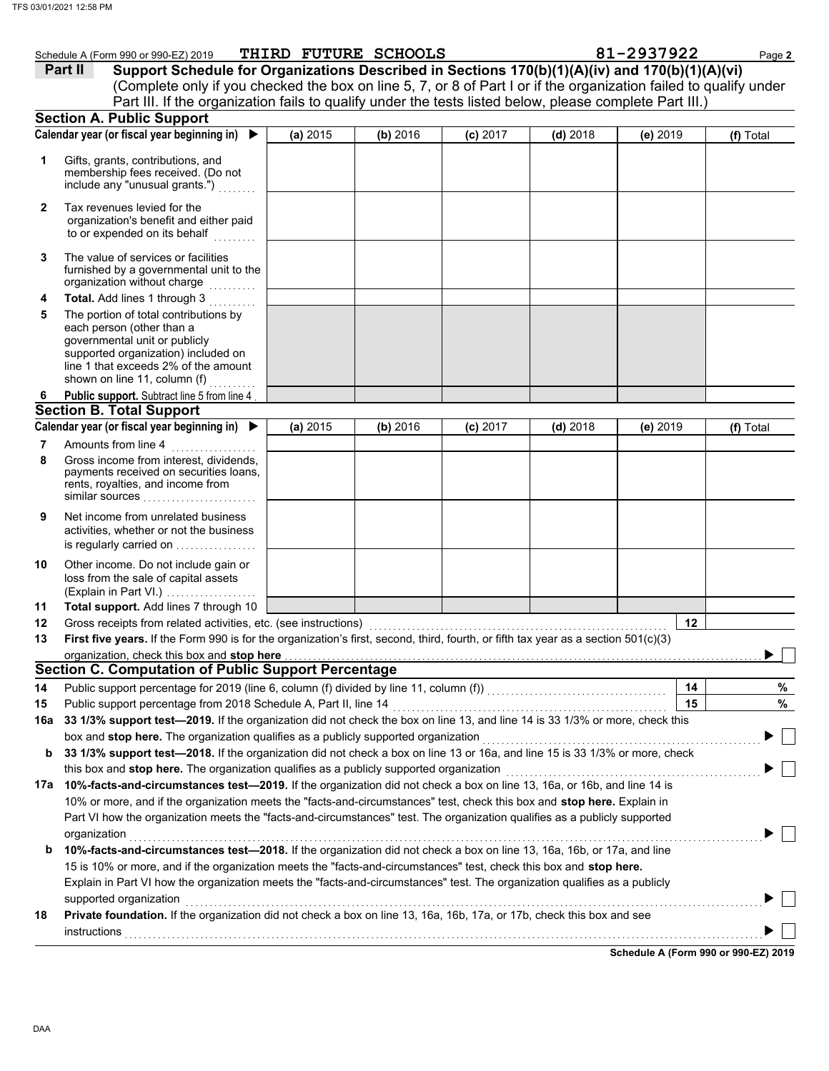|              | Schedule A (Form 990 or 990-EZ) 2019<br>Support Schedule for Organizations Described in Sections 170(b)(1)(A)(iv) and 170(b)(1)(A)(vi)<br>Part II                                                                                                |          | THIRD FUTURE SCHOOLS |            |            | 81-2937922 | Page 2    |
|--------------|--------------------------------------------------------------------------------------------------------------------------------------------------------------------------------------------------------------------------------------------------|----------|----------------------|------------|------------|------------|-----------|
|              | (Complete only if you checked the box on line 5, 7, or 8 of Part I or if the organization failed to qualify under                                                                                                                                |          |                      |            |            |            |           |
|              | Part III. If the organization fails to qualify under the tests listed below, please complete Part III.)                                                                                                                                          |          |                      |            |            |            |           |
|              | <b>Section A. Public Support</b>                                                                                                                                                                                                                 |          |                      |            |            |            |           |
|              | Calendar year (or fiscal year beginning in) $\blacktriangleright$                                                                                                                                                                                | (a) 2015 | (b) 2016             | $(c)$ 2017 | $(d)$ 2018 | (e) 2019   | (f) Total |
| 1            | Gifts, grants, contributions, and                                                                                                                                                                                                                |          |                      |            |            |            |           |
|              | membership fees received. (Do not<br>include any "unusual grants.")                                                                                                                                                                              |          |                      |            |            |            |           |
| $\mathbf{2}$ | Tax revenues levied for the<br>organization's benefit and either paid<br>to or expended on its behalf<br>.                                                                                                                                       |          |                      |            |            |            |           |
| 3            | The value of services or facilities<br>furnished by a governmental unit to the<br>organization without charge                                                                                                                                    |          |                      |            |            |            |           |
| 4            | Total. Add lines 1 through 3                                                                                                                                                                                                                     |          |                      |            |            |            |           |
| 5            | The portion of total contributions by<br>each person (other than a<br>governmental unit or publicly<br>supported organization) included on<br>line 1 that exceeds 2% of the amount<br>shown on line 11, column (f)<br>.                          |          |                      |            |            |            |           |
| 6            | Public support. Subtract line 5 from line 4                                                                                                                                                                                                      |          |                      |            |            |            |           |
|              | <b>Section B. Total Support</b>                                                                                                                                                                                                                  |          |                      |            |            |            |           |
|              | Calendar year (or fiscal year beginning in) ▶                                                                                                                                                                                                    | (a) 2015 | (b) 2016             | $(c)$ 2017 | $(d)$ 2018 | (e) 2019   | (f) Total |
| 7            | Amounts from line 4<br>.                                                                                                                                                                                                                         |          |                      |            |            |            |           |
| 8            | Gross income from interest, dividends,<br>payments received on securities loans,<br>rents, royalties, and income from<br>similar sources                                                                                                         |          |                      |            |            |            |           |
| 9            | Net income from unrelated business<br>activities, whether or not the business<br>is regularly carried on                                                                                                                                         |          |                      |            |            |            |           |
| 10           | Other income. Do not include gain or<br>loss from the sale of capital assets<br>(Explain in Part VI.)                                                                                                                                            |          |                      |            |            |            |           |
| 11           | Total support. Add lines 7 through 10                                                                                                                                                                                                            |          |                      |            |            |            |           |
| 12           | Gross receipts from related activities, etc. (see instructions)                                                                                                                                                                                  |          |                      |            |            | 12         |           |
| 13           | First five years. If the Form 990 is for the organization's first, second, third, fourth, or fifth tax year as a section 501(c)(3)                                                                                                               |          |                      |            |            |            |           |
|              | organization, check this box and stop here<br><b>Section C. Computation of Public Support Percentage</b>                                                                                                                                         |          |                      |            |            |            |           |
| 14           |                                                                                                                                                                                                                                                  |          |                      |            |            | 14         |           |
| 15           |                                                                                                                                                                                                                                                  |          |                      |            |            | 15         |           |
| 16a          | 33 1/3% support test-2019. If the organization did not check the box on line 13, and line 14 is 33 1/3% or more, check this                                                                                                                      |          |                      |            |            |            |           |
|              | box and stop here. The organization qualifies as a publicly supported organization [[[[[[[[[[[[[[[[[[[[[[[[[[[                                                                                                                                   |          |                      |            |            |            |           |
| b            | 33 1/3% support test-2018. If the organization did not check a box on line 13 or 16a, and line 15 is 33 1/3% or more, check                                                                                                                      |          |                      |            |            |            |           |
|              | this box and stop here. The organization qualifies as a publicly supported organization [1] [1] [1] [1] [1] [1                                                                                                                                   |          |                      |            |            |            |           |
|              | 17a 10%-facts-and-circumstances test-2019. If the organization did not check a box on line 13, 16a, or 16b, and line 14 is                                                                                                                       |          |                      |            |            |            |           |
|              | 10% or more, and if the organization meets the "facts-and-circumstances" test, check this box and stop here. Explain in                                                                                                                          |          |                      |            |            |            |           |
|              | Part VI how the organization meets the "facts-and-circumstances" test. The organization qualifies as a publicly supported                                                                                                                        |          |                      |            |            |            |           |
|              | organization                                                                                                                                                                                                                                     |          |                      |            |            |            |           |
| b            | 10%-facts-and-circumstances test-2018. If the organization did not check a box on line 13, 16a, 16b, or 17a, and line                                                                                                                            |          |                      |            |            |            |           |
|              | 15 is 10% or more, and if the organization meets the "facts-and-circumstances" test, check this box and stop here.<br>Explain in Part VI how the organization meets the "facts-and-circumstances" test. The organization qualifies as a publicly |          |                      |            |            |            |           |
|              | supported organization                                                                                                                                                                                                                           |          |                      |            |            |            |           |
| 18           | Private foundation. If the organization did not check a box on line 13, 16a, 16b, 17a, or 17b, check this box and see                                                                                                                            |          |                      |            |            |            |           |
|              |                                                                                                                                                                                                                                                  |          |                      |            |            |            |           |

**Schedule A (Form 990 or 990-EZ) 2019**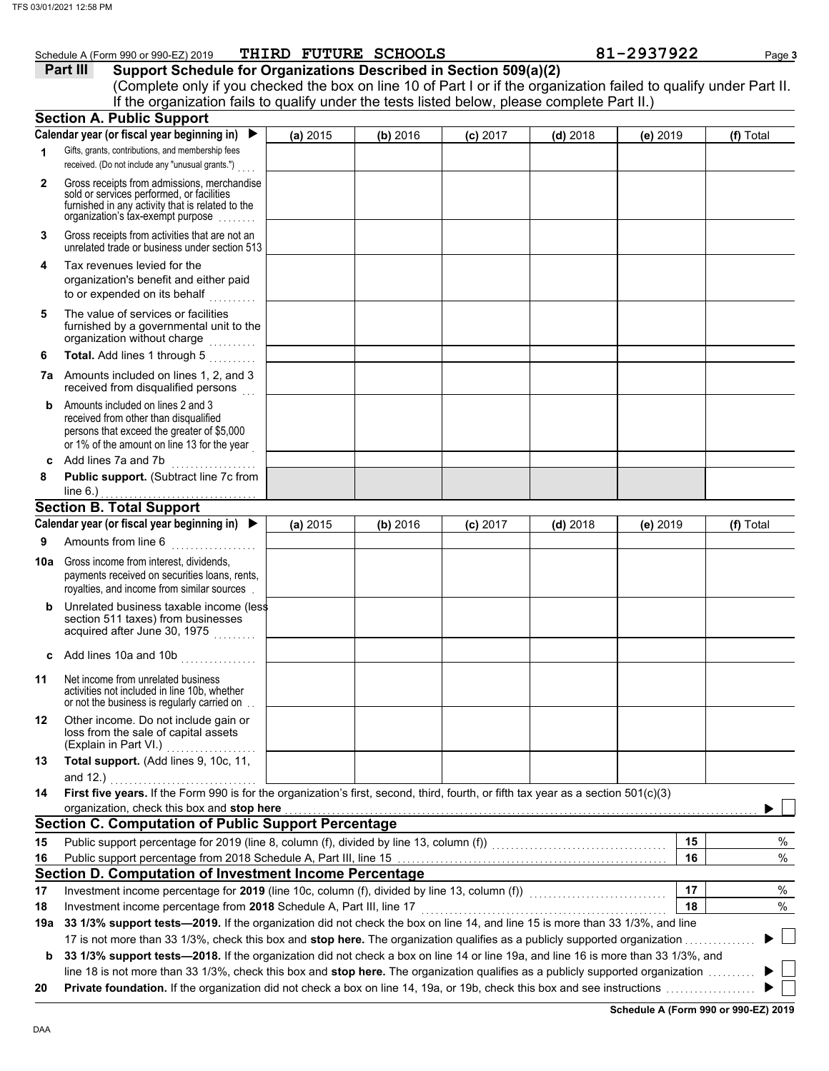|           | Schedule A (Form 990 or 990-EZ) 2019<br>Support Schedule for Organizations Described in Section 509(a)(2)<br>Part III<br>(Complete only if you checked the box on line 10 of Part I or if the organization failed to qualify under Part II. |          | THIRD FUTURE SCHOOLS |            |            | 81-2937922 | Page 3    |
|-----------|---------------------------------------------------------------------------------------------------------------------------------------------------------------------------------------------------------------------------------------------|----------|----------------------|------------|------------|------------|-----------|
|           | If the organization fails to qualify under the tests listed below, please complete Part II.)<br><b>Section A. Public Support</b>                                                                                                            |          |                      |            |            |            |           |
|           | Calendar year (or fiscal year beginning in)                                                                                                                                                                                                 | (a) 2015 | (b) 2016             | $(c)$ 2017 | $(d)$ 2018 | (e) 2019   | (f) Total |
| 1         | Gifts, grants, contributions, and membership fees                                                                                                                                                                                           |          |                      |            |            |            |           |
|           | received. (Do not include any "unusual grants.")                                                                                                                                                                                            |          |                      |            |            |            |           |
| 2         | Gross receipts from admissions, merchandise<br>sold or services performed, or facilities<br>furnished in any activity that is related to the<br>organization's tax-exempt purpose                                                           |          |                      |            |            |            |           |
| 3         | Gross receipts from activities that are not an<br>unrelated trade or business under section 513                                                                                                                                             |          |                      |            |            |            |           |
| 4         | Tax revenues levied for the<br>organization's benefit and either paid<br>to or expended on its behalf                                                                                                                                       |          |                      |            |            |            |           |
| 5         | The value of services or facilities<br>furnished by a governmental unit to the<br>organization without charge                                                                                                                               |          |                      |            |            |            |           |
| 6         | Total. Add lines 1 through 5                                                                                                                                                                                                                |          |                      |            |            |            |           |
|           | <b>7a</b> Amounts included on lines 1, 2, and 3<br>received from disqualified persons                                                                                                                                                       |          |                      |            |            |            |           |
| b         | Amounts included on lines 2 and 3<br>received from other than disqualified<br>persons that exceed the greater of \$5,000<br>or 1% of the amount on line 13 for the year                                                                     |          |                      |            |            |            |           |
| c         | Add lines 7a and 7b<br><u> 1999 - Johann Stoff, amerikansk f</u>                                                                                                                                                                            |          |                      |            |            |            |           |
| 8         | Public support. (Subtract line 7c from<br>line $6.$ )                                                                                                                                                                                       |          |                      |            |            |            |           |
|           | <b>Section B. Total Support</b>                                                                                                                                                                                                             |          |                      |            |            |            |           |
|           | Calendar year (or fiscal year beginning in) $\blacktriangleright$                                                                                                                                                                           | (a) 2015 | (b) 2016             | (c) 2017   | $(d)$ 2018 | (e) 2019   | (f) Total |
| 9         | Amounts from line 6<br>.                                                                                                                                                                                                                    |          |                      |            |            |            |           |
| 10a       | Gross income from interest, dividends,<br>payments received on securities loans, rents,<br>royalties, and income from similar sources                                                                                                       |          |                      |            |            |            |           |
|           | Unrelated business taxable income (less<br>section 511 taxes) from businesses<br>acquired after June 30, 1975                                                                                                                               |          |                      |            |            |            |           |
| C         | Add lines 10a and 10b                                                                                                                                                                                                                       |          |                      |            |            |            |           |
| 11        | Net income from unrelated business<br>activities not included in line 10b, whether<br>or not the business is regularly carried on                                                                                                           |          |                      |            |            |            |           |
| 12        | Other income. Do not include gain or<br>loss from the sale of capital assets<br>(Explain in Part VI.)<br>.                                                                                                                                  |          |                      |            |            |            |           |
| 13        | Total support. (Add lines 9, 10c, 11,                                                                                                                                                                                                       |          |                      |            |            |            |           |
|           | and 12.)                                                                                                                                                                                                                                    |          |                      |            |            |            |           |
| 14        | First five years. If the Form 990 is for the organization's first, second, third, fourth, or fifth tax year as a section 501(c)(3)<br>organization, check this box and stop here                                                            |          |                      |            |            |            |           |
|           | <b>Section C. Computation of Public Support Percentage</b>                                                                                                                                                                                  |          |                      |            |            |            |           |
| 15        |                                                                                                                                                                                                                                             |          |                      |            |            | 15         | %         |
| 16        |                                                                                                                                                                                                                                             |          |                      |            |            | 16         | %         |
|           | Section D. Computation of Investment Income Percentage                                                                                                                                                                                      |          |                      |            |            |            |           |
| 17        | Investment income percentage for 2019 (line 10c, column (f), divided by line 13, column (f)) [[[[[[[[[[[[[[[[                                                                                                                               |          |                      |            |            | 17<br>18   | %<br>$\%$ |
| 18<br>19a | Investment income percentage from 2018 Schedule A, Part III, line 17<br>33 1/3% support tests-2019. If the organization did not check the box on line 14, and line 15 is more than 33 1/3%, and line                                        |          |                      |            |            |            |           |
|           | 17 is not more than 33 1/3%, check this box and stop here. The organization qualifies as a publicly supported organization                                                                                                                  |          |                      |            |            |            |           |
| b         | 33 1/3% support tests-2018. If the organization did not check a box on line 14 or line 19a, and line 16 is more than 33 1/3%, and                                                                                                           |          |                      |            |            |            |           |
|           | line 18 is not more than 33 1/3%, check this box and <b>stop here.</b> The organization qualifies as a publicly supported organization                                                                                                      |          |                      |            |            |            |           |

line 18 is not more than 33 1/3%, check this box and **stop here.** The organization qualifies as a publicly supported organization . . . . . . . . . . **20 Private foundation.** If the organization did not check a box on line 14, 19a, or 19b, check this box and see instructions . . . . . . . . . . . . . . . . . . .

**Schedule A (Form 990 or 990-EZ) 2019**

 $\blacktriangleright$  $\mathbb{R}^2$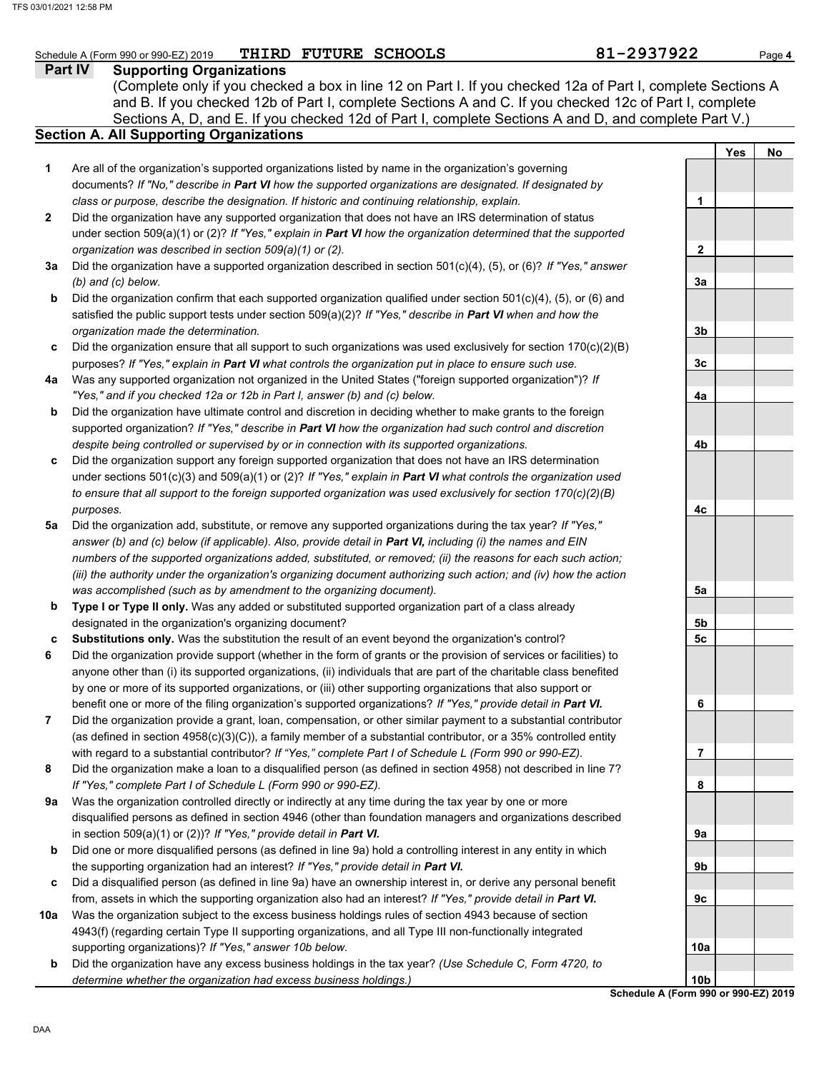### **Part IV Supporting Organizations** Sections A, D, and E. If you checked 12d of Part I, complete Sections A and D, and complete Part V.) Schedule A (Form 990 or 990-EZ) 2019 **PHIRD FUTURE SCHOOLS** 81 **Page 4 81-2937922** Page 4 **Section A. All Supporting Organizations** (Complete only if you checked a box in line 12 on Part I. If you checked 12a of Part I, complete Sections A and B. If you checked 12b of Part I, complete Sections A and C. If you checked 12c of Part I, complete Are all of the organization's supported organizations listed by name in the organization's governing documents? *If "No," describe in Part VI how the supported organizations are designated. If designated by class or purpose, describe the designation. If historic and continuing relationship, explain.* Did the organization have any supported organization that does not have an IRS determination of status under section 509(a)(1) or (2)? *If "Yes," explain in Part VI how the organization determined that the supported organization was described in section 509(a)(1) or (2).* **1 2 3a** Did the organization have a supported organization described in section 501(c)(4), (5), or (6)? *If "Yes," answer* **b c** Did the organization ensure that all support to such organizations was used exclusively for section 170(c)(2)(B) **4a** Was any supported organization not organized in the United States ("foreign supported organization")? *If* **b c** Did the organization support any foreign supported organization that does not have an IRS determination **5a** Did the organization add, substitute, or remove any supported organizations during the tax year? *If "Yes,"* **b c 6 7 8 9a b c 10a b** *(b) and (c) below.* Did the organization confirm that each supported organization qualified under section 501(c)(4), (5), or (6) and satisfied the public support tests under section 509(a)(2)? *If "Yes," describe in Part VI when and how the organization made the determination.* purposes? *If "Yes," explain in Part VI what controls the organization put in place to ensure such use. "Yes," and if you checked 12a or 12b in Part I, answer (b) and (c) below.* Did the organization have ultimate control and discretion in deciding whether to make grants to the foreign supported organization? *If "Yes," describe in Part VI how the organization had such control and discretion despite being controlled or supervised by or in connection with its supported organizations.* under sections 501(c)(3) and 509(a)(1) or (2)? *If "Yes," explain in Part VI what controls the organization used to ensure that all support to the foreign supported organization was used exclusively for section 170(c)(2)(B) purposes. answer (b) and (c) below (if applicable). Also, provide detail in Part VI, including (i) the names and EIN numbers of the supported organizations added, substituted, or removed; (ii) the reasons for each such action; (iii) the authority under the organization's organizing document authorizing such action; and (iv) how the action was accomplished (such as by amendment to the organizing document).* **Type I or Type II only.** Was any added or substituted supported organization part of a class already designated in the organization's organizing document? **Substitutions only.** Was the substitution the result of an event beyond the organization's control? Did the organization provide support (whether in the form of grants or the provision of services or facilities) to anyone other than (i) its supported organizations, (ii) individuals that are part of the charitable class benefited by one or more of its supported organizations, or (iii) other supporting organizations that also support or benefit one or more of the filing organization's supported organizations? *If "Yes," provide detail in Part VI.* Did the organization provide a grant, loan, compensation, or other similar payment to a substantial contributor (as defined in section 4958(c)(3)(C)), a family member of a substantial contributor, or a 35% controlled entity with regard to a substantial contributor? *If "Yes," complete Part I of Schedule L (Form 990 or 990-EZ).* Did the organization make a loan to a disqualified person (as defined in section 4958) not described in line 7? *If "Yes," complete Part I of Schedule L (Form 990 or 990-EZ).* Was the organization controlled directly or indirectly at any time during the tax year by one or more disqualified persons as defined in section 4946 (other than foundation managers and organizations described in section 509(a)(1) or (2))? *If "Yes," provide detail in Part VI.* Did one or more disqualified persons (as defined in line 9a) hold a controlling interest in any entity in which the supporting organization had an interest? *If "Yes," provide detail in Part VI.* Did a disqualified person (as defined in line 9a) have an ownership interest in, or derive any personal benefit from, assets in which the supporting organization also had an interest? *If "Yes," provide detail in Part VI.* Was the organization subject to the excess business holdings rules of section 4943 because of section 4943(f) (regarding certain Type II supporting organizations, and all Type III non-functionally integrated supporting organizations)? *If "Yes," answer 10b below.* Did the organization have any excess business holdings in the tax year? *(Use Schedule C, Form 4720, to determine whether the organization had excess business holdings.)* **Yes No 1 2 3a 3b 3c 4a 4b 4c 5a 5b 5c 6 7 8 9a 9b 9c 10a 10b** THIRD FUTURE SCHOOLS

**Schedule A (Form 990 or 990-EZ) 2019**

DAA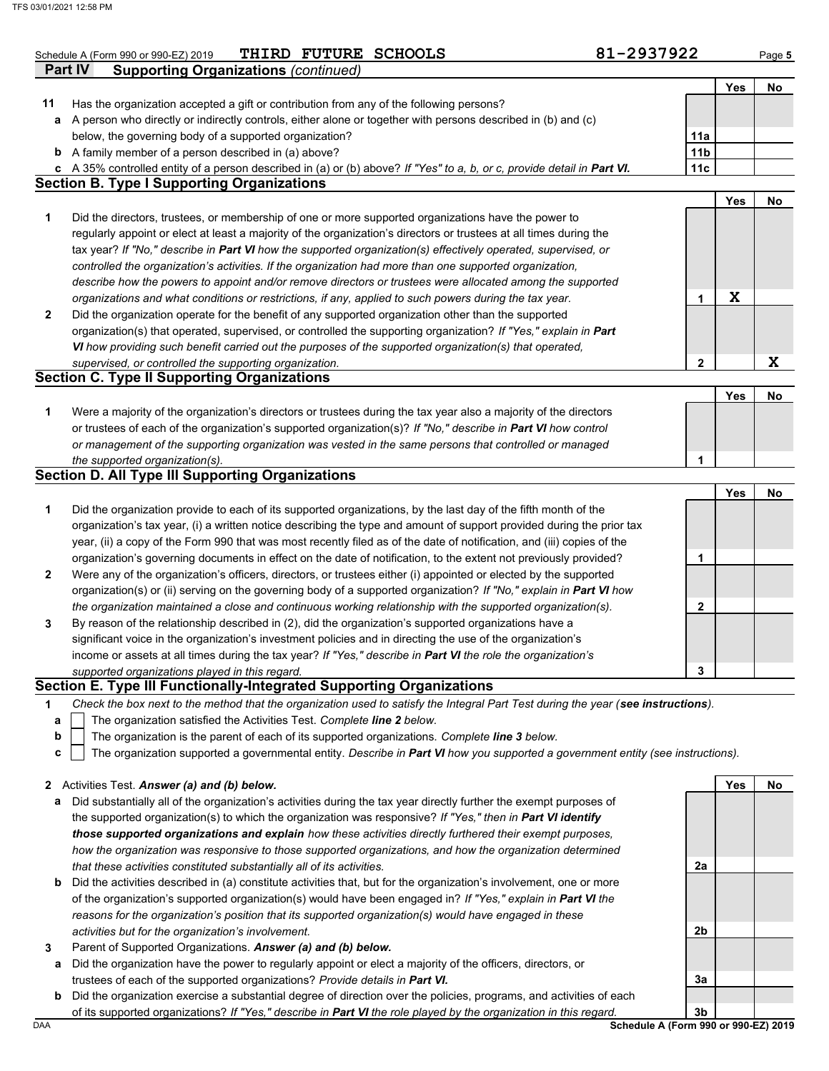|              | THIRD FUTURE SCHOOLS<br>Schedule A (Form 990 or 990-EZ) 2019                                                                                                                                                | 81-2937922      |            | Page 5 |
|--------------|-------------------------------------------------------------------------------------------------------------------------------------------------------------------------------------------------------------|-----------------|------------|--------|
|              | <b>Supporting Organizations (continued)</b><br><b>Part IV</b>                                                                                                                                               |                 |            |        |
|              |                                                                                                                                                                                                             |                 | Yes        | No     |
| 11           | Has the organization accepted a gift or contribution from any of the following persons?                                                                                                                     |                 |            |        |
| a            | A person who directly or indirectly controls, either alone or together with persons described in (b) and (c)                                                                                                |                 |            |        |
|              | below, the governing body of a supported organization?                                                                                                                                                      | 11a             |            |        |
|              | <b>b</b> A family member of a person described in (a) above?                                                                                                                                                | 11 <sub>b</sub> |            |        |
|              | c A 35% controlled entity of a person described in (a) or (b) above? If "Yes" to a, b, or c, provide detail in Part VI.<br><b>Section B. Type I Supporting Organizations</b>                                | 11c             |            |        |
|              |                                                                                                                                                                                                             |                 | Yes        | No     |
| 1            | Did the directors, trustees, or membership of one or more supported organizations have the power to                                                                                                         |                 |            |        |
|              | regularly appoint or elect at least a majority of the organization's directors or trustees at all times during the                                                                                          |                 |            |        |
|              | tax year? If "No," describe in Part VI how the supported organization(s) effectively operated, supervised, or                                                                                               |                 |            |        |
|              | controlled the organization's activities. If the organization had more than one supported organization,                                                                                                     |                 |            |        |
|              | describe how the powers to appoint and/or remove directors or trustees were allocated among the supported                                                                                                   |                 |            |        |
|              | organizations and what conditions or restrictions, if any, applied to such powers during the tax year.                                                                                                      | 1               | X          |        |
| $\mathbf{2}$ | Did the organization operate for the benefit of any supported organization other than the supported                                                                                                         |                 |            |        |
|              | organization(s) that operated, supervised, or controlled the supporting organization? If "Yes," explain in Part                                                                                             |                 |            |        |
|              | VI how providing such benefit carried out the purposes of the supported organization(s) that operated,                                                                                                      |                 |            |        |
|              | supervised, or controlled the supporting organization.                                                                                                                                                      | 2               |            | X      |
|              | <b>Section C. Type II Supporting Organizations</b>                                                                                                                                                          |                 |            |        |
|              |                                                                                                                                                                                                             |                 | <b>Yes</b> | No     |
| 1            | Were a majority of the organization's directors or trustees during the tax year also a majority of the directors                                                                                            |                 |            |        |
|              | or trustees of each of the organization's supported organization(s)? If "No," describe in Part VI how control                                                                                               |                 |            |        |
|              | or management of the supporting organization was vested in the same persons that controlled or managed                                                                                                      |                 |            |        |
|              | the supported organization(s).                                                                                                                                                                              | 1               |            |        |
|              | <b>Section D. All Type III Supporting Organizations</b>                                                                                                                                                     |                 |            |        |
|              |                                                                                                                                                                                                             |                 | <b>Yes</b> | No     |
| 1            | Did the organization provide to each of its supported organizations, by the last day of the fifth month of the                                                                                              |                 |            |        |
|              | organization's tax year, (i) a written notice describing the type and amount of support provided during the prior tax                                                                                       |                 |            |        |
|              | year, (ii) a copy of the Form 990 that was most recently filed as of the date of notification, and (iii) copies of the                                                                                      |                 |            |        |
|              | organization's governing documents in effect on the date of notification, to the extent not previously provided?                                                                                            | 1               |            |        |
| $\mathbf{2}$ | Were any of the organization's officers, directors, or trustees either (i) appointed or elected by the supported                                                                                            |                 |            |        |
|              | organization(s) or (ii) serving on the governing body of a supported organization? If "No," explain in Part VI how                                                                                          |                 |            |        |
|              | the organization maintained a close and continuous working relationship with the supported organization(s).                                                                                                 | 2               |            |        |
| 3            | By reason of the relationship described in (2), did the organization's supported organizations have a                                                                                                       |                 |            |        |
|              | significant voice in the organization's investment policies and in directing the use of the organization's                                                                                                  |                 |            |        |
|              | income or assets at all times during the tax year? If "Yes," describe in Part VI the role the organization's                                                                                                |                 |            |        |
|              | supported organizations played in this regard.<br>Section E. Type III Functionally-Integrated Supporting Organizations                                                                                      | 3               |            |        |
|              |                                                                                                                                                                                                             |                 |            |        |
| 1            | Check the box next to the method that the organization used to satisfy the Integral Part Test during the year (see instructions).<br>The organization satisfied the Activities Test. Complete line 2 below. |                 |            |        |
| а<br>b       | The organization is the parent of each of its supported organizations. Complete line 3 below.                                                                                                               |                 |            |        |
| c            | The organization supported a governmental entity. Describe in Part VI how you supported a government entity (see instructions).                                                                             |                 |            |        |
|              |                                                                                                                                                                                                             |                 |            |        |
| $\mathbf{2}$ | Activities Test. Answer (a) and (b) below.                                                                                                                                                                  |                 | <b>Yes</b> | No     |
| а            | Did substantially all of the organization's activities during the tax year directly further the exempt purposes of                                                                                          |                 |            |        |
|              | the supported organization(s) to which the organization was responsive? If "Yes," then in Part VI identify                                                                                                  |                 |            |        |
|              | those supported organizations and explain how these activities directly furthered their exempt purposes,                                                                                                    |                 |            |        |
|              | how the organization was responsive to those supported organizations, and how the organization determined                                                                                                   |                 |            |        |
|              | that these activities constituted substantially all of its activities.                                                                                                                                      | 2a              |            |        |
|              | <b>b</b> Did the activities described in (a) constitute activities that, but for the organization's involvement, one or more                                                                                |                 |            |        |
|              | of the organization's supported organization(s) would have been engaged in? If "Yes," explain in Part VI the                                                                                                |                 |            |        |
|              | reasons for the organization's position that its supported organization(s) would have engaged in these                                                                                                      |                 |            |        |
|              | activities but for the organization's involvement.                                                                                                                                                          | 2b              |            |        |
| 3            | Parent of Supported Organizations. Answer (a) and (b) below.                                                                                                                                                |                 |            |        |
| а            | Did the organization have the power to regularly appoint or elect a majority of the officers, directors, or                                                                                                 |                 |            |        |
|              | trustees of each of the supported organizations? Provide details in Part VI.                                                                                                                                | 3a              |            |        |

**b** Did the organization exercise a substantial degree of direction over the policies, programs, and activities of each

of its supported organizations? *If "Yes," describe in Part VI the role played by the organization in this regard.*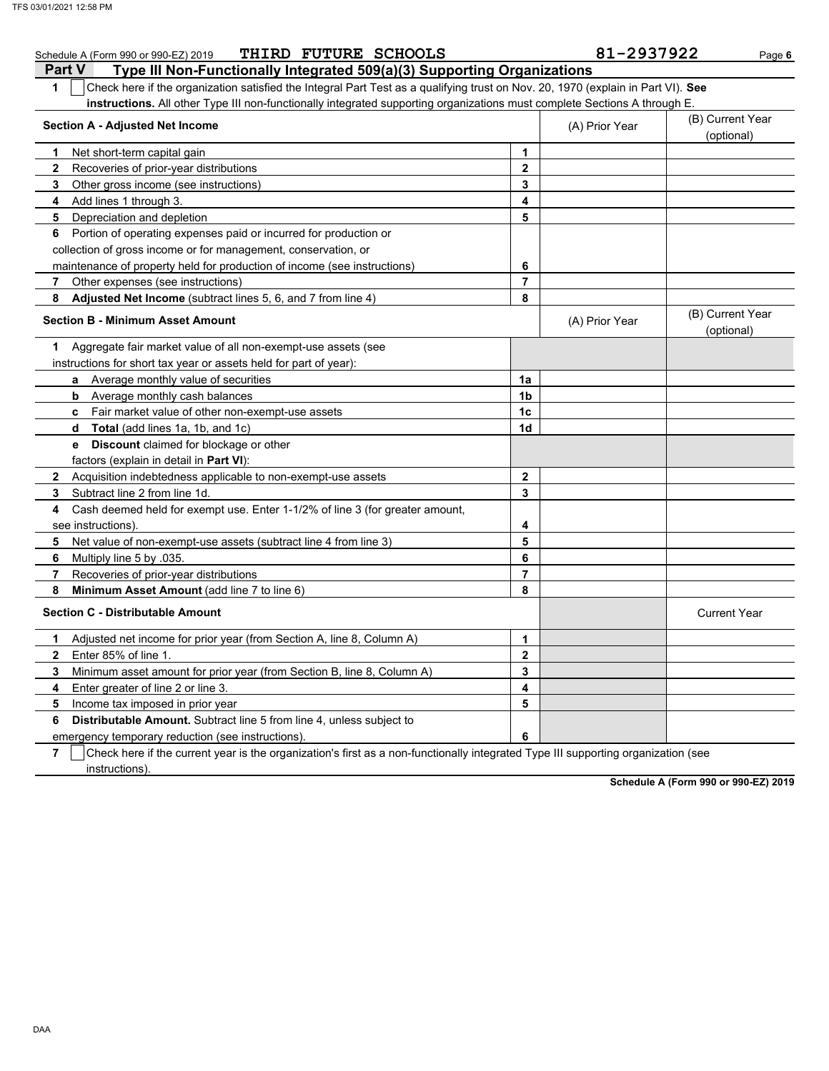| THIRD FUTURE SCHOOLS<br>Schedule A (Form 990 or 990-EZ) 2019                                                                          |                         | 81-2937922     | Page 6                         |
|---------------------------------------------------------------------------------------------------------------------------------------|-------------------------|----------------|--------------------------------|
| Type III Non-Functionally Integrated 509(a)(3) Supporting Organizations<br><b>Part V</b>                                              |                         |                |                                |
| Check here if the organization satisfied the Integral Part Test as a qualifying trust on Nov. 20, 1970 (explain in Part VI). See<br>1 |                         |                |                                |
| instructions. All other Type III non-functionally integrated supporting organizations must complete Sections A through E.             |                         |                |                                |
| <b>Section A - Adjusted Net Income</b>                                                                                                |                         | (A) Prior Year | (B) Current Year               |
|                                                                                                                                       |                         |                | (optional)                     |
| 1<br>Net short-term capital gain                                                                                                      | $\mathbf{1}$            |                |                                |
| $\mathbf{2}$<br>Recoveries of prior-year distributions                                                                                | $\mathbf 2$             |                |                                |
| 3<br>Other gross income (see instructions)                                                                                            | 3                       |                |                                |
| Add lines 1 through 3.<br>4                                                                                                           | 4                       |                |                                |
| 5<br>Depreciation and depletion                                                                                                       | 5                       |                |                                |
| Portion of operating expenses paid or incurred for production or<br>6                                                                 |                         |                |                                |
| collection of gross income or for management, conservation, or                                                                        |                         |                |                                |
| maintenance of property held for production of income (see instructions)                                                              | 6                       |                |                                |
| Other expenses (see instructions)<br>7                                                                                                | $\overline{7}$          |                |                                |
| 8<br>Adjusted Net Income (subtract lines 5, 6, and 7 from line 4)                                                                     | 8                       |                |                                |
| <b>Section B - Minimum Asset Amount</b>                                                                                               |                         | (A) Prior Year | (B) Current Year<br>(optional) |
| Aggregate fair market value of all non-exempt-use assets (see<br>1                                                                    |                         |                |                                |
| instructions for short tax year or assets held for part of year):                                                                     |                         |                |                                |
| Average monthly value of securities<br>a                                                                                              | 1a                      |                |                                |
| Average monthly cash balances<br>b                                                                                                    | 1 <sub>b</sub>          |                |                                |
| <b>c</b> Fair market value of other non-exempt-use assets                                                                             | 1 <sub>c</sub>          |                |                                |
| <b>Total</b> (add lines 1a, 1b, and 1c)<br>d                                                                                          | 1d                      |                |                                |
| <b>e</b> Discount claimed for blockage or other                                                                                       |                         |                |                                |
| factors (explain in detail in Part VI):                                                                                               |                         |                |                                |
| 2 Acquisition indebtedness applicable to non-exempt-use assets                                                                        | $\overline{\mathbf{2}}$ |                |                                |
| 3<br>Subtract line 2 from line 1d.                                                                                                    | 3                       |                |                                |
| Cash deemed held for exempt use. Enter 1-1/2% of line 3 (for greater amount,<br>4                                                     |                         |                |                                |
| see instructions)                                                                                                                     | 4                       |                |                                |
| 5<br>Net value of non-exempt-use assets (subtract line 4 from line 3)                                                                 | 5                       |                |                                |
| 6<br>Multiply line 5 by .035.                                                                                                         | 6                       |                |                                |
| 7<br>Recoveries of prior-year distributions                                                                                           | $\overline{7}$          |                |                                |
| 8<br>Minimum Asset Amount (add line 7 to line 6)                                                                                      | 8                       |                |                                |
| <b>Section C - Distributable Amount</b>                                                                                               |                         |                | <b>Current Year</b>            |
| Adjusted net income for prior year (from Section A, line 8, Column A)<br>1                                                            | $\mathbf{1}$            |                |                                |
| Enter 85% of line 1.<br>$\mathbf{2}$                                                                                                  | $\mathbf{2}$            |                |                                |
| Minimum asset amount for prior year (from Section B, line 8, Column A)<br>3                                                           | 3                       |                |                                |
| Enter greater of line 2 or line 3.<br>4                                                                                               | 4                       |                |                                |
| Income tax imposed in prior year<br>5                                                                                                 | 5                       |                |                                |
| 6<br><b>Distributable Amount.</b> Subtract line 5 from line 4, unless subject to                                                      |                         |                |                                |
| emergency temporary reduction (see instructions)                                                                                      | 6                       |                |                                |

**7** Check here if the current year is the organization's first as a non-functionally integrated Type III supporting organization (see instructions).

**Schedule A (Form 990 or 990-EZ) 2019**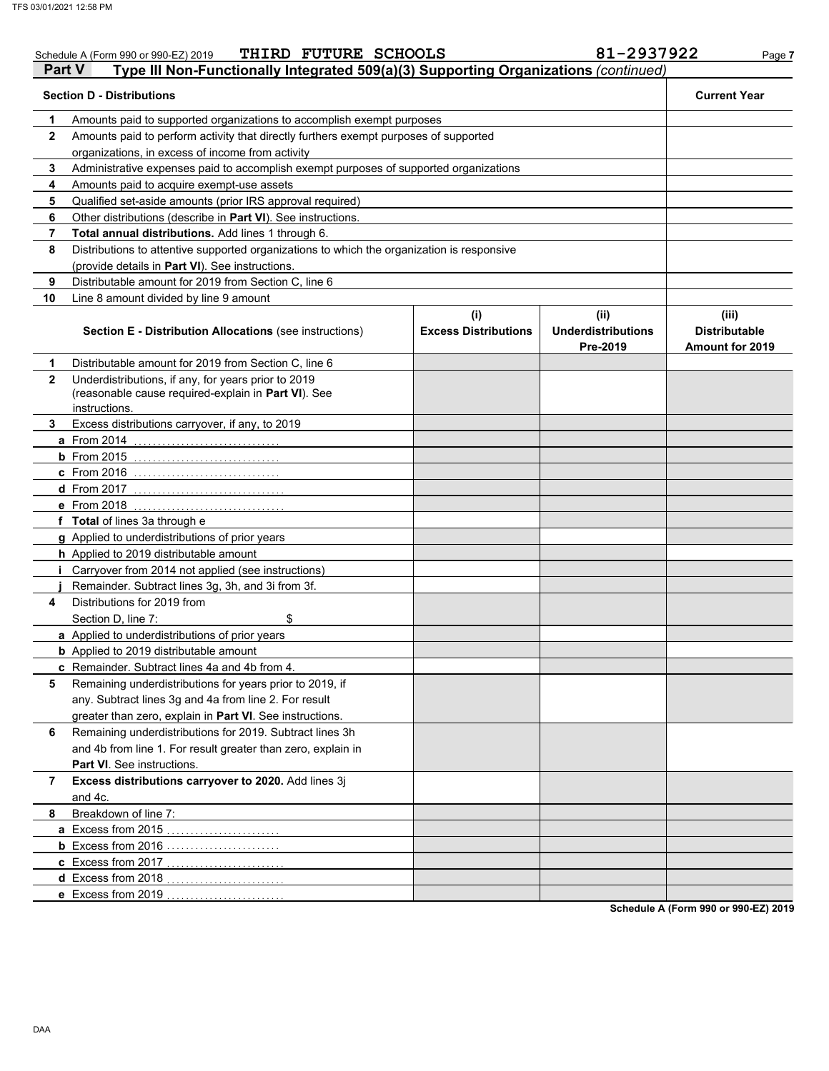|              | THIRD FUTURE SCHOOLS<br>Schedule A (Form 990 or 990-EZ) 2019                                                                |                                    | 81-2937922                                    | Page 7                                                  |
|--------------|-----------------------------------------------------------------------------------------------------------------------------|------------------------------------|-----------------------------------------------|---------------------------------------------------------|
| Part V       | Type III Non-Functionally Integrated 509(a)(3) Supporting Organizations (continued)                                         |                                    |                                               |                                                         |
|              | <b>Section D - Distributions</b>                                                                                            |                                    |                                               | <b>Current Year</b>                                     |
| 1            | Amounts paid to supported organizations to accomplish exempt purposes                                                       |                                    |                                               |                                                         |
| $\mathbf{2}$ | Amounts paid to perform activity that directly furthers exempt purposes of supported                                        |                                    |                                               |                                                         |
|              | organizations, in excess of income from activity                                                                            |                                    |                                               |                                                         |
| 3            | Administrative expenses paid to accomplish exempt purposes of supported organizations                                       |                                    |                                               |                                                         |
| 4            | Amounts paid to acquire exempt-use assets                                                                                   |                                    |                                               |                                                         |
| 5            | Qualified set-aside amounts (prior IRS approval required)                                                                   |                                    |                                               |                                                         |
| 6            | Other distributions (describe in Part VI). See instructions.                                                                |                                    |                                               |                                                         |
| 7            | Total annual distributions. Add lines 1 through 6.                                                                          |                                    |                                               |                                                         |
| 8            | Distributions to attentive supported organizations to which the organization is responsive                                  |                                    |                                               |                                                         |
|              | (provide details in Part VI). See instructions.                                                                             |                                    |                                               |                                                         |
| 9            | Distributable amount for 2019 from Section C, line 6                                                                        |                                    |                                               |                                                         |
| 10           | Line 8 amount divided by line 9 amount                                                                                      |                                    |                                               |                                                         |
|              | <b>Section E - Distribution Allocations (see instructions)</b>                                                              | (i)<br><b>Excess Distributions</b> | (ii)<br><b>Underdistributions</b><br>Pre-2019 | (iii)<br><b>Distributable</b><br><b>Amount for 2019</b> |
| 1            | Distributable amount for 2019 from Section C, line 6                                                                        |                                    |                                               |                                                         |
| $\mathbf{2}$ | Underdistributions, if any, for years prior to 2019<br>(reasonable cause required-explain in Part VI). See<br>instructions. |                                    |                                               |                                                         |
| 3            | Excess distributions carryover, if any, to 2019                                                                             |                                    |                                               |                                                         |
|              | <b>a</b> From 2014                                                                                                          |                                    |                                               |                                                         |
|              |                                                                                                                             |                                    |                                               |                                                         |
|              | c From 2016                                                                                                                 |                                    |                                               |                                                         |
|              | <b>d</b> From 2017                                                                                                          |                                    |                                               |                                                         |
|              | e From 2018<br>. <u>.</u>                                                                                                   |                                    |                                               |                                                         |
|              | f Total of lines 3a through e                                                                                               |                                    |                                               |                                                         |
|              | g Applied to underdistributions of prior years                                                                              |                                    |                                               |                                                         |
|              | h Applied to 2019 distributable amount                                                                                      |                                    |                                               |                                                         |
|              | Carryover from 2014 not applied (see instructions)                                                                          |                                    |                                               |                                                         |
|              | Remainder. Subtract lines 3g, 3h, and 3i from 3f.                                                                           |                                    |                                               |                                                         |
| 4            | Distributions for 2019 from                                                                                                 |                                    |                                               |                                                         |
|              | Section D, line 7:<br>\$                                                                                                    |                                    |                                               |                                                         |
|              | a Applied to underdistributions of prior years                                                                              |                                    |                                               |                                                         |
|              | <b>b</b> Applied to 2019 distributable amount                                                                               |                                    |                                               |                                                         |
|              | c Remainder. Subtract lines 4a and 4b from 4.                                                                               |                                    |                                               |                                                         |
| 5            | Remaining underdistributions for years prior to 2019, if                                                                    |                                    |                                               |                                                         |
|              | any. Subtract lines 3g and 4a from line 2. For result                                                                       |                                    |                                               |                                                         |
|              | greater than zero, explain in Part VI. See instructions.                                                                    |                                    |                                               |                                                         |
| 6            | Remaining underdistributions for 2019. Subtract lines 3h                                                                    |                                    |                                               |                                                         |
|              | and 4b from line 1. For result greater than zero, explain in                                                                |                                    |                                               |                                                         |
|              | Part VI. See instructions.                                                                                                  |                                    |                                               |                                                         |
| 7            | Excess distributions carryover to 2020. Add lines 3j<br>and 4c.                                                             |                                    |                                               |                                                         |
| 8            | Breakdown of line 7:                                                                                                        |                                    |                                               |                                                         |
|              | a Excess from 2015.                                                                                                         |                                    |                                               |                                                         |
|              | <b>b</b> Excess from 2016                                                                                                   |                                    |                                               |                                                         |
|              | c Excess from 2017.                                                                                                         |                                    |                                               |                                                         |
|              | d Excess from 2018.                                                                                                         |                                    |                                               |                                                         |
|              | e Excess from 2019                                                                                                          |                                    |                                               |                                                         |
|              |                                                                                                                             |                                    |                                               | <b>Cohodule A (Form 000 or 000 FZ) 0040</b>             |

**Schedule A (Form 990 or 990-EZ) 2019**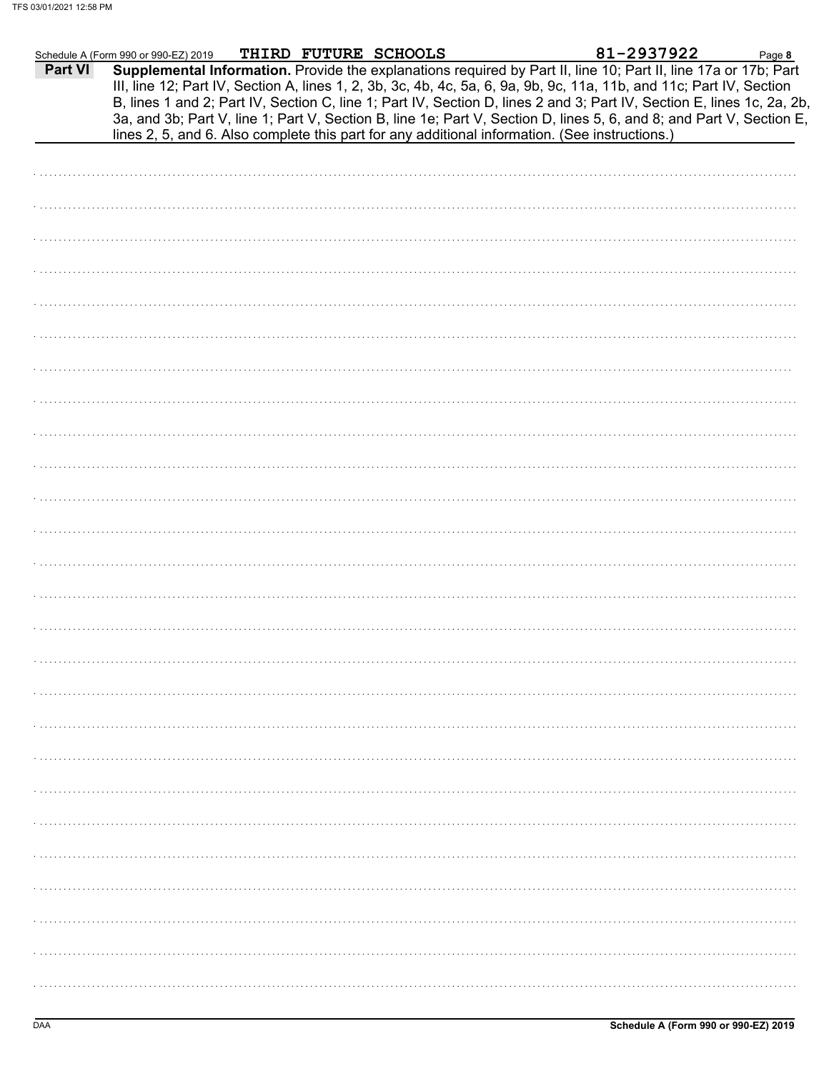|         | Schedule A (Form 990 or 990-EZ) 2019 |  | THIRD FUTURE SCHOOLS |                                                                                                                                                                                                                                                                                                                                                                                                                                                                                                                                                                                             | 81-2937922 | Page 8 |  |
|---------|--------------------------------------|--|----------------------|---------------------------------------------------------------------------------------------------------------------------------------------------------------------------------------------------------------------------------------------------------------------------------------------------------------------------------------------------------------------------------------------------------------------------------------------------------------------------------------------------------------------------------------------------------------------------------------------|------------|--------|--|
| Part VI |                                      |  |                      | Supplemental Information. Provide the explanations required by Part II, line 10; Part II, line 17a or 17b; Part<br>III, line 12; Part IV, Section A, lines 1, 2, 3b, 3c, 4b, 4c, 5a, 6, 9a, 9b, 9c, 11a, 11b, and 11c; Part IV, Section<br>B, lines 1 and 2; Part IV, Section C, line 1; Part IV, Section D, lines 2 and 3; Part IV, Section E, lines 1c, 2a, 2b,<br>3a, and 3b; Part V, line 1; Part V, Section B, line 1e; Part V, Section D, lines 5, 6, and 8; and Part V, Section E,<br>lines 2, 5, and 6. Also complete this part for any additional information. (See instructions.) |            |        |  |
|         |                                      |  |                      |                                                                                                                                                                                                                                                                                                                                                                                                                                                                                                                                                                                             |            |        |  |
|         |                                      |  |                      |                                                                                                                                                                                                                                                                                                                                                                                                                                                                                                                                                                                             |            |        |  |
|         |                                      |  |                      |                                                                                                                                                                                                                                                                                                                                                                                                                                                                                                                                                                                             |            |        |  |
|         |                                      |  |                      |                                                                                                                                                                                                                                                                                                                                                                                                                                                                                                                                                                                             |            |        |  |
|         |                                      |  |                      |                                                                                                                                                                                                                                                                                                                                                                                                                                                                                                                                                                                             |            |        |  |
|         |                                      |  |                      |                                                                                                                                                                                                                                                                                                                                                                                                                                                                                                                                                                                             |            |        |  |
|         |                                      |  |                      |                                                                                                                                                                                                                                                                                                                                                                                                                                                                                                                                                                                             |            |        |  |
|         |                                      |  |                      |                                                                                                                                                                                                                                                                                                                                                                                                                                                                                                                                                                                             |            |        |  |
|         |                                      |  |                      |                                                                                                                                                                                                                                                                                                                                                                                                                                                                                                                                                                                             |            |        |  |
|         |                                      |  |                      |                                                                                                                                                                                                                                                                                                                                                                                                                                                                                                                                                                                             |            |        |  |
|         |                                      |  |                      |                                                                                                                                                                                                                                                                                                                                                                                                                                                                                                                                                                                             |            |        |  |
|         |                                      |  |                      |                                                                                                                                                                                                                                                                                                                                                                                                                                                                                                                                                                                             |            |        |  |
|         |                                      |  |                      |                                                                                                                                                                                                                                                                                                                                                                                                                                                                                                                                                                                             |            |        |  |
|         |                                      |  |                      |                                                                                                                                                                                                                                                                                                                                                                                                                                                                                                                                                                                             |            |        |  |
|         |                                      |  |                      |                                                                                                                                                                                                                                                                                                                                                                                                                                                                                                                                                                                             |            |        |  |
|         |                                      |  |                      |                                                                                                                                                                                                                                                                                                                                                                                                                                                                                                                                                                                             |            |        |  |
|         |                                      |  |                      |                                                                                                                                                                                                                                                                                                                                                                                                                                                                                                                                                                                             |            |        |  |
|         |                                      |  |                      |                                                                                                                                                                                                                                                                                                                                                                                                                                                                                                                                                                                             |            |        |  |
|         |                                      |  |                      |                                                                                                                                                                                                                                                                                                                                                                                                                                                                                                                                                                                             |            |        |  |
|         |                                      |  |                      |                                                                                                                                                                                                                                                                                                                                                                                                                                                                                                                                                                                             |            |        |  |
|         |                                      |  |                      |                                                                                                                                                                                                                                                                                                                                                                                                                                                                                                                                                                                             |            |        |  |
|         |                                      |  |                      |                                                                                                                                                                                                                                                                                                                                                                                                                                                                                                                                                                                             |            |        |  |
|         |                                      |  |                      |                                                                                                                                                                                                                                                                                                                                                                                                                                                                                                                                                                                             |            |        |  |
|         |                                      |  |                      |                                                                                                                                                                                                                                                                                                                                                                                                                                                                                                                                                                                             |            |        |  |
|         |                                      |  |                      |                                                                                                                                                                                                                                                                                                                                                                                                                                                                                                                                                                                             |            |        |  |
|         |                                      |  |                      |                                                                                                                                                                                                                                                                                                                                                                                                                                                                                                                                                                                             |            |        |  |
|         |                                      |  |                      |                                                                                                                                                                                                                                                                                                                                                                                                                                                                                                                                                                                             |            |        |  |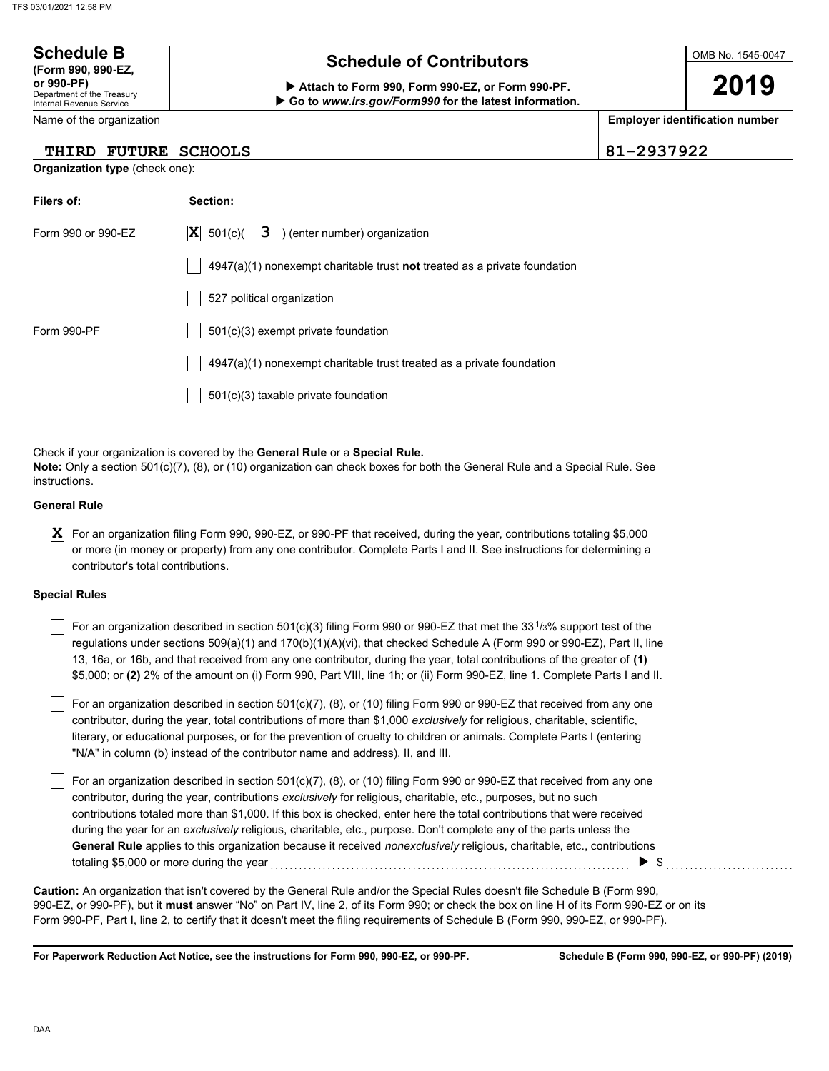## OMB No. 1545-0047 Department of the Treasury Internal Revenue Service Name of the organization **2019 Schedule B**  $\overline{\phantom{a}}$  **Schedule of Contributors (Form 990, 990-EZ, or 990-PF) Attach to Form 990, Form 990-EZ, or Form 990-PF. Employer identification number Organization type** (check one): **Filers of: Section:** Form 990 or 990-EZ  $|X|$  501(c)(  $3$  ) (enter number) organization 4947(a)(1) nonexempt charitable trust **not** treated as a private foundation 527 political organization  **Go to** *www.irs.gov/Form990* **for the latest information. THIRD FUTURE SCHOOLS 81-2937922 X**  $501(c)$  3

| Filers of:         | Section:                                                                           |
|--------------------|------------------------------------------------------------------------------------|
| Form 990 or 990-EZ | $ \mathbf{X} $ 501(c)(<br>3 ) (enter number) organization                          |
|                    | $4947(a)(1)$ nonexempt charitable trust <b>not</b> treated as a private foundation |
|                    | 527 political organization                                                         |
| Form 990-PF        | 501(c)(3) exempt private foundation                                                |
|                    | 4947(a)(1) nonexempt charitable trust treated as a private foundation              |
|                    | $501(c)(3)$ taxable private foundation                                             |
|                    |                                                                                    |

Check if your organization is covered by the **General Rule** or a **Special Rule. Note:** Only a section 501(c)(7), (8), or (10) organization can check boxes for both the General Rule and a Special Rule. See instructions.

## **General Rule**

 $\bm{X}$  For an organization filing Form 990, 990-EZ, or 990-PF that received, during the year, contributions totaling \$5,000 or more (in money or property) from any one contributor. Complete Parts I and II. See instructions for determining a contributor's total contributions.

### **Special Rules**

For an organization described in section 501(c)(3) filing Form 990 or 990-EZ that met the 33<sup>1</sup>/<sub>3</sub>% support test of the regulations under sections 509(a)(1) and 170(b)(1)(A)(vi), that checked Schedule A (Form 990 or 990-EZ), Part II, line 13, 16a, or 16b, and that received from any one contributor, during the year, total contributions of the greater of **(1)** \$5,000; or **(2)** 2% of the amount on (i) Form 990, Part VIII, line 1h; or (ii) Form 990-EZ, line 1. Complete Parts I and II.

literary, or educational purposes, or for the prevention of cruelty to children or animals. Complete Parts I (entering For an organization described in section 501(c)(7), (8), or (10) filing Form 990 or 990-EZ that received from any one contributor, during the year, total contributions of more than \$1,000 *exclusively* for religious, charitable, scientific, "N/A" in column (b) instead of the contributor name and address), II, and III.

For an organization described in section 501(c)(7), (8), or (10) filing Form 990 or 990-EZ that received from any one contributor, during the year, contributions *exclusively* for religious, charitable, etc., purposes, but no such contributions totaled more than \$1,000. If this box is checked, enter here the total contributions that were received during the year for an *exclusively* religious, charitable, etc., purpose. Don't complete any of the parts unless the **General Rule** applies to this organization because it received *nonexclusively* religious, charitable, etc., contributions totaling \$5,000 or more during the year  $\ldots$   $\ldots$   $\ldots$   $\ldots$   $\ldots$   $\ldots$   $\ldots$   $\ldots$   $\ldots$   $\ldots$   $\ldots$   $\ldots$   $\ldots$ 

990-EZ, or 990-PF), but it **must** answer "No" on Part IV, line 2, of its Form 990; or check the box on line H of its Form 990-EZ or on its Form 990-PF, Part I, line 2, to certify that it doesn't meet the filing requirements of Schedule B (Form 990, 990-EZ, or 990-PF). **Caution:** An organization that isn't covered by the General Rule and/or the Special Rules doesn't file Schedule B (Form 990,

**For Paperwork Reduction Act Notice, see the instructions for Form 990, 990-EZ, or 990-PF.**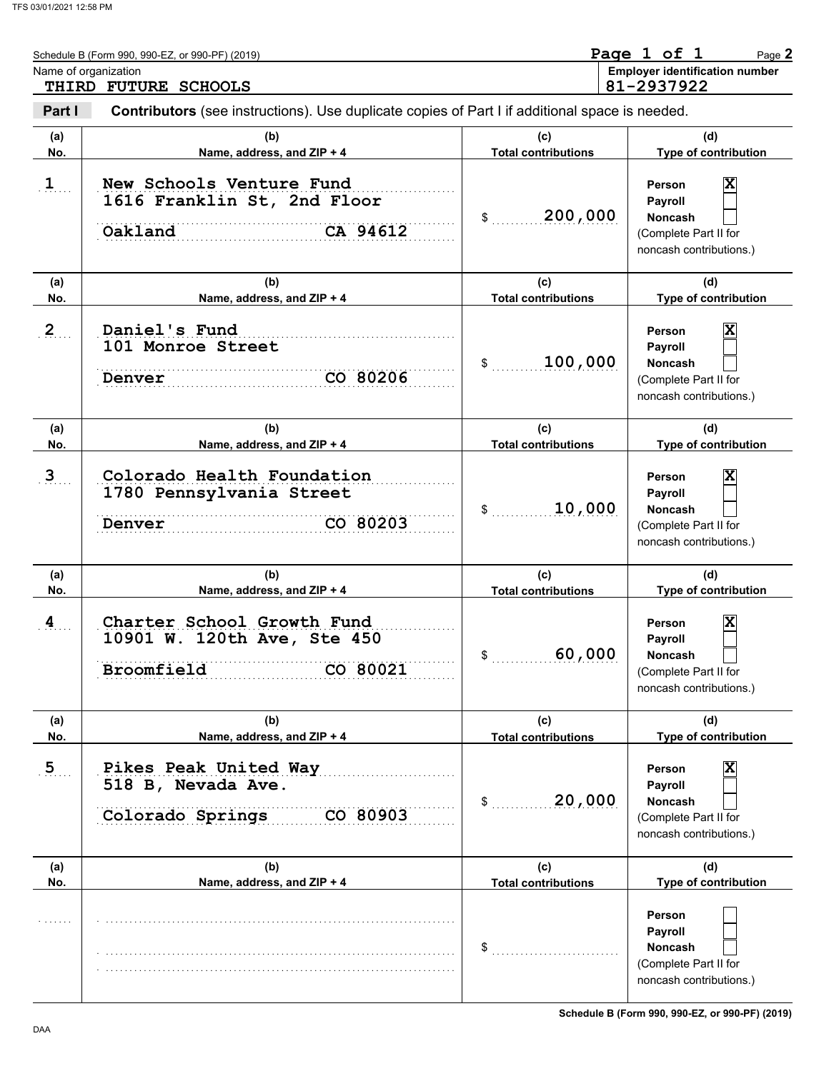|                | Schedule B (Form 990, 990-EZ, or 990-PF) (2019)                                                |                                   | Page 1 of 1<br>Page 2                                                                                              |
|----------------|------------------------------------------------------------------------------------------------|-----------------------------------|--------------------------------------------------------------------------------------------------------------------|
|                | Name of organization<br>THIRD FUTURE SCHOOLS                                                   |                                   | <b>Employer identification number</b><br>81-2937922                                                                |
| Part I         | Contributors (see instructions). Use duplicate copies of Part I if additional space is needed. |                                   |                                                                                                                    |
| (a)<br>No.     | (b)<br>Name, address, and ZIP + 4                                                              | (c)<br><b>Total contributions</b> | (d)<br>Type of contribution                                                                                        |
| $\mathbf{1}$   | New Schools Venture Fund<br>1616 Franklin St, 2nd Floor<br>CA 94612<br>Oakland                 | 200,000<br>\$                     | X<br>Person<br>Payroll<br>Noncash<br>(Complete Part II for<br>noncash contributions.)                              |
| (a)<br>No.     | (b)<br>Name, address, and ZIP + 4                                                              | (c)<br><b>Total contributions</b> | (d)<br>Type of contribution                                                                                        |
| 2 <sub>2</sub> | Daniel's Fund<br>101 Monroe Street<br>CO 80206<br>Denver                                       | 100,000<br>\$                     | X<br>Person<br>Payroll<br>Noncash<br>(Complete Part II for<br>noncash contributions.)                              |
| (a)<br>No.     | (b)<br>Name, address, and ZIP + 4                                                              | (c)<br><b>Total contributions</b> | (d)<br>Type of contribution                                                                                        |
| 3 <sub>1</sub> | Colorado Health Foundation<br>1780 Pennsylvania Street<br>CO 80203<br>Denver                   | 10,000<br>\$                      | X<br>Person<br>Payroll<br><b>Noncash</b><br>(Complete Part II for<br>noncash contributions.)                       |
| (a)<br>No.     | (b)<br>Name, address, and ZIP + 4                                                              | (c)<br><b>Total contributions</b> | (d)<br>Type of contribution                                                                                        |
| 4              | Charter School Growth Fund<br>10901 W. 120th Ave, Ste 450<br>Broomfield<br>CO 80021            | 60,000                            | X<br>Person<br>Payroll<br>Noncash<br>(Complete Part II for<br>noncash contributions.)                              |
| (a)<br>No.     | (b)<br>Name, address, and ZIP + 4                                                              | (c)<br><b>Total contributions</b> | (d)<br>Type of contribution                                                                                        |
| 5 <sub>1</sub> | Pikes Peak United Way<br>518 B, Nevada Ave.<br>Colorado Springs<br>CO 80903                    | 20,000<br>\$                      | $\overline{\mathbf{x}}$<br>Person<br>Payroll<br><b>Noncash</b><br>(Complete Part II for<br>noncash contributions.) |
| (a)<br>No.     | (b)<br>Name, address, and ZIP + 4                                                              | (c)<br><b>Total contributions</b> | (d)<br>Type of contribution                                                                                        |
|                |                                                                                                | \$                                | Person<br>Payroll<br><b>Noncash</b><br>(Complete Part II for<br>noncash contributions.)                            |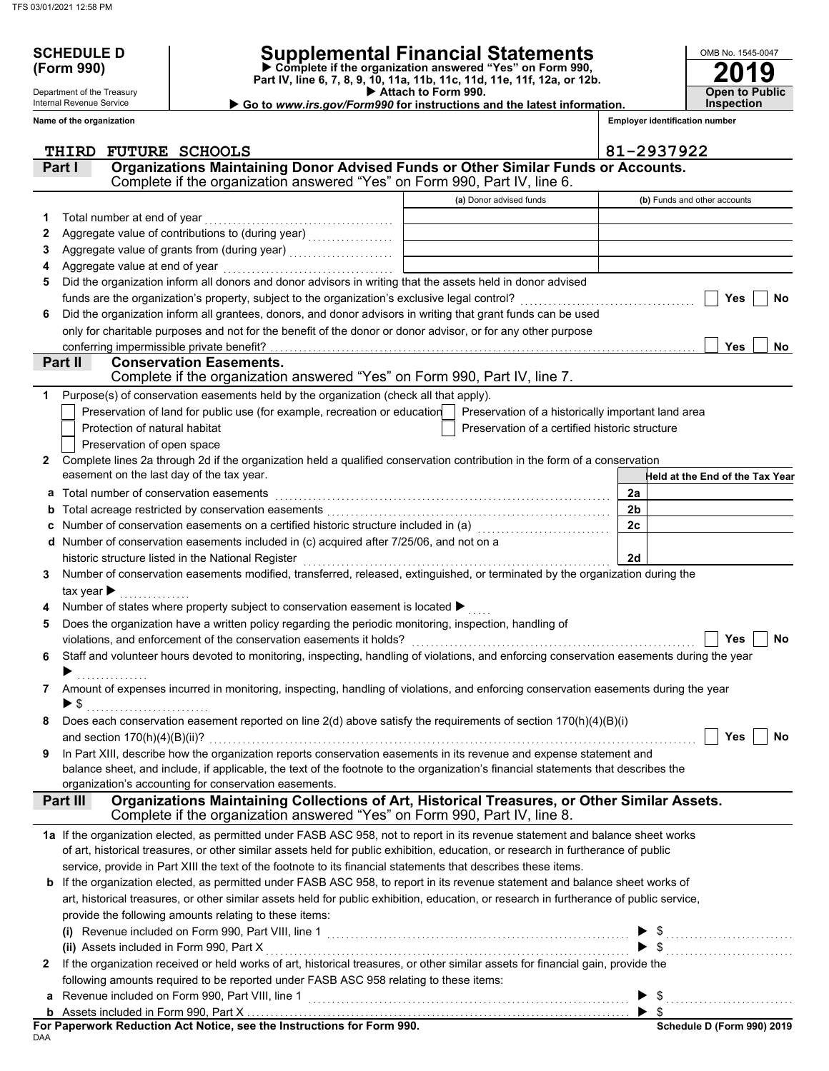Department of the Treasury Internal Revenue Service

# **SCHEDULE D Supplemental Financial Statements**

 **Attach to Form 990. (Form 990) Part IV, line 6, 7, 8, 9, 10, 11a, 11b, 11c, 11d, 11e, 11f, 12a, or 12b. Complete if the organization answered "Yes" on Form 990,**

▶ Go to www.irs.gov/Form990 for instructions and the latest information.

**2019**

**Open to Public Inspection**

OMB No. 1545-0047

|              | Name of the organization                                                                                                                                                           |                                                | <b>Employer identification number</b> |
|--------------|------------------------------------------------------------------------------------------------------------------------------------------------------------------------------------|------------------------------------------------|---------------------------------------|
|              | THIRD FUTURE SCHOOLS                                                                                                                                                               |                                                | 81-2937922                            |
|              | Organizations Maintaining Donor Advised Funds or Other Similar Funds or Accounts.<br>Part I                                                                                        |                                                |                                       |
|              | Complete if the organization answered "Yes" on Form 990, Part IV, line 6.                                                                                                          |                                                |                                       |
|              |                                                                                                                                                                                    | (a) Donor advised funds                        | (b) Funds and other accounts          |
| 1            | Total number at end of year                                                                                                                                                        |                                                |                                       |
| 2            |                                                                                                                                                                                    |                                                |                                       |
| 3            |                                                                                                                                                                                    |                                                |                                       |
| 4            | Aggregate value at end of year                                                                                                                                                     |                                                |                                       |
| 5            | Did the organization inform all donors and donor advisors in writing that the assets held in donor advised                                                                         |                                                |                                       |
|              | funds are the organization's property, subject to the organization's exclusive legal control?                                                                                      |                                                | Yes<br>No                             |
| 6            | Did the organization inform all grantees, donors, and donor advisors in writing that grant funds can be used                                                                       |                                                |                                       |
|              | only for charitable purposes and not for the benefit of the donor or donor advisor, or for any other purpose                                                                       |                                                |                                       |
|              | conferring impermissible private benefit?                                                                                                                                          |                                                | Yes<br><b>No</b>                      |
|              | Part II<br><b>Conservation Easements.</b>                                                                                                                                          |                                                |                                       |
|              | Complete if the organization answered "Yes" on Form 990, Part IV, line 7.                                                                                                          |                                                |                                       |
| 1            | Purpose(s) of conservation easements held by the organization (check all that apply).                                                                                              |                                                |                                       |
|              | Preservation of land for public use (for example, recreation or education   Preservation of a historically important land area                                                     |                                                |                                       |
|              | Protection of natural habitat                                                                                                                                                      | Preservation of a certified historic structure |                                       |
|              | Preservation of open space                                                                                                                                                         |                                                |                                       |
| $\mathbf{2}$ | Complete lines 2a through 2d if the organization held a qualified conservation contribution in the form of a conservation<br>easement on the last day of the tax year.             |                                                |                                       |
|              |                                                                                                                                                                                    |                                                | Held at the End of the Tax Year       |
| a            | Total number of conservation easements                                                                                                                                             |                                                | 2a<br>2 <sub>b</sub>                  |
| b            |                                                                                                                                                                                    |                                                | 2c                                    |
|              | Number of conservation easements on a certified historic structure included in (a) [11] Number of conservation                                                                     |                                                |                                       |
|              | Number of conservation easements included in (c) acquired after 7/25/06, and not on a                                                                                              |                                                | 2d                                    |
| 3            | historic structure listed in the National Register<br>Number of conservation easements modified, transferred, released, extinguished, or terminated by the organization during the |                                                |                                       |
|              | tax year $\blacktriangleright$                                                                                                                                                     |                                                |                                       |
|              | Number of states where property subject to conservation easement is located ▶                                                                                                      |                                                |                                       |
| 5            | Does the organization have a written policy regarding the periodic monitoring, inspection, handling of                                                                             |                                                |                                       |
|              | violations, and enforcement of the conservation easements it holds?                                                                                                                |                                                | No<br>Yes                             |
| 6            | Staff and volunteer hours devoted to monitoring, inspecting, handling of violations, and enforcing conservation easements during the year                                          |                                                |                                       |
|              |                                                                                                                                                                                    |                                                |                                       |
| 7            | Amount of expenses incurred in monitoring, inspecting, handling of violations, and enforcing conservation easements during the year                                                |                                                |                                       |
|              | ▶ \$                                                                                                                                                                               |                                                |                                       |
|              | Does each conservation easement reported on line 2(d) above satisfy the requirements of section 170(h)(4)(B)(i)                                                                    |                                                |                                       |
|              |                                                                                                                                                                                    |                                                | Yes<br>No                             |
| 9            | In Part XIII, describe how the organization reports conservation easements in its revenue and expense statement and                                                                |                                                |                                       |
|              | balance sheet, and include, if applicable, the text of the footnote to the organization's financial statements that describes the                                                  |                                                |                                       |
|              | organization's accounting for conservation easements.                                                                                                                              |                                                |                                       |
|              | Organizations Maintaining Collections of Art, Historical Treasures, or Other Similar Assets.<br>Part III                                                                           |                                                |                                       |
|              | Complete if the organization answered "Yes" on Form 990, Part IV, line 8.                                                                                                          |                                                |                                       |
|              | 1a If the organization elected, as permitted under FASB ASC 958, not to report in its revenue statement and balance sheet works                                                    |                                                |                                       |
|              | of art, historical treasures, or other similar assets held for public exhibition, education, or research in furtherance of public                                                  |                                                |                                       |
|              | service, provide in Part XIII the text of the footnote to its financial statements that describes these items.                                                                     |                                                |                                       |
|              | <b>b</b> If the organization elected, as permitted under FASB ASC 958, to report in its revenue statement and balance sheet works of                                               |                                                |                                       |
|              | art, historical treasures, or other similar assets held for public exhibition, education, or research in furtherance of public service,                                            |                                                |                                       |
|              | provide the following amounts relating to these items:                                                                                                                             |                                                |                                       |
|              |                                                                                                                                                                                    |                                                | $\blacktriangleright$ \$              |
|              |                                                                                                                                                                                    |                                                | $\$\ldots$                            |
| 2            | If the organization received or held works of art, historical treasures, or other similar assets for financial gain, provide the                                                   |                                                |                                       |
|              | following amounts required to be reported under FASB ASC 958 relating to these items:                                                                                              |                                                |                                       |
|              |                                                                                                                                                                                    |                                                | $\blacktriangleright$ \$              |
|              |                                                                                                                                                                                    |                                                |                                       |

DAA **For Paperwork Reduction Act Notice, see the Instructions for Form 990.**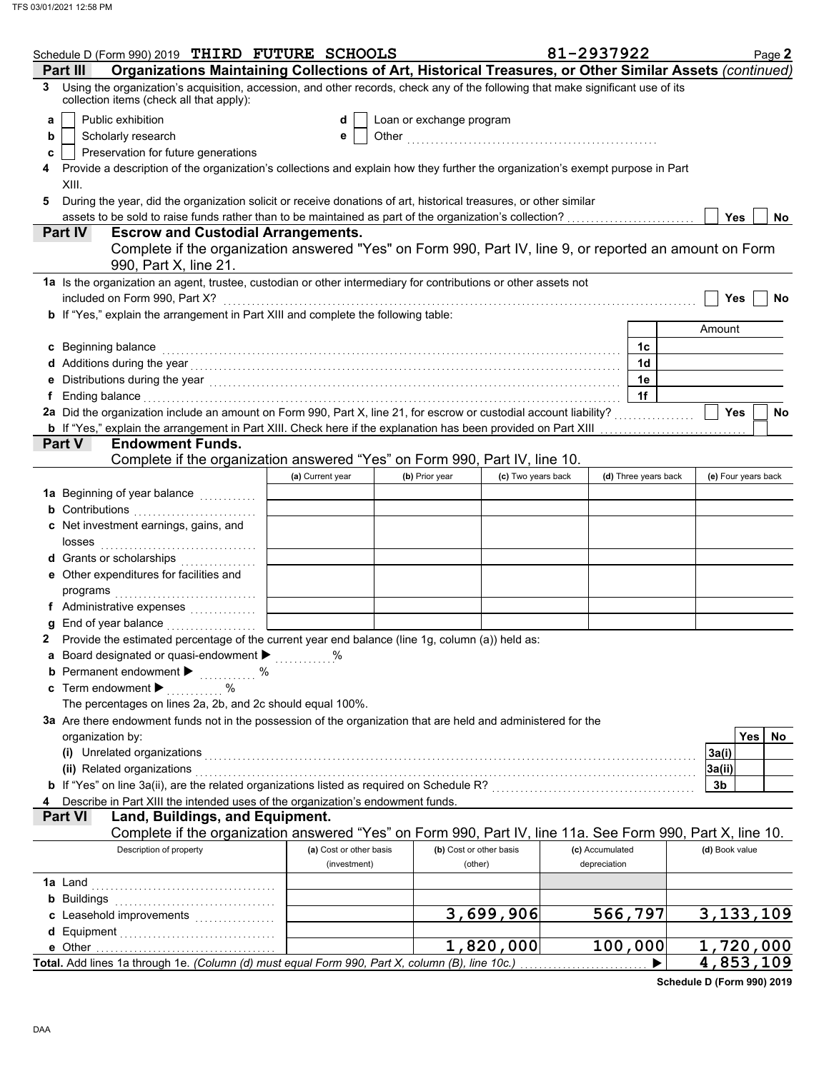|    | Schedule D (Form 990) 2019 THIRD FUTURE SCHOOLS                                                                                                                                                                                     |                         |                          |                         | 81-2937922      |                      | Page 2                  |
|----|-------------------------------------------------------------------------------------------------------------------------------------------------------------------------------------------------------------------------------------|-------------------------|--------------------------|-------------------------|-----------------|----------------------|-------------------------|
|    | Organizations Maintaining Collections of Art, Historical Treasures, or Other Similar Assets (continued)<br>Part III                                                                                                                 |                         |                          |                         |                 |                      |                         |
| 3  | Using the organization's acquisition, accession, and other records, check any of the following that make significant use of its<br>collection items (check all that apply):                                                         |                         |                          |                         |                 |                      |                         |
| a  | Public exhibition                                                                                                                                                                                                                   | d                       | Loan or exchange program |                         |                 |                      |                         |
| b  | Scholarly research                                                                                                                                                                                                                  | е                       |                          |                         |                 |                      |                         |
| c  | Preservation for future generations                                                                                                                                                                                                 |                         |                          |                         |                 |                      |                         |
| 4  | Provide a description of the organization's collections and explain how they further the organization's exempt purpose in Part<br>XIII.                                                                                             |                         |                          |                         |                 |                      |                         |
| 5  | During the year, did the organization solicit or receive donations of art, historical treasures, or other similar                                                                                                                   |                         |                          |                         |                 |                      |                         |
|    | assets to be sold to raise funds rather than to be maintained as part of the organization's collection?                                                                                                                             |                         |                          |                         |                 |                      | Yes<br><b>No</b>        |
|    | <b>Escrow and Custodial Arrangements.</b><br><b>Part IV</b>                                                                                                                                                                         |                         |                          |                         |                 |                      |                         |
|    | Complete if the organization answered "Yes" on Form 990, Part IV, line 9, or reported an amount on Form<br>990, Part X, line 21.                                                                                                    |                         |                          |                         |                 |                      |                         |
|    | 1a Is the organization an agent, trustee, custodian or other intermediary for contributions or other assets not                                                                                                                     |                         |                          |                         |                 |                      |                         |
|    | included on Form 990, Part X?                                                                                                                                                                                                       |                         |                          |                         |                 |                      | <b>Yes</b><br><b>No</b> |
|    | b If "Yes," explain the arrangement in Part XIII and complete the following table:                                                                                                                                                  |                         |                          |                         |                 |                      |                         |
|    |                                                                                                                                                                                                                                     |                         |                          |                         |                 |                      | Amount                  |
|    | c Beginning balance                                                                                                                                                                                                                 |                         |                          |                         |                 | 1c                   |                         |
|    | d Additions during the year with the contract of the set of the set of the set of the set of the set of the set of the set of the set of the set of the set of the set of the set of the set of the set of the set of the set       |                         |                          |                         |                 | 1d                   |                         |
|    |                                                                                                                                                                                                                                     |                         |                          |                         |                 | 1e                   |                         |
| f. | Ending balance with a construction of the construction of the construction of the construction of the construction of the construction of the construction of the construction of the construction of the construction of the       |                         |                          |                         |                 | 1f                   |                         |
|    | 2a Did the organization include an amount on Form 990, Part X, line 21, for escrow or custodial account liability?                                                                                                                  |                         |                          |                         |                 |                      | Yes<br>No               |
|    |                                                                                                                                                                                                                                     |                         |                          |                         |                 |                      |                         |
|    | <b>Endowment Funds.</b><br><b>Part V</b>                                                                                                                                                                                            |                         |                          |                         |                 |                      |                         |
|    | Complete if the organization answered "Yes" on Form 990, Part IV, line 10.                                                                                                                                                          |                         |                          |                         |                 |                      |                         |
|    |                                                                                                                                                                                                                                     | (a) Current year        | (b) Prior year           | (c) Two years back      |                 | (d) Three years back | (e) Four years back     |
|    | 1a Beginning of year balance <i>minimizing</i>                                                                                                                                                                                      |                         |                          |                         |                 |                      |                         |
|    | <b>b</b> Contributions <b>contributions</b>                                                                                                                                                                                         |                         |                          |                         |                 |                      |                         |
|    | c Net investment earnings, gains, and                                                                                                                                                                                               |                         |                          |                         |                 |                      |                         |
|    |                                                                                                                                                                                                                                     |                         |                          |                         |                 |                      |                         |
|    | d Grants or scholarships                                                                                                                                                                                                            |                         |                          |                         |                 |                      |                         |
|    | e Other expenditures for facilities and                                                                                                                                                                                             |                         |                          |                         |                 |                      |                         |
|    |                                                                                                                                                                                                                                     |                         |                          |                         |                 |                      |                         |
|    | f Administrative expenses                                                                                                                                                                                                           |                         |                          |                         |                 |                      |                         |
| g  | End of year balance                                                                                                                                                                                                                 |                         |                          |                         |                 |                      |                         |
|    | Provide the estimated percentage of the current year end balance (line 1g, column (a)) held as:                                                                                                                                     |                         |                          |                         |                 |                      |                         |
|    | a Board designated or quasi-endowment >                                                                                                                                                                                             |                         |                          |                         |                 |                      |                         |
|    | <b>b</b> Permanent endowment <b>&gt;</b> %                                                                                                                                                                                          |                         |                          |                         |                 |                      |                         |
|    | c Term endowment $\blacktriangleright$<br>$\sim$ $\sim$ $\sim$ $\sim$                                                                                                                                                               |                         |                          |                         |                 |                      |                         |
|    | The percentages on lines 2a, 2b, and 2c should equal 100%.                                                                                                                                                                          |                         |                          |                         |                 |                      |                         |
|    | 3a Are there endowment funds not in the possession of the organization that are held and administered for the                                                                                                                       |                         |                          |                         |                 |                      |                         |
|    | organization by:                                                                                                                                                                                                                    |                         |                          |                         |                 |                      | Yes  <br>No             |
|    | (i) Unrelated organizations <i>communication</i> and contract the contract of the contract of the contract of the contract of the contract of the contract of the contract of the contract of the contract of the contract of the c |                         |                          |                         |                 |                      | 3a(i)                   |
|    |                                                                                                                                                                                                                                     |                         |                          |                         |                 |                      | 3a(ii)                  |
|    | b If "Yes" on line 3a(ii), are the related organizations listed as required on Schedule R? [[[[[[[[[[[[[[[[[[[                                                                                                                      |                         |                          |                         |                 |                      | 3b                      |
| 4  | Describe in Part XIII the intended uses of the organization's endowment funds.                                                                                                                                                      |                         |                          |                         |                 |                      |                         |
|    | Land, Buildings, and Equipment.<br><b>Part VI</b>                                                                                                                                                                                   |                         |                          |                         |                 |                      |                         |
|    | Complete if the organization answered "Yes" on Form 990, Part IV, line 11a. See Form 990, Part X, line 10.                                                                                                                          |                         |                          |                         |                 |                      |                         |
|    | Description of property                                                                                                                                                                                                             | (a) Cost or other basis |                          | (b) Cost or other basis | (c) Accumulated |                      | (d) Book value          |
|    |                                                                                                                                                                                                                                     | (investment)            |                          | (other)                 | depreciation    |                      |                         |
|    |                                                                                                                                                                                                                                     |                         |                          |                         |                 |                      |                         |
|    |                                                                                                                                                                                                                                     |                         |                          |                         |                 |                      |                         |
|    | c Leasehold improvements                                                                                                                                                                                                            |                         |                          | 3,699,906               |                 | 566,797              | 3, 133, 109             |
|    |                                                                                                                                                                                                                                     |                         |                          |                         |                 |                      |                         |
|    |                                                                                                                                                                                                                                     |                         |                          | 1,820,000               |                 | 100,000              | 1,720,000               |
|    | Total. Add lines 1a through 1e. (Column (d) must equal Form 990, Part X, column (B), line 10c.)                                                                                                                                     |                         |                          |                         |                 | ▶                    | 4,853,109               |

**Schedule D (Form 990) 2019**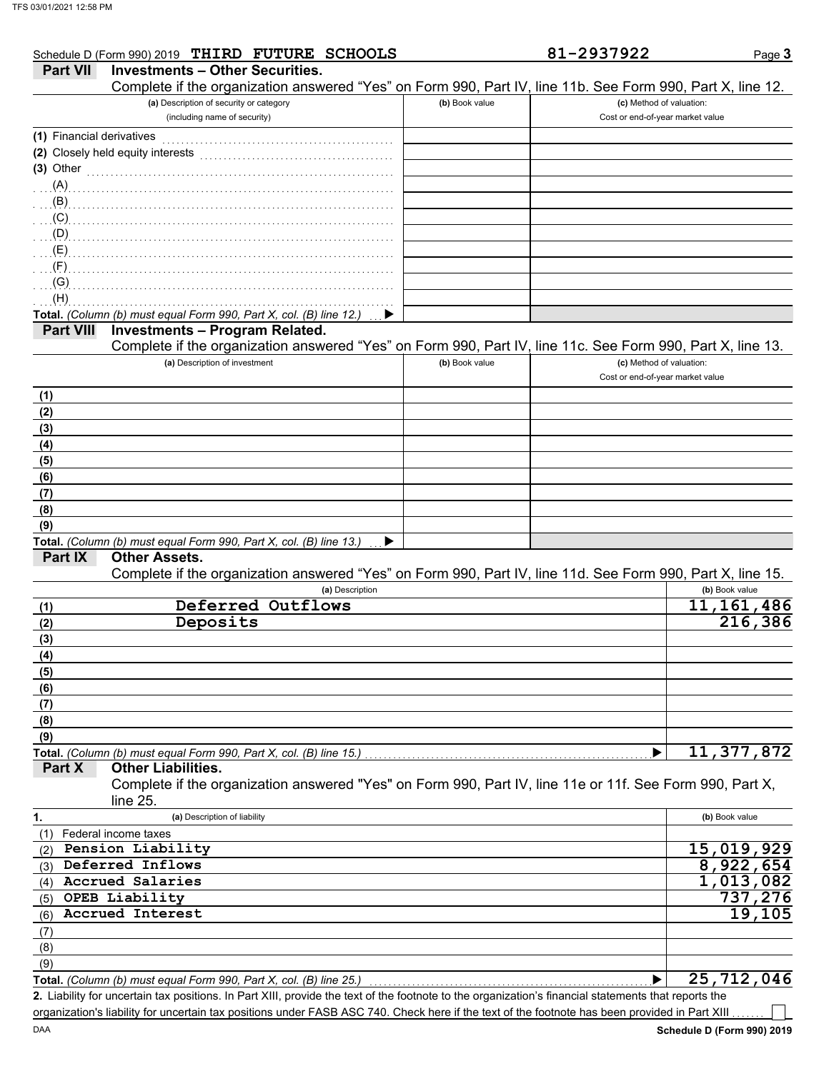|                           | Schedule D (Form 990) 2019 THIRD FUTURE SCHOOLS                                                                                                             |                | 81-2937922                       | Page 3         |
|---------------------------|-------------------------------------------------------------------------------------------------------------------------------------------------------------|----------------|----------------------------------|----------------|
| <b>Part VII</b>           | <b>Investments - Other Securities.</b>                                                                                                                      |                |                                  |                |
|                           | Complete if the organization answered "Yes" on Form 990, Part IV, line 11b. See Form 990, Part X, line 12.                                                  |                |                                  |                |
|                           | (a) Description of security or category                                                                                                                     | (b) Book value | (c) Method of valuation:         |                |
|                           | (including name of security)                                                                                                                                |                | Cost or end-of-year market value |                |
| (1) Financial derivatives |                                                                                                                                                             |                |                                  |                |
|                           |                                                                                                                                                             |                |                                  |                |
|                           | (2) Closely held equity interests                                                                                                                           |                |                                  |                |
| $(3)$ Other               |                                                                                                                                                             |                |                                  |                |
|                           |                                                                                                                                                             |                |                                  |                |
|                           | $\mathbf{B}$ . The contract of the contract of the contract of the contract of the contract of the contract of the contract of the contract of $\mathbf{B}$ |                |                                  |                |
| (C)                       |                                                                                                                                                             |                |                                  |                |
| (Q)                       |                                                                                                                                                             |                |                                  |                |
| (E)                       |                                                                                                                                                             |                |                                  |                |
| $(F)$ .                   |                                                                                                                                                             |                |                                  |                |
|                           |                                                                                                                                                             |                |                                  |                |
| (G)                       |                                                                                                                                                             |                |                                  |                |
| (H)                       |                                                                                                                                                             |                |                                  |                |
|                           | Total. (Column (b) must equal Form 990, Part X, col. (B) line 12.)                                                                                          |                |                                  |                |
| <b>Part VIII</b>          | <b>Investments - Program Related.</b>                                                                                                                       |                |                                  |                |
|                           | Complete if the organization answered "Yes" on Form 990, Part IV, line 11c. See Form 990, Part X, line 13.                                                  |                |                                  |                |
|                           | (a) Description of investment                                                                                                                               | (b) Book value | (c) Method of valuation:         |                |
|                           |                                                                                                                                                             |                | Cost or end-of-year market value |                |
| (1)                       |                                                                                                                                                             |                |                                  |                |
|                           |                                                                                                                                                             |                |                                  |                |
| (2)                       |                                                                                                                                                             |                |                                  |                |
| (3)                       |                                                                                                                                                             |                |                                  |                |
| (4)                       |                                                                                                                                                             |                |                                  |                |
| (5)                       |                                                                                                                                                             |                |                                  |                |
| (6)                       |                                                                                                                                                             |                |                                  |                |
| (7)                       |                                                                                                                                                             |                |                                  |                |
| (8)                       |                                                                                                                                                             |                |                                  |                |
| (9)                       |                                                                                                                                                             |                |                                  |                |
|                           | Total. (Column (b) must equal Form 990, Part X, col. (B) line 13.)<br>▶                                                                                     |                |                                  |                |
| Part IX                   | <b>Other Assets.</b>                                                                                                                                        |                |                                  |                |
|                           |                                                                                                                                                             |                |                                  |                |
|                           | Complete if the organization answered "Yes" on Form 990, Part IV, line 11d. See Form 990, Part X, line 15.                                                  |                |                                  |                |
|                           | (a) Description                                                                                                                                             |                |                                  | (b) Book value |
| (1)                       | Deferred Outflows                                                                                                                                           |                |                                  | 11, 161, 486   |
| (2)                       | Deposits                                                                                                                                                    |                |                                  | 216,386        |
| (3)                       |                                                                                                                                                             |                |                                  |                |
| (4)                       |                                                                                                                                                             |                |                                  |                |
| (5)                       |                                                                                                                                                             |                |                                  |                |
| (6)                       |                                                                                                                                                             |                |                                  |                |
|                           |                                                                                                                                                             |                |                                  |                |
| (7)                       |                                                                                                                                                             |                |                                  |                |
| (8)                       |                                                                                                                                                             |                |                                  |                |
| (9)                       |                                                                                                                                                             |                |                                  |                |
|                           | Total. (Column (b) must equal Form 990, Part X, col. (B) line 15.)                                                                                          |                |                                  | 11, 377, 872   |
| Part X                    | <b>Other Liabilities.</b>                                                                                                                                   |                |                                  |                |
|                           | Complete if the organization answered "Yes" on Form 990, Part IV, line 11e or 11f. See Form 990, Part X,                                                    |                |                                  |                |
|                           | line $25.$                                                                                                                                                  |                |                                  |                |
| 1.                        | (a) Description of liability                                                                                                                                |                |                                  | (b) Book value |
| (1)                       | Federal income taxes                                                                                                                                        |                |                                  |                |
|                           | Pension Liability                                                                                                                                           |                |                                  | 15,019,929     |
| (2)                       |                                                                                                                                                             |                |                                  |                |
| (3)                       | Deferred Inflows                                                                                                                                            |                |                                  | 8,922,654      |
| (4)                       | <b>Accrued Salaries</b>                                                                                                                                     |                |                                  | 1,013,082      |
| (5)                       | OPEB Liability                                                                                                                                              |                |                                  | 737,276        |
| (6)                       | Accrued Interest                                                                                                                                            |                |                                  | 19,105         |
| (7)                       |                                                                                                                                                             |                |                                  |                |
| (8)                       |                                                                                                                                                             |                |                                  |                |
|                           |                                                                                                                                                             |                |                                  |                |
| (9)                       |                                                                                                                                                             |                |                                  |                |
|                           | Total. (Column (b) must equal Form 990, Part X, col. (B) line 25.)                                                                                          |                | ▶                                | 25, 712, 046   |

Liability for uncertain tax positions. In Part XIII, provide the text of the footnote to the organization's financial statements that reports the **2.** organization's liability for uncertain tax positions under FASB ASC 740. Check here if the text of the footnote has been provided in Part XIII

 $\overline{\phantom{a}}$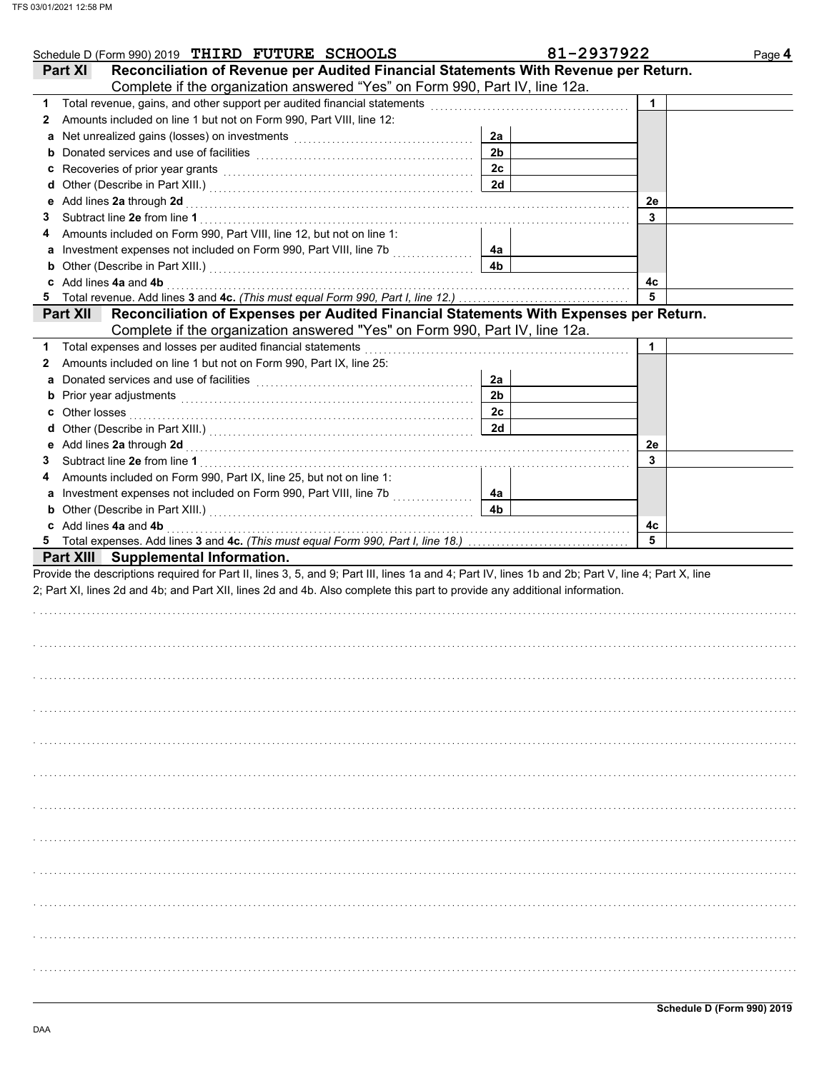| Schedule D (Form 990) 2019 THIRD FUTURE SCHOOLS                                                                                                                                                                                     |                | 81-2937922 | Page 4 |
|-------------------------------------------------------------------------------------------------------------------------------------------------------------------------------------------------------------------------------------|----------------|------------|--------|
| Reconciliation of Revenue per Audited Financial Statements With Revenue per Return.<br><b>Part XI</b>                                                                                                                               |                |            |        |
| Complete if the organization answered "Yes" on Form 990, Part IV, line 12a.                                                                                                                                                         |                |            |        |
| 1 Total revenue, gains, and other support per audited financial statements                                                                                                                                                          |                | 1          |        |
| Amounts included on line 1 but not on Form 990, Part VIII, line 12:<br>2                                                                                                                                                            |                |            |        |
| a                                                                                                                                                                                                                                   | 2a             |            |        |
|                                                                                                                                                                                                                                     | 2 <sub>b</sub> |            |        |
| c Recoveries of prior year grants [11] Recovering the Recoveries of prior year grants [11] Recoveries of prior                                                                                                                      | 2 <sub>c</sub> |            |        |
|                                                                                                                                                                                                                                     | 2d             |            |        |
|                                                                                                                                                                                                                                     |                | 2e         |        |
| 3                                                                                                                                                                                                                                   |                | 3          |        |
| Amounts included on Form 990, Part VIII, line 12, but not on line 1:<br>4                                                                                                                                                           |                |            |        |
| a Investment expenses not included on Form 990, Part VIII, line 7b [[[[[[[[[[[[[[[[[[[[[[[[[[[[[[[[[                                                                                                                                | 4а             |            |        |
| <b>b</b> Other (Describe in Part XIII.) <b>CONSIDENT DESCRIPTION DESCRIPTION DESCRIPTION DESCRIPTION DESCRIPTION DESCRIPTION DESCRIPTION DESCRIPTION DESCRIPTION DESCRIPTION DESCRIPTION DESCRIPTION DESCRI</b>                     | 4b             |            |        |
| c Add lines 4a and 4b                                                                                                                                                                                                               |                | 4с         |        |
|                                                                                                                                                                                                                                     |                | 5          |        |
| Part XII Reconciliation of Expenses per Audited Financial Statements With Expenses per Return.                                                                                                                                      |                |            |        |
| Complete if the organization answered "Yes" on Form 990, Part IV, line 12a.                                                                                                                                                         |                |            |        |
| 1 Total expenses and losses per audited financial statements                                                                                                                                                                        |                | 1          |        |
| Amounts included on line 1 but not on Form 990, Part IX, line 25:<br>2                                                                                                                                                              |                |            |        |
| Donated services and use of facilities [[11] with the service of the service of the service of the service of the service of the service of the service of the service of the service of the service of the service of the ser<br>a | 2a             |            |        |
|                                                                                                                                                                                                                                     | 2 <sub>b</sub> |            |        |
|                                                                                                                                                                                                                                     | 2c             |            |        |
|                                                                                                                                                                                                                                     | 2d             |            |        |
|                                                                                                                                                                                                                                     |                | 2e         |        |
| 3                                                                                                                                                                                                                                   |                | 3          |        |
| Amounts included on Form 990, Part IX, line 25, but not on line 1:<br>4                                                                                                                                                             |                |            |        |
| a Investment expenses not included on Form 990, Part VIII, line 7b [[[[[[[[[[[[[[[[[[[[[[[[[[[[[[[[[                                                                                                                                | 4а             |            |        |
| <b>b</b> Other (Describe in Part XIII.) <b>CONSERVING (2018)</b>                                                                                                                                                                    | 4 <sub>b</sub> |            |        |
| c Add lines 4a and 4b                                                                                                                                                                                                               |                | 4c         |        |
|                                                                                                                                                                                                                                     |                | 5          |        |
| Part XIII Supplemental Information.                                                                                                                                                                                                 |                |            |        |
| Provide the descriptions required for Part II, lines 3, 5, and 9; Part III, lines 1a and 4; Part IV, lines 1b and 2b; Part V, line 4; Part X, line                                                                                  |                |            |        |
| 2; Part XI, lines 2d and 4b; and Part XII, lines 2d and 4b. Also complete this part to provide any additional information.                                                                                                          |                |            |        |
|                                                                                                                                                                                                                                     |                |            |        |
|                                                                                                                                                                                                                                     |                |            |        |
|                                                                                                                                                                                                                                     |                |            |        |
|                                                                                                                                                                                                                                     |                |            |        |
|                                                                                                                                                                                                                                     |                |            |        |
|                                                                                                                                                                                                                                     |                |            |        |
|                                                                                                                                                                                                                                     |                |            |        |
|                                                                                                                                                                                                                                     |                |            |        |
|                                                                                                                                                                                                                                     |                |            |        |
|                                                                                                                                                                                                                                     |                |            |        |
|                                                                                                                                                                                                                                     |                |            |        |
|                                                                                                                                                                                                                                     |                |            |        |
|                                                                                                                                                                                                                                     |                |            |        |
|                                                                                                                                                                                                                                     |                |            |        |
|                                                                                                                                                                                                                                     |                |            |        |
|                                                                                                                                                                                                                                     |                |            |        |
|                                                                                                                                                                                                                                     |                |            |        |
|                                                                                                                                                                                                                                     |                |            |        |
|                                                                                                                                                                                                                                     |                |            |        |
|                                                                                                                                                                                                                                     |                |            |        |
|                                                                                                                                                                                                                                     |                |            |        |
|                                                                                                                                                                                                                                     |                |            |        |
|                                                                                                                                                                                                                                     |                |            |        |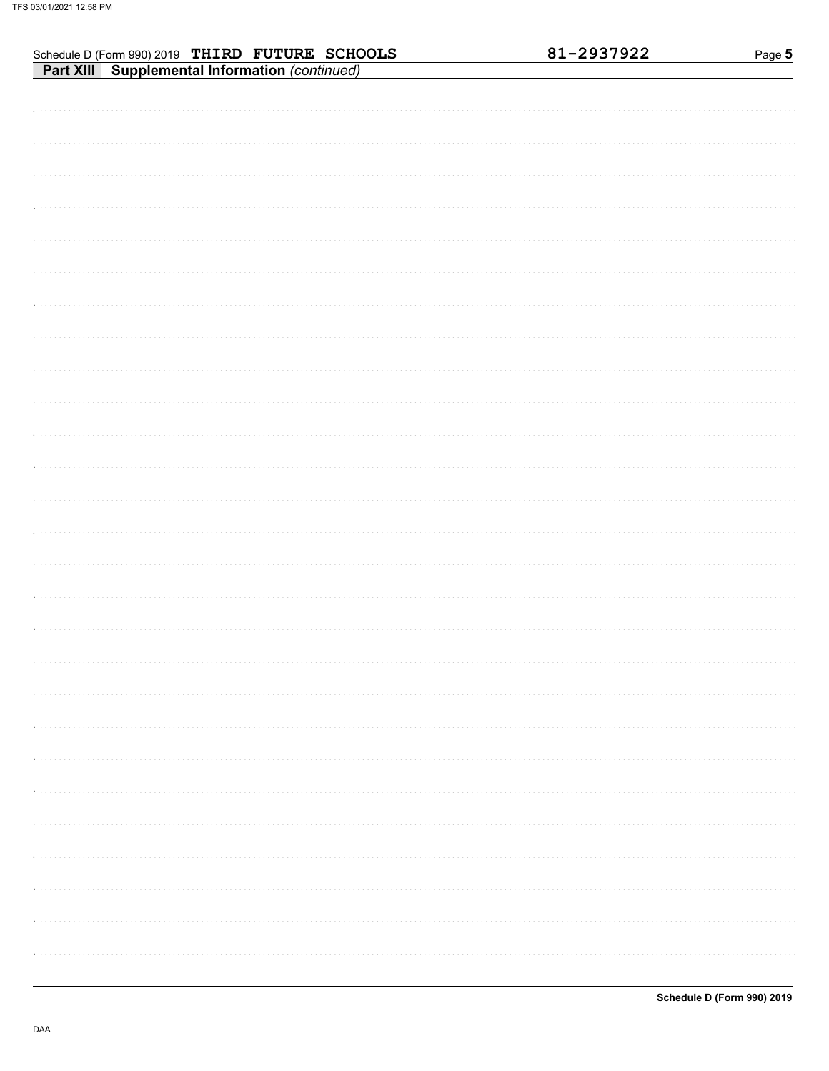| Schedule D (Form 990) 2019 THIRD FUTURE SCHOOLS<br>Part XIII Supplemental Information (continued) | 81-2937922 | Page 5 |
|---------------------------------------------------------------------------------------------------|------------|--------|
|                                                                                                   |            |        |
|                                                                                                   |            |        |
|                                                                                                   |            |        |
|                                                                                                   |            |        |
|                                                                                                   |            |        |
|                                                                                                   |            |        |
|                                                                                                   |            |        |
|                                                                                                   |            |        |
|                                                                                                   |            |        |
|                                                                                                   |            |        |
|                                                                                                   |            |        |
|                                                                                                   |            |        |
|                                                                                                   |            |        |
|                                                                                                   |            |        |
|                                                                                                   |            |        |
|                                                                                                   |            |        |
|                                                                                                   |            |        |
|                                                                                                   |            |        |
|                                                                                                   |            |        |
|                                                                                                   |            |        |
|                                                                                                   |            |        |
|                                                                                                   |            |        |
|                                                                                                   |            |        |
|                                                                                                   |            |        |
|                                                                                                   |            |        |
|                                                                                                   |            |        |
|                                                                                                   |            |        |
|                                                                                                   |            |        |
|                                                                                                   |            |        |
|                                                                                                   |            |        |
|                                                                                                   |            |        |
|                                                                                                   |            |        |
|                                                                                                   |            |        |
|                                                                                                   |            |        |
|                                                                                                   |            |        |
|                                                                                                   |            |        |
|                                                                                                   |            |        |
|                                                                                                   |            |        |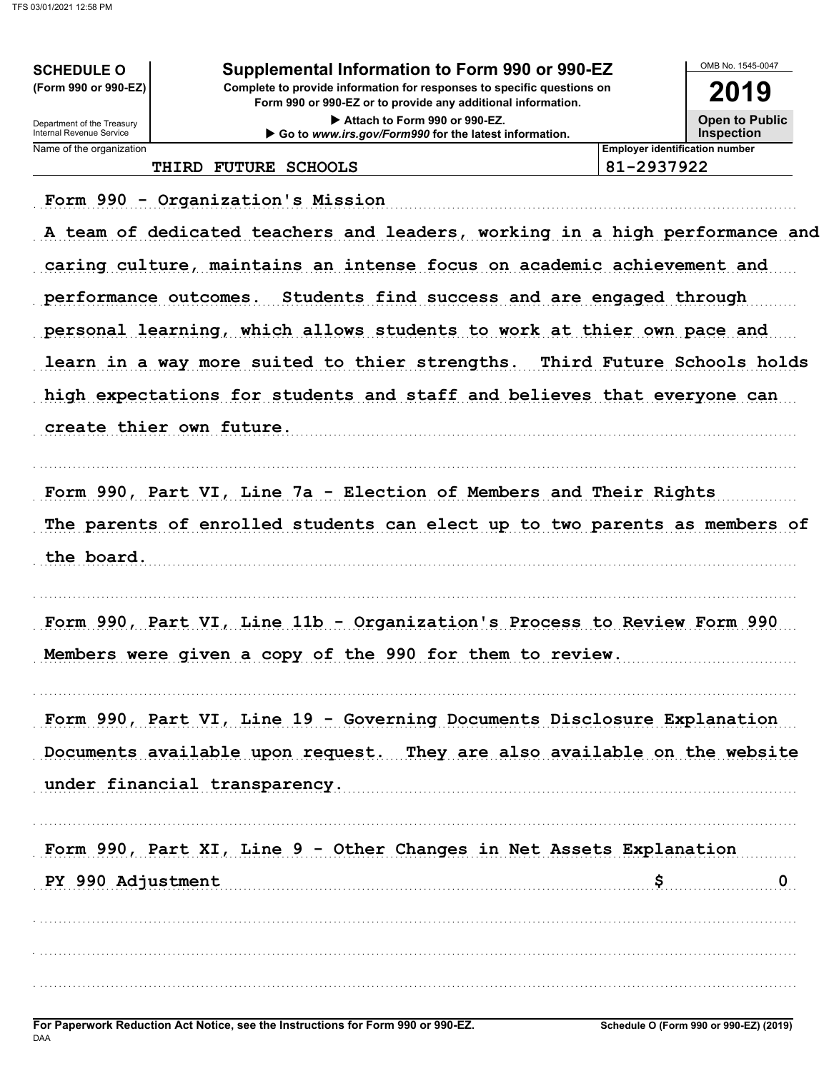| Supplemental Information to Form 990 or 990-EZ |  |  |
|------------------------------------------------|--|--|
|                                                |  |  |

Complete to provide information for responses to specific questions on Form 990 or 990-EZ or to provide any additional information.

> Attach to Form 990 or 990-EZ. Go to www.irs.gov/Form990 for the latest information.

2019 **Open to Public Inspection** 

Department of the Treasury<br>Internal Revenue Service Name of the organization

**SCHEDULE O** (Form 990 or 990-EZ)

THIRD FUTURE SCHOOLS

81-2937922

**Employer identification number** 

Form 990 - Organization's Mission

A team of dedicated teachers and leaders, working in a high performance and caring culture, maintains an intense focus on academic achievement and performance outcomes. Students find success and are engaged through personal learning, which allows students to work at thier own pace and learn in a way more suited to thier strengths. Third Future Schools holds high expectations for students and staff and believes that everyone can create thier own future.

Form 990, Part VI, Line 7a - Election of Members and Their Rights The parents of enrolled students can elect up to two parents as members of the board.

Form 990, Part VI, Line 11b - Organization's Process to Review Form 990 Members were given a copy of the 990 for them to review.

Form 990, Part VI, Line 19 - Governing Documents Disclosure Explanation Documents available upon request. They are also available on the website under financial transparency.

Form 990, Part XI, Line 9 - Other Changes in Net Assets Explanation PY 990 Adjustment S.  $\mathbf{0}$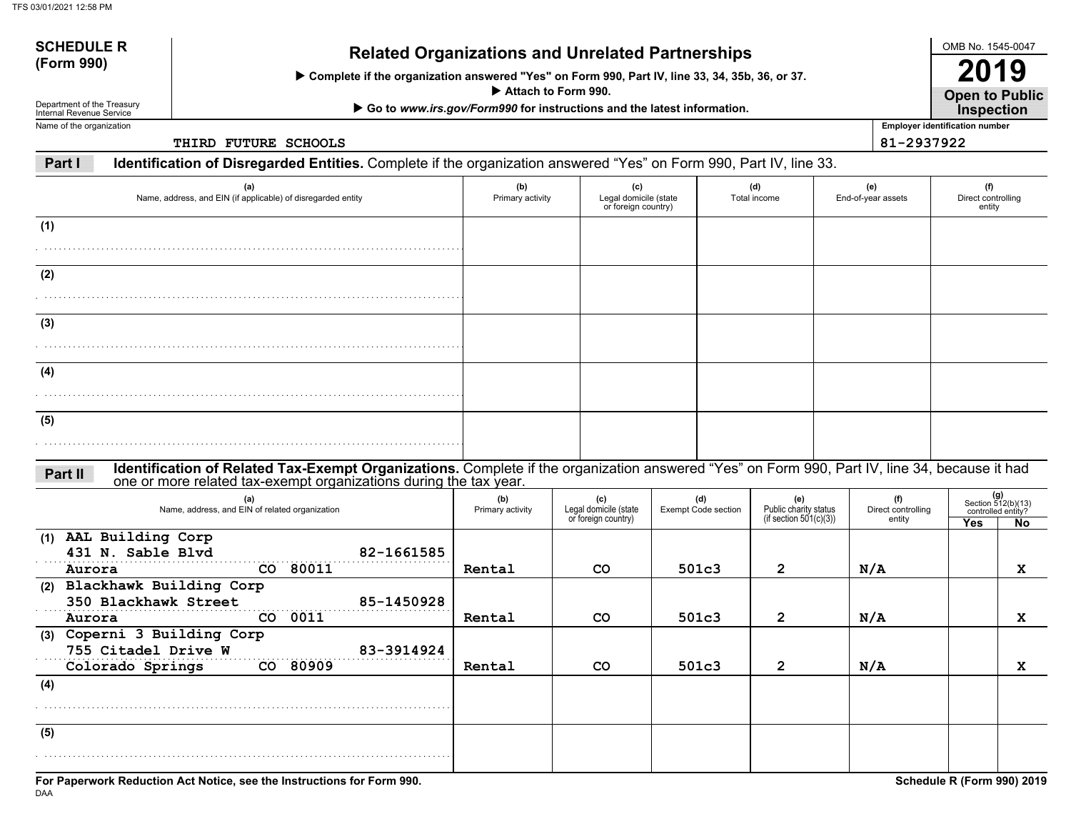| <b>SCHEDULE R</b><br>(Form 990) | <b>Related Organizations and Unrelated Partnerships</b>                                                         |  |  |  |  |  |
|---------------------------------|-----------------------------------------------------------------------------------------------------------------|--|--|--|--|--|
|                                 | $\triangleright$ Complete if the organization answered "Yes" on Form 990, Part IV, line 33, 34, 35b, 36, or 37. |  |  |  |  |  |
|                                 | $\blacktriangleright$ Attach to Form 990.                                                                       |  |  |  |  |  |

▶ Go to www.irs.gov/Form990 for instructions and the latest information.

Department of the Treasury Internal Revenue ServiceName of the organization

**THIRD FUTURE SCHOOLS**

**Employer identification number Open to Public Inspection**

OMB No. 1545-0047

**2019**

**81-2937922**

**Part IIdentification of Disregarded Entities.** Complete if the organization answered "Yes" on Form 990, Part IV, line 33.

| (a)<br>Name, address, and EIN (if applicable) of disregarded entity                                                                                                                                                           | (b)<br>Primary activity | (c)<br>Legal domicile (state<br>or foreign country) | (d)<br>Total income | (e)<br>End-of-year assets | (f)<br>Direct controlling<br>entity |
|-------------------------------------------------------------------------------------------------------------------------------------------------------------------------------------------------------------------------------|-------------------------|-----------------------------------------------------|---------------------|---------------------------|-------------------------------------|
| (1)                                                                                                                                                                                                                           |                         |                                                     |                     |                           |                                     |
|                                                                                                                                                                                                                               |                         |                                                     |                     |                           |                                     |
| (2)                                                                                                                                                                                                                           |                         |                                                     |                     |                           |                                     |
|                                                                                                                                                                                                                               |                         |                                                     |                     |                           |                                     |
| (3)                                                                                                                                                                                                                           |                         |                                                     |                     |                           |                                     |
|                                                                                                                                                                                                                               |                         |                                                     |                     |                           |                                     |
| (4)                                                                                                                                                                                                                           |                         |                                                     |                     |                           |                                     |
|                                                                                                                                                                                                                               |                         |                                                     |                     |                           |                                     |
| (5)                                                                                                                                                                                                                           |                         |                                                     |                     |                           |                                     |
|                                                                                                                                                                                                                               |                         |                                                     |                     |                           |                                     |
| Identification of Related Tax-Exempt Organizations. Complete if the organization answered "Yes" on Form 990, Part IV, line 34, because it had<br>one or more related tax-exempt organizations during the tax year.<br>Part II |                         |                                                     |                     |                           |                                     |

| (a)<br>Name, address, and EIN of related organization | (b)<br>Primary activity | (c)<br>Legal domicile (state<br>or foreign country) | (d)<br><b>Exempt Code section</b> | (e)<br>Public charity status<br>(if section $501(c)(3)$ ) | (f)<br>Direct controlling<br>entity | $(g)$<br>Section 512(b)(13)<br>controlled entity? |     |
|-------------------------------------------------------|-------------------------|-----------------------------------------------------|-----------------------------------|-----------------------------------------------------------|-------------------------------------|---------------------------------------------------|-----|
|                                                       |                         |                                                     |                                   |                                                           |                                     | <b>Yes</b>                                        | No. |
| (1) AAL Building Corp<br>431 N. Sable Blvd            | 82-1661585              |                                                     |                                   |                                                           |                                     |                                                   |     |
| CO 80011<br>Aurora                                    | Rental                  | <b>CO</b>                                           | 501c3                             | $\overline{2}$                                            | N/A                                 |                                                   | X   |
| (2) Blackhawk Building Corp                           |                         |                                                     |                                   |                                                           |                                     |                                                   |     |
| 350 Blackhawk Street                                  | 85-1450928              |                                                     |                                   |                                                           |                                     |                                                   |     |
| 0011<br>CO.<br>Aurora                                 | Rental                  | CO.                                                 | 501c3                             | $\mathbf{2}^{\prime}$                                     | N/A                                 |                                                   | x   |
| (3) Coperni 3 Building Corp                           |                         |                                                     |                                   |                                                           |                                     |                                                   |     |
| 755 Citadel Drive W                                   | 83-3914924              |                                                     |                                   |                                                           |                                     |                                                   |     |
| CO 80909<br>Colorado Springs                          | Rental                  | <b>CO</b>                                           | 501c3                             | $\overline{2}$                                            | N/A                                 |                                                   | X   |
| (4)                                                   |                         |                                                     |                                   |                                                           |                                     |                                                   |     |
|                                                       |                         |                                                     |                                   |                                                           |                                     |                                                   |     |
|                                                       |                         |                                                     |                                   |                                                           |                                     |                                                   |     |
| (5)                                                   |                         |                                                     |                                   |                                                           |                                     |                                                   |     |
|                                                       |                         |                                                     |                                   |                                                           |                                     |                                                   |     |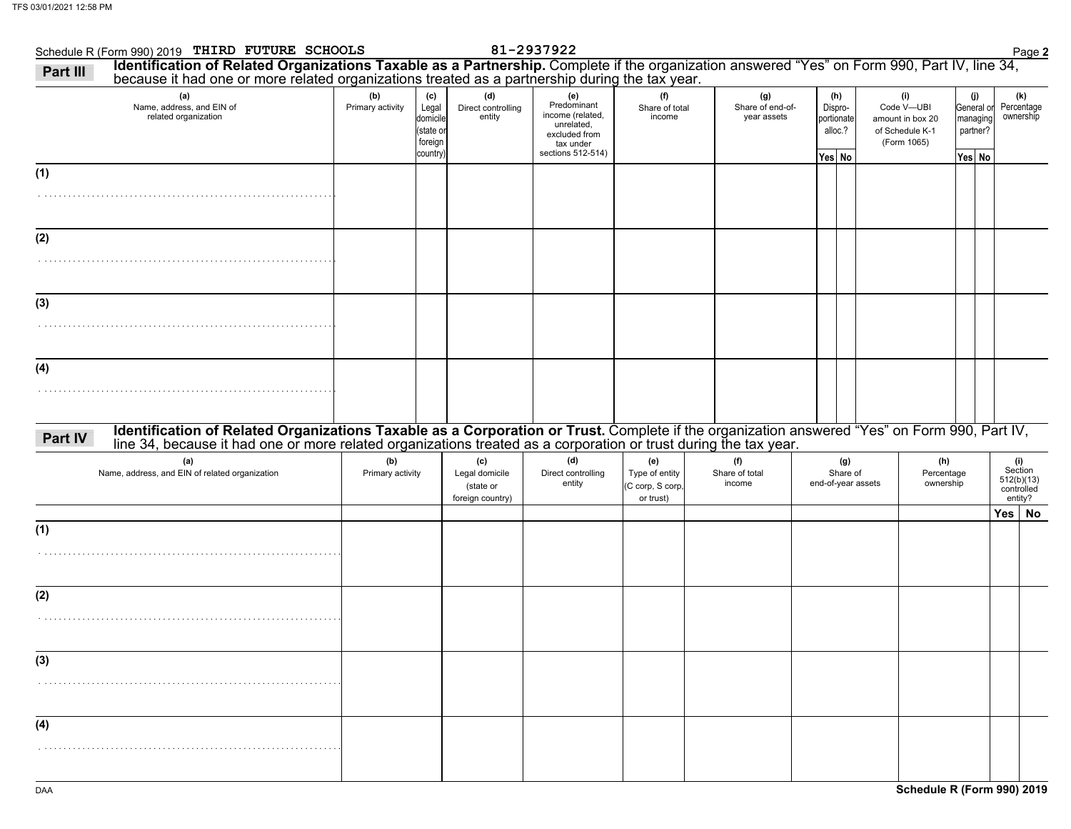| Schedule R (Form 990) 2019 THIRD FUTURE SCHOOLS<br>Identification of Related Organizations Taxable as a Partnership. Complete if the organization answered "Yes" on Form 990, Part IV, line 34, because it had one or more related organizations treated as a partnership during<br>Part III |                         |                                                             |                                                        | 81-2937922                                                                                              |                                                        |                                        |                                                   |                                                                         |                                |                                                     |     | Page 2                                                |
|----------------------------------------------------------------------------------------------------------------------------------------------------------------------------------------------------------------------------------------------------------------------------------------------|-------------------------|-------------------------------------------------------------|--------------------------------------------------------|---------------------------------------------------------------------------------------------------------|--------------------------------------------------------|----------------------------------------|---------------------------------------------------|-------------------------------------------------------------------------|--------------------------------|-----------------------------------------------------|-----|-------------------------------------------------------|
| (a)<br>Name, address, and EIN of<br>related organization                                                                                                                                                                                                                                     | (b)<br>Primary activity | (c)<br>Legal<br>domicile<br>(state or<br>foreign<br>country | (d)<br>Direct controlling<br>entity                    | (e)<br>Predominant<br>income (related,<br>unrelated.<br>excluded from<br>tax under<br>sections 512-514) | (f)<br>Share of total<br>income                        | (g)<br>Share of end-of-<br>year assets | (h)<br>Dispro-<br>portionate<br>alloc.?<br>Yes No | (i)<br>Code V-UBI<br>amount in box 20<br>of Schedule K-1<br>(Form 1065) |                                | (j)<br>General or<br>managing<br>partner?<br>Yes No |     | (k)<br>Percentage<br>ownership                        |
| (1)                                                                                                                                                                                                                                                                                          |                         |                                                             |                                                        |                                                                                                         |                                                        |                                        |                                                   |                                                                         |                                |                                                     |     |                                                       |
| (2)                                                                                                                                                                                                                                                                                          |                         |                                                             |                                                        |                                                                                                         |                                                        |                                        |                                                   |                                                                         |                                |                                                     |     |                                                       |
| (3)                                                                                                                                                                                                                                                                                          |                         |                                                             |                                                        |                                                                                                         |                                                        |                                        |                                                   |                                                                         |                                |                                                     |     |                                                       |
|                                                                                                                                                                                                                                                                                              |                         |                                                             |                                                        |                                                                                                         |                                                        |                                        |                                                   |                                                                         |                                |                                                     |     |                                                       |
| (4)                                                                                                                                                                                                                                                                                          |                         |                                                             |                                                        |                                                                                                         |                                                        |                                        |                                                   |                                                                         |                                |                                                     |     |                                                       |
| Identification of Related Organizations Taxable as a Corporation or Trust. Complete if the organization answered "Yes" on Form 990, Part IV, line 34, because it had one or more related organizations treated as a corporatio<br>Part IV                                                    |                         |                                                             |                                                        |                                                                                                         |                                                        |                                        |                                                   |                                                                         |                                |                                                     |     |                                                       |
| (a)<br>Name, address, and EIN of related organization                                                                                                                                                                                                                                        | (b)<br>Primary activity |                                                             | (c)<br>Legal domicile<br>(state or<br>foreign country) | (d)<br>Direct controlling<br>entity                                                                     | (e)<br>Type of entity<br>(C corp, S corp,<br>or trust) | (f)<br>Share of total<br>income        | (g)<br>Share of<br>end-of-year assets             |                                                                         | (h)<br>Percentage<br>ownership |                                                     |     | (i)<br>Section<br>512(b)(13)<br>controlled<br>entity? |
| (1)                                                                                                                                                                                                                                                                                          |                         |                                                             |                                                        |                                                                                                         |                                                        |                                        |                                                   |                                                                         |                                |                                                     | Yes | No                                                    |
|                                                                                                                                                                                                                                                                                              |                         |                                                             |                                                        |                                                                                                         |                                                        |                                        |                                                   |                                                                         |                                |                                                     |     |                                                       |
| (2)                                                                                                                                                                                                                                                                                          |                         |                                                             |                                                        |                                                                                                         |                                                        |                                        |                                                   |                                                                         |                                |                                                     |     |                                                       |
| (3)                                                                                                                                                                                                                                                                                          |                         |                                                             |                                                        |                                                                                                         |                                                        |                                        |                                                   |                                                                         |                                |                                                     |     |                                                       |
| (4)                                                                                                                                                                                                                                                                                          |                         |                                                             |                                                        |                                                                                                         |                                                        |                                        |                                                   |                                                                         |                                |                                                     |     |                                                       |
|                                                                                                                                                                                                                                                                                              |                         |                                                             |                                                        |                                                                                                         |                                                        |                                        |                                                   |                                                                         |                                |                                                     |     |                                                       |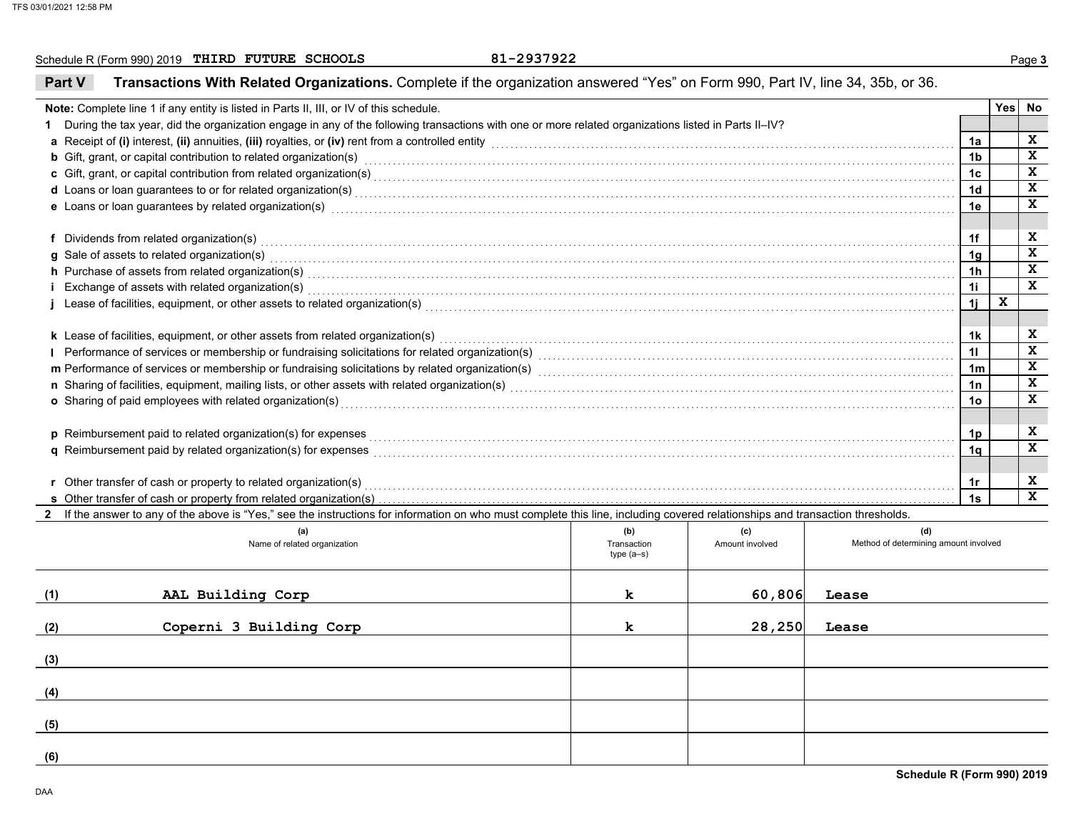Schedule R (Form 990) 2019 Page **3 THIRD FUTURE SCHOOLS 81-2937922**

81-2937922

### **Part VTransactions With Related Organizations.** Complete if the organization answered "Yes" on Form 990, Part IV, line 34, 35b, or 36.

|                                                                                                                                                                                                                                     |             |                 |                                       |    | Yes No |              |  |
|-------------------------------------------------------------------------------------------------------------------------------------------------------------------------------------------------------------------------------------|-------------|-----------------|---------------------------------------|----|--------|--------------|--|
| Note: Complete line 1 if any entity is listed in Parts II, III, or IV of this schedule.                                                                                                                                             |             |                 |                                       |    |        |              |  |
| During the tax year, did the organization engage in any of the following transactions with one or more related organizations listed in Parts II-IV?                                                                                 |             |                 |                                       |    |        |              |  |
| a Receipt of (i) interest, (ii) annuities, (iii) royalties, or (iv) rent from a controlled entity [1] controlled entity controlled entity and controlled entity and controlled entity and contained and contained and containe      |             |                 |                                       |    |        |              |  |
| <b>b</b> Gift, grant, or capital contribution to related organization(s) encourse contained and contained and contribution to related organization(s) encourse contained and contained and contained and contained and contained an |             |                 |                                       |    |        |              |  |
| c Gift, grant, or capital contribution from related organization(s) encourance contains an accommodal contribution from related organization(s) encourance contains and contribution from related organization(s)                   |             |                 |                                       |    |        |              |  |
| d Loans or loan guarantees to or for related organization(s) encourance contained and contained a contained and contained a contact the contact of the contact of the contact of the contact of the contact of the contact of       |             |                 |                                       |    |        |              |  |
| e Loans or loan guarantees by related organization(s) encourance contains an according to the container contains a subset of the contact or contact the contact or contact or contact or contact or contact or contact or cont      |             |                 |                                       | 1e |        | $\mathbf{x}$ |  |
|                                                                                                                                                                                                                                     |             |                 |                                       |    |        |              |  |
| f Dividends from related organization(s) encourance contains the control of the control of the control of the control or control or control or contained organization(s) encourance control of the control of the control of t      |             |                 |                                       | 1f |        | X            |  |
| g Sale of assets to related organization(s)                                                                                                                                                                                         |             |                 |                                       |    |        |              |  |
| h Purchase of assets from related organization(s) with an intervention of the content of the content of the content of the content of the content of the content of the content of the content of the content of the content o      |             |                 |                                       |    |        |              |  |
| Exchange of assets with related organization(s) exception of the control of the control of the control of the control of assets with related organization(s) exception of the control of the control of the control of the con      |             |                 |                                       |    |        |              |  |
| Lease of facilities, equipment, or other assets to related organization(s) with the material content content content and the set of facilities, equipment, or other assets to related organization(s) with the material conten      |             |                 |                                       | 1j | X      |              |  |
|                                                                                                                                                                                                                                     |             |                 |                                       |    |        |              |  |
| k Lease of facilities, equipment, or other assets from related organization(s)                                                                                                                                                      |             |                 |                                       |    |        |              |  |
| Performance of services or membership or fundraising solicitations for related organization(s) [11] Performance of services or membership or fundraising solicitations for related organization(s) [11] Performance conduction      |             |                 |                                       |    |        |              |  |
| m Performance of services or membership or fundraising solicitations by related organization(s) [11] mechanical material material material material material material material material material material material material ma      |             |                 |                                       |    |        |              |  |
|                                                                                                                                                                                                                                     |             |                 |                                       |    |        |              |  |
| o Sharing of paid employees with related organization(s) encourance contains an array contained a starting of paid employees with related organization(s) encourance contains and contained a starting of paid employees with       |             |                 |                                       |    |        |              |  |
|                                                                                                                                                                                                                                     |             |                 |                                       |    |        |              |  |
| p Reimbursement paid to related organization(s) for expenses <b>constructs</b> and construct to construct the construction of the construction of the construction of the construction of the construction of the construction of t |             |                 |                                       |    |        |              |  |
| <b>q</b> Reimbursement paid by related organization(s) for expenses                                                                                                                                                                 |             |                 |                                       |    |        |              |  |
|                                                                                                                                                                                                                                     |             |                 |                                       |    |        |              |  |
| r Other transfer of cash or property to related organization(s)                                                                                                                                                                     |             |                 |                                       | 1r |        | X            |  |
|                                                                                                                                                                                                                                     |             |                 |                                       |    |        |              |  |
| 2 If the answer to any of the above is "Yes," see the instructions for information on who must complete this line, including covered relationships and transaction thresholds.                                                      |             |                 |                                       |    |        |              |  |
| (a)                                                                                                                                                                                                                                 | (b)         | (c)             | (d)                                   |    |        |              |  |
| Name of related organization                                                                                                                                                                                                        | Transaction | Amount involved | Method of determining amount involved |    |        |              |  |
|                                                                                                                                                                                                                                     | $type(a-s)$ |                 |                                       |    |        |              |  |
|                                                                                                                                                                                                                                     |             |                 |                                       |    |        |              |  |
| AAL Building Corp<br>(1)                                                                                                                                                                                                            | k           | 60,806          | Lease                                 |    |        |              |  |
|                                                                                                                                                                                                                                     |             |                 |                                       |    |        |              |  |
| Coperni 3 Building Corp<br>(2)                                                                                                                                                                                                      | k           | 28,250          | Lease                                 |    |        |              |  |
|                                                                                                                                                                                                                                     |             |                 |                                       |    |        |              |  |

**(3)**

**(4)**

**(5)**

**(6)**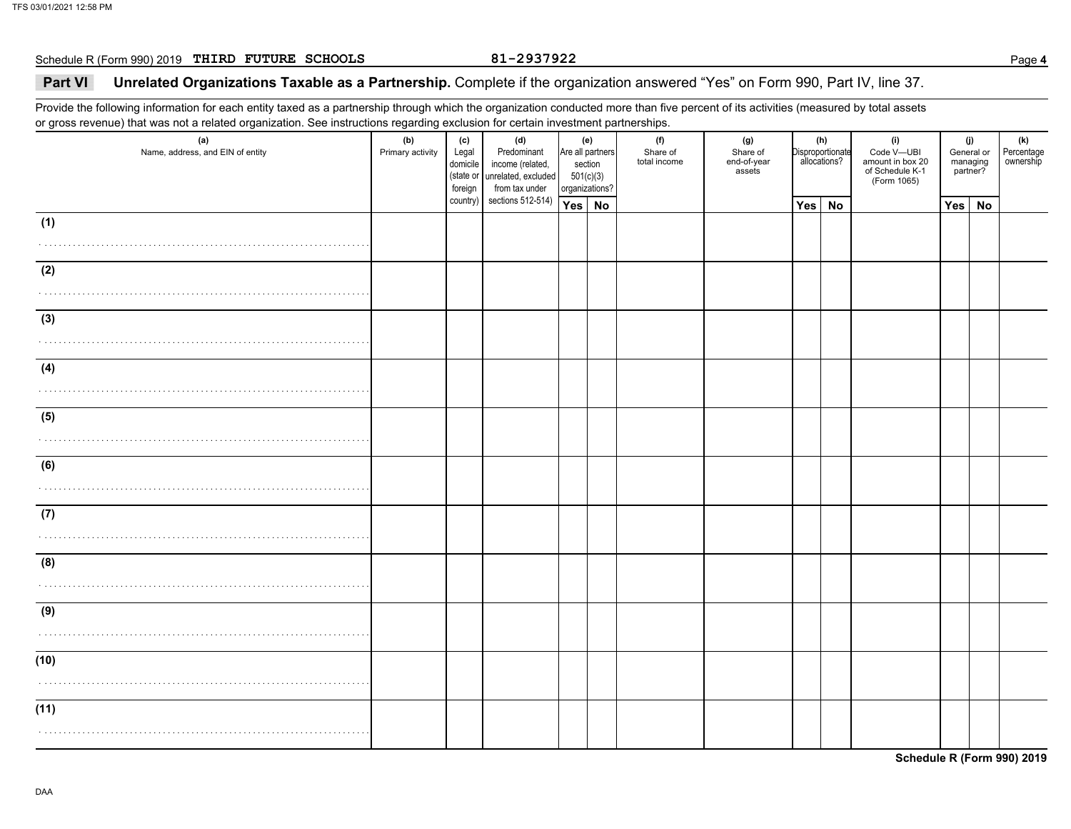Schedule R (Form 990) 2019 Page **4 THIRD FUTURE SCHOOLS 81-2937922**

### 81-2937922

## **Part VI Unrelated Organizations Taxable as a Partnership.** Complete if the organization answered "Yes" on Form 990, Part IV, line 37.

Provide the following information for each entity taxed as a partnership through which the organization conducted more than five percent of its activities (measured by total assets or gross revenue) that was not a related organization. See instructions regarding exclusion for certain investment partnerships.

| (a)<br>Name, address, and EIN of entity | (b)<br>Primary activity | (c)<br>Legal<br>domicile<br>(state or<br>foreign | (d)<br>Predominant<br>income (related,<br>unrelated, excluded<br>from tax under | section<br>501(c)(3)<br>organizations? | (e)<br>Are all partners | (f)<br>Share of<br>total income | (g)<br>Share of<br>end-of-year<br>assets |     | (h)<br>Disproportionate<br>allocations? | (i)<br>Code V-UBI<br>amount in box 20<br>of Schedule K-1<br>(Form 1065) | (j)<br>General or<br>managing<br>partner? | (k)<br>Percentage<br>ownership |
|-----------------------------------------|-------------------------|--------------------------------------------------|---------------------------------------------------------------------------------|----------------------------------------|-------------------------|---------------------------------|------------------------------------------|-----|-----------------------------------------|-------------------------------------------------------------------------|-------------------------------------------|--------------------------------|
|                                         |                         | country)                                         | sections 512-514)                                                               | Yes No                                 |                         |                                 |                                          | Yes | <b>No</b>                               |                                                                         | Yes No                                    |                                |
| (1)                                     |                         |                                                  |                                                                                 |                                        |                         |                                 |                                          |     |                                         |                                                                         |                                           |                                |
|                                         |                         |                                                  |                                                                                 |                                        |                         |                                 |                                          |     |                                         |                                                                         |                                           |                                |
| (2)                                     |                         |                                                  |                                                                                 |                                        |                         |                                 |                                          |     |                                         |                                                                         |                                           |                                |
|                                         |                         |                                                  |                                                                                 |                                        |                         |                                 |                                          |     |                                         |                                                                         |                                           |                                |
| (3)                                     |                         |                                                  |                                                                                 |                                        |                         |                                 |                                          |     |                                         |                                                                         |                                           |                                |
| .                                       |                         |                                                  |                                                                                 |                                        |                         |                                 |                                          |     |                                         |                                                                         |                                           |                                |
| (4)                                     |                         |                                                  |                                                                                 |                                        |                         |                                 |                                          |     |                                         |                                                                         |                                           |                                |
| .                                       |                         |                                                  |                                                                                 |                                        |                         |                                 |                                          |     |                                         |                                                                         |                                           |                                |
| (5)                                     |                         |                                                  |                                                                                 |                                        |                         |                                 |                                          |     |                                         |                                                                         |                                           |                                |
| .                                       |                         |                                                  |                                                                                 |                                        |                         |                                 |                                          |     |                                         |                                                                         |                                           |                                |
| (6)                                     |                         |                                                  |                                                                                 |                                        |                         |                                 |                                          |     |                                         |                                                                         |                                           |                                |
|                                         |                         |                                                  |                                                                                 |                                        |                         |                                 |                                          |     |                                         |                                                                         |                                           |                                |
| (7)                                     |                         |                                                  |                                                                                 |                                        |                         |                                 |                                          |     |                                         |                                                                         |                                           |                                |
|                                         |                         |                                                  |                                                                                 |                                        |                         |                                 |                                          |     |                                         |                                                                         |                                           |                                |
| (8)                                     |                         |                                                  |                                                                                 |                                        |                         |                                 |                                          |     |                                         |                                                                         |                                           |                                |
|                                         |                         |                                                  |                                                                                 |                                        |                         |                                 |                                          |     |                                         |                                                                         |                                           |                                |
| (9)                                     |                         |                                                  |                                                                                 |                                        |                         |                                 |                                          |     |                                         |                                                                         |                                           |                                |
|                                         |                         |                                                  |                                                                                 |                                        |                         |                                 |                                          |     |                                         |                                                                         |                                           |                                |
| (10)                                    |                         |                                                  |                                                                                 |                                        |                         |                                 |                                          |     |                                         |                                                                         |                                           |                                |
| 1.1.1.1.1.1                             |                         |                                                  |                                                                                 |                                        |                         |                                 |                                          |     |                                         |                                                                         |                                           |                                |
| (11)                                    |                         |                                                  |                                                                                 |                                        |                         |                                 |                                          |     |                                         |                                                                         |                                           |                                |
|                                         |                         |                                                  |                                                                                 |                                        |                         |                                 |                                          |     |                                         |                                                                         |                                           |                                |
|                                         |                         |                                                  |                                                                                 |                                        |                         |                                 |                                          |     |                                         |                                                                         |                                           |                                |

**Schedule R (Form 990) 2019**